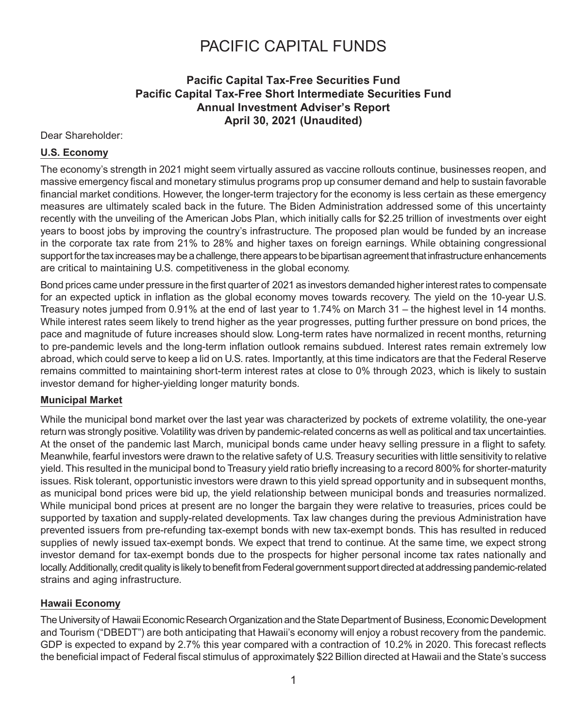### **Pacific Capital Tax-Free Securities Fund Pacific Capital Tax-Free Short Intermediate Securities Fund Annual Investment Adviser's Report April 30, 2021 (Unaudited)**

#### Dear Shareholder:

#### **U.S. Economy**

The economy's strength in 2021 might seem virtually assured as vaccine rollouts continue, businesses reopen, and massive emergency fiscal and monetary stimulus programs prop up consumer demand and help to sustain favorable financial market conditions. However, the longer-term trajectory for the economy is less certain as these emergency measures are ultimately scaled back in the future. The Biden Administration addressed some of this uncertainty recently with the unveiling of the American Jobs Plan, which initially calls for \$2.25 trillion of investments over eight years to boost jobs by improving the country's infrastructure. The proposed plan would be funded by an increase in the corporate tax rate from 21% to 28% and higher taxes on foreign earnings. While obtaining congressional support for the tax increases may be a challenge, there appears to be bipartisan agreement that infrastructure enhancements are critical to maintaining U.S. competitiveness in the global economy.

Bond prices came under pressure in the first quarter of 2021 as investors demanded higher interest rates to compensate for an expected uptick in inflation as the global economy moves towards recovery. The yield on the 10-year U.S. Treasury notes jumped from 0.91% at the end of last year to 1.74% on March 31 – the highest level in 14 months. While interest rates seem likely to trend higher as the year progresses, putting further pressure on bond prices, the pace and magnitude of future increases should slow. Long-term rates have normalized in recent months, returning to pre-pandemic levels and the long-term inflation outlook remains subdued. Interest rates remain extremely low abroad, which could serve to keep a lid on U.S. rates. Importantly, at this time indicators are that the Federal Reserve remains committed to maintaining short-term interest rates at close to 0% through 2023, which is likely to sustain investor demand for higher-yielding longer maturity bonds.

#### **Municipal Market**

While the municipal bond market over the last year was characterized by pockets of extreme volatility, the one-year return was strongly positive. Volatility was driven by pandemic-related concerns as well as political and tax uncertainties. At the onset of the pandemic last March, municipal bonds came under heavy selling pressure in a flight to safety. Meanwhile, fearful investors were drawn to the relative safety of U.S. Treasury securities with little sensitivity to relative yield. This resulted in the municipal bond to Treasury yield ratio briefly increasing to a record 800% for shorter-maturity issues. Risk tolerant, opportunistic investors were drawn to this yield spread opportunity and in subsequent months, as municipal bond prices were bid up, the yield relationship between municipal bonds and treasuries normalized. While municipal bond prices at present are no longer the bargain they were relative to treasuries, prices could be supported by taxation and supply-related developments. Tax law changes during the previous Administration have prevented issuers from pre-refunding tax-exempt bonds with new tax-exempt bonds. This has resulted in reduced supplies of newly issued tax-exempt bonds. We expect that trend to continue. At the same time, we expect strong investor demand for tax-exempt bonds due to the prospects for higher personal income tax rates nationally and locally. Additionally, credit quality is likely to benefit from Federal government support directed at addressing pandemic-related strains and aging infrastructure.

#### **Hawaii Economy**

The University of Hawaii Economic Research Organization and the State Department of Business, Economic Development and Tourism ("DBEDT") are both anticipating that Hawaii's economy will enjoy a robust recovery from the pandemic. GDP is expected to expand by 2.7% this year compared with a contraction of 10.2% in 2020. This forecast reflects the beneficial impact of Federal fiscal stimulus of approximately \$22 Billion directed at Hawaii and the State's success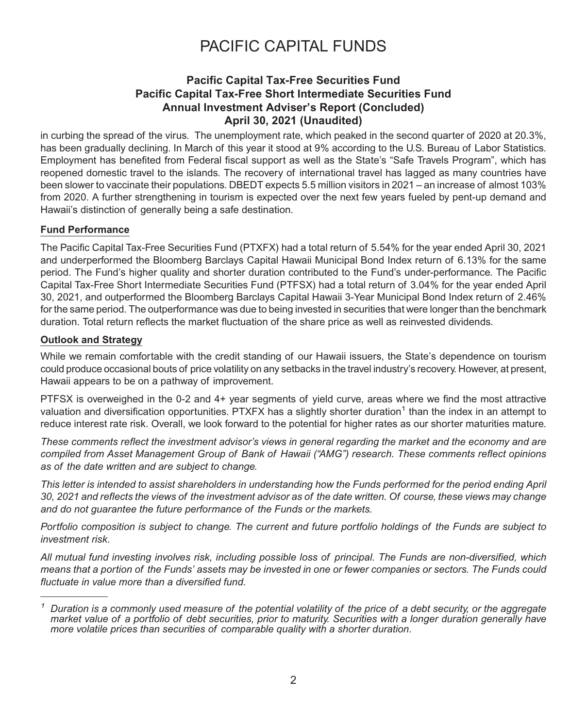### **Pacific Capital Tax-Free Securities Fund Pacific Capital Tax-Free Short Intermediate Securities Fund Annual Investment Adviser's Report (Concluded) April 30, 2021 (Unaudited)**

in curbing the spread of the virus. The unemployment rate, which peaked in the second quarter of 2020 at 20.3%, has been gradually declining. In March of this year it stood at 9% according to the U.S. Bureau of Labor Statistics. Employment has benefited from Federal fiscal support as well as the State's "Safe Travels Program", which has reopened domestic travel to the islands. The recovery of international travel has lagged as many countries have been slower to vaccinate their populations. DBEDT expects 5.5 million visitors in 2021 – an increase of almost 103% from 2020. A further strengthening in tourism is expected over the next few years fueled by pent-up demand and Hawaii's distinction of generally being a safe destination.

#### **Fund Performance**

The Pacific Capital Tax-Free Securities Fund (PTXFX) had a total return of 5.54% for the year ended April 30, 2021 and underperformed the Bloomberg Barclays Capital Hawaii Municipal Bond Index return of 6.13% for the same period. The Fund's higher quality and shorter duration contributed to the Fund's under-performance. The Pacific Capital Tax-Free Short Intermediate Securities Fund (PTFSX) had a total return of 3.04% for the year ended April 30, 2021, and outperformed the Bloomberg Barclays Capital Hawaii 3-Year Municipal Bond Index return of 2.46% for the same period. The outperformance was due to being invested in securities that were longer than the benchmark duration. Total return reflects the market fluctuation of the share price as well as reinvested dividends.

#### **Outlook and Strategy**

While we remain comfortable with the credit standing of our Hawaii issuers, the State's dependence on tourism could produce occasional bouts of price volatility on any setbacks in the travel industry's recovery. However, at present, Hawaii appears to be on a pathway of improvement.

PTFSX is overweighed in the 0-2 and 4+ year segments of yield curve, areas where we find the most attractive valuation and diversification opportunities. PTXFX has a slightly shorter duration<sup>1</sup> than the index in an attempt to reduce interest rate risk. Overall, we look forward to the potential for higher rates as our shorter maturities mature.

*These comments reflect the investment advisor's views in general regarding the market and the economy and are compiled from Asset Management Group of Bank of Hawaii ("AMG") research. These comments reflect opinions as of the date written and are subject to change.*

*This letter is intended to assist shareholders in understanding how the Funds performed for the period ending April 30, 2021 and reflects the views of the investment advisor as of the date written. Of course, these views may change and do not guarantee the future performance of the Funds or the markets.*

*Portfolio composition is subject to change. The current and future portfolio holdings of the Funds are subject to investment risk.*

*All mutual fund investing involves risk, including possible loss of principal. The Funds are non-diversified, which means that a portion of the Funds' assets may be invested in one or fewer companies or sectors. The Funds could fluctuate in value more than a diversified fund.*

*<sup>1</sup> Duration is a commonly used measure of the potential volatility of the price of a debt security, or the aggregate market value of a portfolio of debt securities, prior to maturity. Securities with a longer duration generally have more volatile prices than securities of comparable quality with a shorter duration.*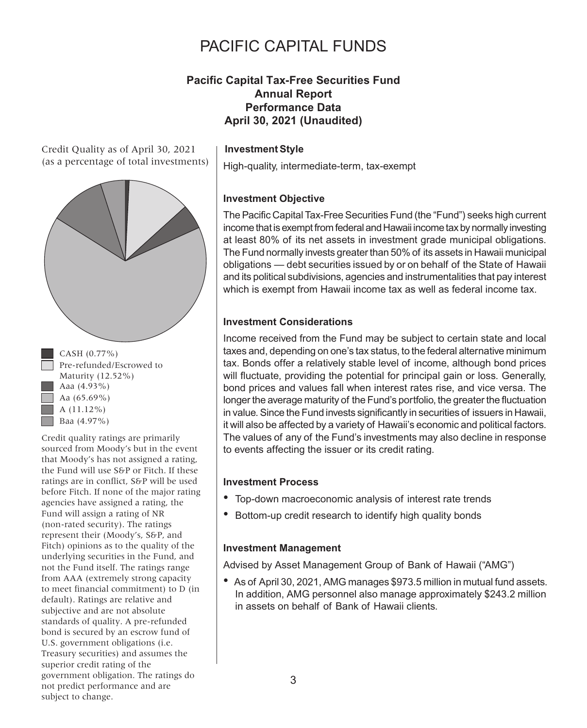### **Pacific Capital Tax-Free Securities Fund Annual Report Performance Data April 30, 2021 (Unaudited)**

Credit Quality as of April 30, 2021 (as a percentage of total investments)



 $\bullet$  CASH (0.77%) Pre-refunded/Escrowed to Maturity (12.52%) Aaa  $(4.93\%)$ Aa (65.69%) A (11.12%)  $\Box$  Baa (4.97%)

Credit quality ratings are primarily sourced from Moody's but in the event that Moody's has not assigned a rating, the Fund will use S&P or Fitch. If these ratings are in conflict, S&P will be used before Fitch. If none of the major rating agencies have assigned a rating, the Fund will assign a rating of NR (non-rated security). The ratings represent their (Moody's, S&P, and Fitch) opinions as to the quality of the underlying securities in the Fund, and not the Fund itself. The ratings range from AAA (extremely strong capacity to meet financial commitment) to D (in default). Ratings are relative and subjective and are not absolute standards of quality. A pre-refunded bond is secured by an escrow fund of U.S. government obligations (i.e. Treasury securities) and assumes the superior credit rating of the government obligation. The ratings do not predict performance and are subject to change.

#### **Investment Style**

High-quality, intermediate-term, tax-exempt

#### **Investment Objective**

The Pacific Capital Tax-Free Securities Fund (the "Fund") seeks high current income that is exempt from federal and Hawaii income tax by normally investing at least 80% of its net assets in investment grade municipal obligations. The Fund normally invests greater than 50% of its assets in Hawaii municipal obligations — debt securities issued by or on behalf of the State of Hawaii and its political subdivisions, agencies and instrumentalities that pay interest which is exempt from Hawaii income tax as well as federal income tax.

### **Investment Considerations**

Income received from the Fund may be subject to certain state and local taxes and, depending on one's tax status, to the federal alternative minimum tax. Bonds offer a relatively stable level of income, although bond prices will fluctuate, providing the potential for principal gain or loss. Generally, bond prices and values fall when interest rates rise, and vice versa. The longer the average maturity of the Fund's portfolio, the greater the fluctuation in value. Since the Fund invests significantly in securities of issuers in Hawaii, it will also be affected by a variety of Hawaii's economic and political factors. The values of any of the Fund's investments may also decline in response to events affecting the issuer or its credit rating.

#### **Investment Process**

- Top-down macroeconomic analysis of interest rate trends
- Bottom-up credit research to identify high quality bonds

#### **Investment Management**

Advised by Asset Management Group of Bank of Hawaii ("AMG")

• As of April 30, 2021, AMG manages \$973.5 million in mutual fund assets. In addition, AMG personnel also manage approximately \$243.2 million in assets on behalf of Bank of Hawaii clients.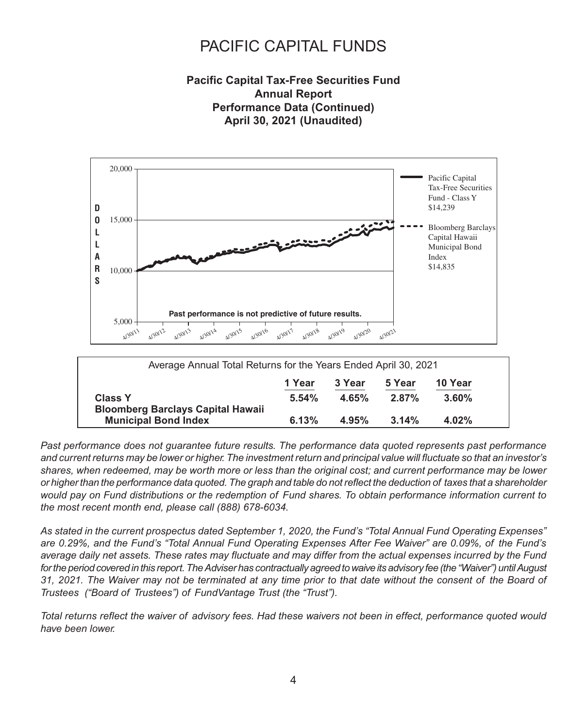### **Pacific Capital Tax-Free Securities Fund Annual Report Performance Data (Continued) April 30, 2021 (Unaudited)**



*Past performance does not guarantee future results. The performance data quoted represents past performance and current returns may be lower or higher. The investment return and principal value will fluctuate so that an investor's shares, when redeemed, may be worth more or less than the original cost; and current performance may be lower or higher than the performance data quoted. The graph and table do not reflect the deduction of taxes that a shareholder would pay on Fund distributions or the redemption of Fund shares. To obtain performance information current to the most recent month end, please call (888) 678-6034.*

*As stated in the current prospectus dated September 1, 2020, the Fund's "Total Annual Fund Operating Expenses" are 0.29%, and the Fund's "Total Annual Fund Operating Expenses After Fee Waiver" are 0.09%, of the Fund's average daily net assets. These rates may fluctuate and may differ from the actual expenses incurred by the Fund for the period covered in this report. The Adviser has contractually agreed to waive its advisory fee (the "Waiver") until August 31, 2021. The Waiver may not be terminated at any time prior to that date without the consent of the Board of Trustees ("Board of Trustees") of FundVantage Trust (the "Trust").*

*Total returns reflect the waiver of advisory fees. Had these waivers not been in effect, performance quoted would have been lower.*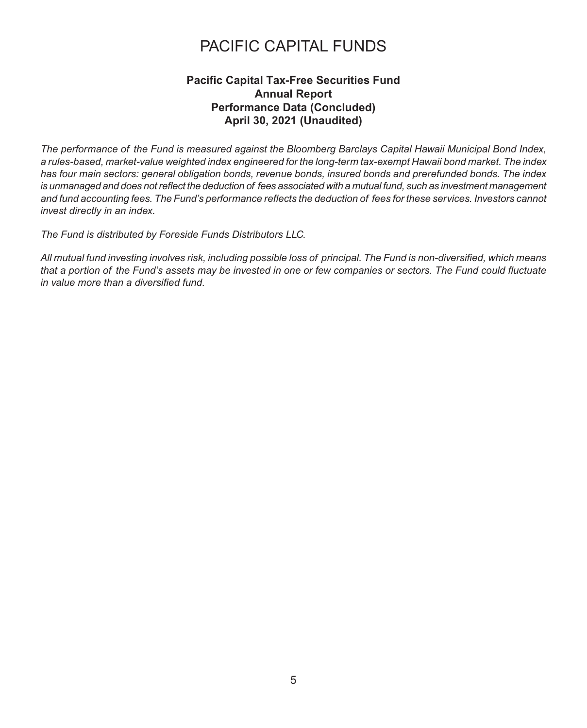### **Pacific Capital Tax-Free Securities Fund Annual Report Performance Data (Concluded) April 30, 2021 (Unaudited)**

*The performance of the Fund is measured against the Bloomberg Barclays Capital Hawaii Municipal Bond Index, a rules-based, market-value weighted index engineered for the long-term tax-exempt Hawaii bond market. The index has four main sectors: general obligation bonds, revenue bonds, insured bonds and prerefunded bonds. The index is unmanaged and does not reflect the deduction of fees associated with a mutual fund, such as investment management and fund accounting fees. The Fund's performance reflects the deduction of fees for these services. Investors cannot invest directly in an index.*

*The Fund is distributed by Foreside Funds Distributors LLC.*

*All mutual fund investing involves risk, including possible loss of principal. The Fund is non-diversified, which means that a portion of the Fund's assets may be invested in one or few companies or sectors. The Fund could fluctuate in value more than a diversified fund.*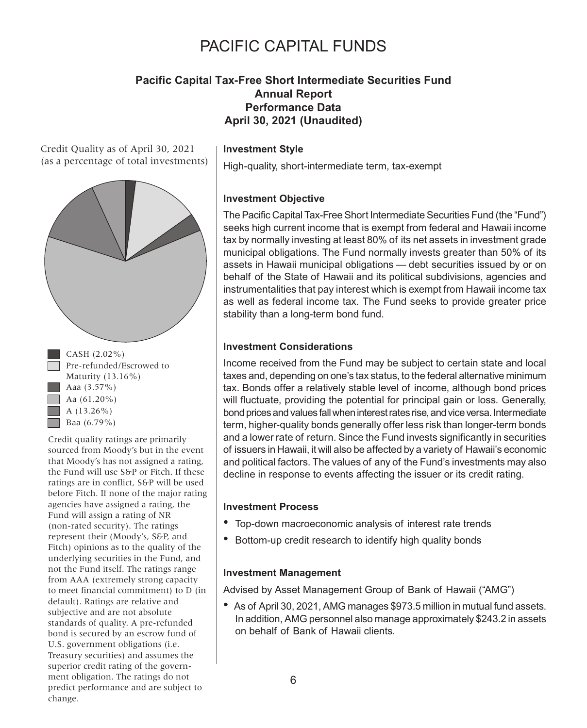### **Pacific Capital Tax-Free Short Intermediate Securities Fund Annual Report Performance Data April 30, 2021 (Unaudited)**

Credit Quality as of April 30, 2021 (as a percentage of total investments)





Credit quality ratings are primarily sourced from Moody's but in the event that Moody's has not assigned a rating, the Fund will use S&P or Fitch. If these ratings are in conflict, S&P will be used before Fitch. If none of the major rating agencies have assigned a rating, the Fund will assign a rating of NR (non-rated security). The ratings represent their (Moody's, S&P, and Fitch) opinions as to the quality of the underlying securities in the Fund, and not the Fund itself. The ratings range from AAA (extremely strong capacity to meet financial commitment) to D (in default). Ratings are relative and subjective and are not absolute standards of quality. A pre-refunded bond is secured by an escrow fund of U.S. government obligations (i.e. Treasury securities) and assumes the superior credit rating of the government obligation. The ratings do not predict performance and are subject to change.

#### **Investment Style**

High-quality, short-intermediate term, tax-exempt

#### **Investment Objective**

The Pacific Capital Tax-Free Short Intermediate Securities Fund (the "Fund") seeks high current income that is exempt from federal and Hawaii income tax by normally investing at least 80% of its net assets in investment grade municipal obligations. The Fund normally invests greater than 50% of its assets in Hawaii municipal obligations — debt securities issued by or on behalf of the State of Hawaii and its political subdivisions, agencies and instrumentalities that pay interest which is exempt from Hawaii income tax as well as federal income tax. The Fund seeks to provide greater price stability than a long-term bond fund.

#### **Investment Considerations**

Income received from the Fund may be subject to certain state and local taxes and, depending on one's tax status, to the federal alternative minimum tax. Bonds offer a relatively stable level of income, although bond prices will fluctuate, providing the potential for principal gain or loss. Generally, bond prices and values fall when interest rates rise, and vice versa. Intermediate term, higher-quality bonds generally offer less risk than longer-term bonds and a lower rate of return. Since the Fund invests significantly in securities of issuers in Hawaii, it will also be affected by a variety of Hawaii's economic and political factors. The values of any of the Fund's investments may also decline in response to events affecting the issuer or its credit rating.

#### **Investment Process**

- Top-down macroeconomic analysis of interest rate trends
- Bottom-up credit research to identify high quality bonds

#### **Investment Management**

Advised by Asset Management Group of Bank of Hawaii ("AMG")

• As of April 30, 2021, AMG manages \$973.5 million in mutual fund assets. In addition, AMG personnel also manage approximately \$243.2 in assets on behalf of Bank of Hawaii clients.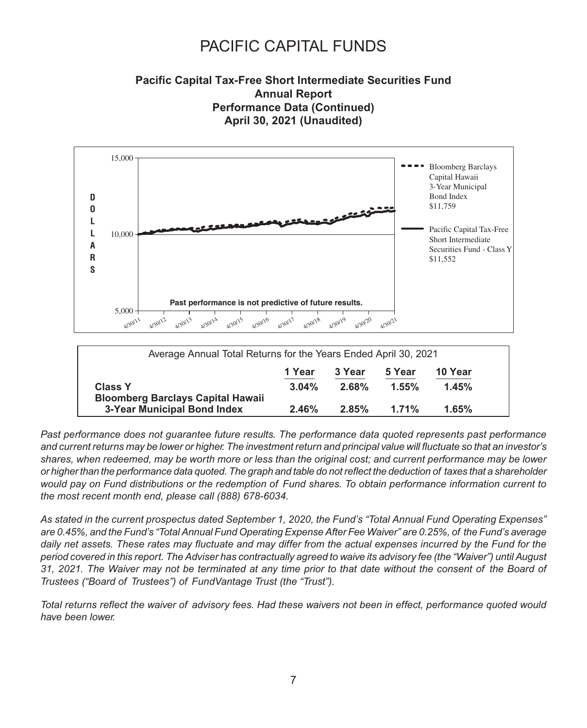### **Pacific Capital Tax-Free Short Intermediate Securities Fund Annual Report Performance Data (Continued) April 30, 2021 (Unaudited)**



*Past performance does not guarantee future results. The performance data quoted represents past performance and current returns may be lower or higher. The investment return and principal value will fluctuate so that an investor's shares, when redeemed, may be worth more or less than the original cost; and current performance may be lower or higher than the performance data quoted. The graph and table do not reflect the deduction of taxes that a shareholder would pay on Fund distributions or the redemption of Fund shares. To obtain performance information current to the most recent month end, please call (888) 678-6034.*

*As stated in the current prospectus dated September 1, 2020, the Fund's "Total Annual Fund Operating Expenses" are 0.45%, and the Fund's "Total Annual Fund Operating Expense After Fee Waiver" are 0.25%, of the Fund's average daily net assets. These rates may fluctuate and may differ from the actual expenses incurred by the Fund for the period covered in this report. The Adviser has contractually agreed to waive its advisory fee (the "Waiver") until August 31, 2021. The Waiver may not be terminated at any time prior to that date without the consent of the Board of Trustees ("Board of Trustees") of FundVantage Trust (the "Trust").*

*Total returns reflect the waiver of advisory fees. Had these waivers not been in effect, performance quoted would have been lower.*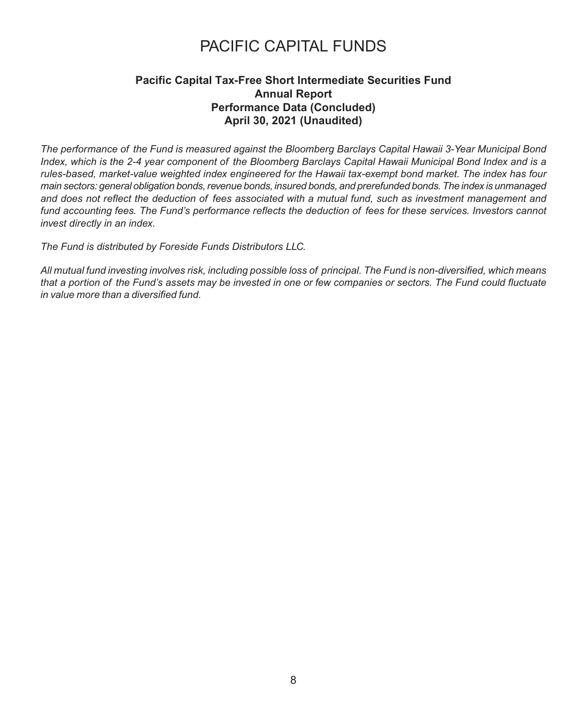### **Pacific Capital Tax-Free Short Intermediate Securities Fund Annual Report Performance Data (Concluded) April 30, 2021 (Unaudited)**

*The performance of the Fund is measured against the Bloomberg Barclays Capital Hawaii 3-Year Municipal Bond Index, which is the 2-4 year component of the Bloomberg Barclays Capital Hawaii Municipal Bond Index and is a rules-based, market-value weighted index engineered for the Hawaii tax-exempt bond market. The index has four main sectors: general obligation bonds, revenue bonds, insured bonds, and prerefunded bonds. The index is unmanaged and does not reflect the deduction of fees associated with a mutual fund, such as investment management and fund accounting fees. The Fund's performance reflects the deduction of fees for these services. Investors cannot invest directly in an index.*

*The Fund is distributed by Foreside Funds Distributors LLC.*

*All mutual fund investing involves risk, including possible loss of principal. The Fund is non-diversified, which means that a portion of the Fund's assets may be invested in one or few companies or sectors. The Fund could fluctuate in value more than a diversified fund.*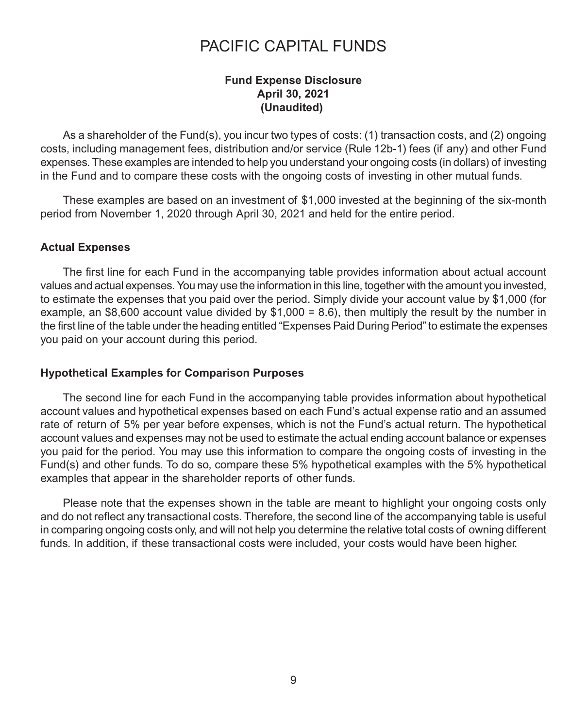### **Fund Expense Disclosure April 30, 2021 (Unaudited)**

As a shareholder of the Fund(s), you incur two types of costs: (1) transaction costs, and (2) ongoing costs, including management fees, distribution and/or service (Rule 12b-1) fees (if any) and other Fund expenses. These examples are intended to help you understand your ongoing costs (in dollars) of investing in the Fund and to compare these costs with the ongoing costs of investing in other mutual funds.

These examples are based on an investment of \$1,000 invested at the beginning of the six-month period from November 1, 2020 through April 30, 2021 and held for the entire period.

### **Actual Expenses**

The first line for each Fund in the accompanying table provides information about actual account values and actual expenses. You may use the information in this line, together with the amount you invested, to estimate the expenses that you paid over the period. Simply divide your account value by \$1,000 (for example, an \$8,600 account value divided by  $$1,000 = 8.6$ ), then multiply the result by the number in the first line of the table under the heading entitled "Expenses Paid During Period" to estimate the expenses you paid on your account during this period.

#### **Hypothetical Examples for Comparison Purposes**

The second line for each Fund in the accompanying table provides information about hypothetical account values and hypothetical expenses based on each Fund's actual expense ratio and an assumed rate of return of 5% per year before expenses, which is not the Fund's actual return. The hypothetical account values and expenses may not be used to estimate the actual ending account balance or expenses you paid for the period. You may use this information to compare the ongoing costs of investing in the Fund(s) and other funds. To do so, compare these 5% hypothetical examples with the 5% hypothetical examples that appear in the shareholder reports of other funds.

Please note that the expenses shown in the table are meant to highlight your ongoing costs only and do not reflect any transactional costs. Therefore, the second line of the accompanying table is useful in comparing ongoing costs only, and will not help you determine the relative total costs of owning different funds. In addition, if these transactional costs were included, your costs would have been higher.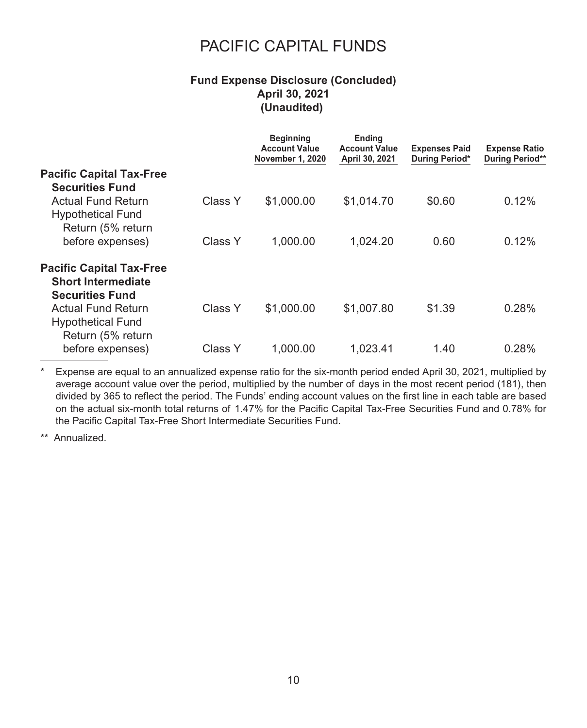### **Fund Expense Disclosure (Concluded) April 30, 2021 (Unaudited)**

|                                 |         | <b>Beginning</b><br><b>Account Value</b><br>November 1, 2020 | <b>Ending</b><br><b>Account Value</b><br>April 30, 2021 | <b>Expenses Paid</b><br>During Period* | <b>Expense Ratio</b><br><b>During Period**</b> |
|---------------------------------|---------|--------------------------------------------------------------|---------------------------------------------------------|----------------------------------------|------------------------------------------------|
| <b>Pacific Capital Tax-Free</b> |         |                                                              |                                                         |                                        |                                                |
| <b>Securities Fund</b>          |         |                                                              |                                                         |                                        |                                                |
| Actual Fund Return              | Class Y | \$1,000.00                                                   | \$1,014.70                                              | \$0.60                                 | 0.12%                                          |
| <b>Hypothetical Fund</b>        |         |                                                              |                                                         |                                        |                                                |
| Return (5% return               |         |                                                              |                                                         |                                        |                                                |
| before expenses)                | Class Y | 1,000.00                                                     | 1,024.20                                                | 0.60                                   | 0.12%                                          |
| <b>Pacific Capital Tax-Free</b> |         |                                                              |                                                         |                                        |                                                |
| <b>Short Intermediate</b>       |         |                                                              |                                                         |                                        |                                                |
| <b>Securities Fund</b>          |         |                                                              |                                                         |                                        |                                                |
| Actual Fund Return              | Class Y | \$1,000.00                                                   | \$1,007.80                                              | \$1.39                                 | 0.28%                                          |
| <b>Hypothetical Fund</b>        |         |                                                              |                                                         |                                        |                                                |
| Return (5% return               |         |                                                              |                                                         |                                        |                                                |
| before expenses)                | Class Y | 1.000.00                                                     | 1,023.41                                                | 1.40                                   | 0.28%                                          |

\* Expense are equal to an annualized expense ratio for the six-month period ended April 30, 2021, multiplied by average account value over the period, multiplied by the number of days in the most recent period (181), then divided by 365 to reflect the period. The Funds' ending account values on the first line in each table are based on the actual six-month total returns of 1.47% for the Pacific Capital Tax-Free Securities Fund and 0.78% for the Pacific Capital Tax-Free Short Intermediate Securities Fund.

\*\* Annualized.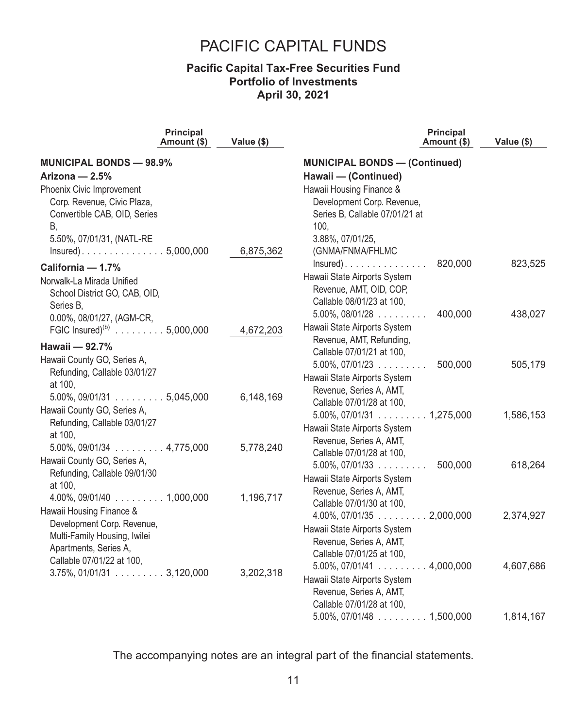### **Pacific Capital Tax-Free Securities Fund Portfolio of Investments April 30, 2021**

|                                                      | <b>Principal</b><br>Amount (\$) | Value (\$) | <b>Principal</b><br>Amount (\$)                      | Value (\$) |
|------------------------------------------------------|---------------------------------|------------|------------------------------------------------------|------------|
| <b>MUNICIPAL BONDS - 98.9%</b>                       |                                 |            | <b>MUNICIPAL BONDS - (Continued)</b>                 |            |
| Arizona - 2.5%                                       |                                 |            | Hawaii - (Continued)                                 |            |
| Phoenix Civic Improvement                            |                                 |            | Hawaii Housing Finance &                             |            |
| Corp. Revenue, Civic Plaza,                          |                                 |            | Development Corp. Revenue,                           |            |
| Convertible CAB, OID, Series                         |                                 |            | Series B, Callable 07/01/21 at                       |            |
| В.                                                   |                                 |            | 100.                                                 |            |
| 5.50%, 07/01/31, (NATL-RE                            |                                 |            | 3.88%, 07/01/25,                                     |            |
|                                                      |                                 | 6,875,362  | (GNMA/FNMA/FHLMC                                     |            |
| California - 1.7%                                    |                                 |            | 820,000<br>$Insured)$                                | 823,525    |
| Norwalk-La Mirada Unified                            |                                 |            | Hawaii State Airports System                         |            |
| School District GO, CAB, OID,                        |                                 |            | Revenue, AMT, OID, COP,                              |            |
| Series B,                                            |                                 |            | Callable 08/01/23 at 100,                            |            |
| 0.00%, 08/01/27, (AGM-CR,                            |                                 |            | $5.00\%$ , 08/01/28<br>400,000                       | 438,027    |
| FGIC Insured) <sup>(b)</sup> 5,000,000               |                                 | 4,672,203  | Hawaii State Airports System                         |            |
| Hawaii - 92.7%                                       |                                 |            | Revenue, AMT, Refunding,                             |            |
| Hawaii County GO, Series A,                          |                                 |            | Callable 07/01/21 at 100,                            |            |
| Refunding, Callable 03/01/27                         |                                 |            | $5.00\%$ , 07/01/23<br>500,000                       | 505,179    |
| at 100,                                              |                                 |            | Hawaii State Airports System                         |            |
| $5.00\%$ , 09/01/31 $\ldots \ldots \ldots 5,045,000$ |                                 | 6,148,169  | Revenue, Series A, AMT,                              |            |
| Hawaii County GO, Series A,                          |                                 |            | Callable 07/01/28 at 100,                            |            |
| Refunding, Callable 03/01/27                         |                                 |            | $5.00\%$ , 07/01/31 $\ldots \ldots \ldots 1,275,000$ | 1,586,153  |
| at 100,                                              |                                 |            | Hawaii State Airports System                         |            |
| $5.00\%$ , 09/01/34 $\ldots$ 4,775,000               |                                 | 5,778,240  | Revenue, Series A, AMT,                              |            |
| Hawaii County GO, Series A,                          |                                 |            | Callable 07/01/28 at 100,                            |            |
| Refunding, Callable 09/01/30                         |                                 |            | $5.00\%$ , 07/01/33<br>500,000                       | 618,264    |
| at 100,                                              |                                 |            | Hawaii State Airports System                         |            |
| $4.00\%$ , 09/01/40 $\ldots$ 1,000,000               |                                 | 1,196,717  | Revenue, Series A, AMT,                              |            |
| Hawaii Housing Finance &                             |                                 |            | Callable 07/01/30 at 100,                            |            |
| Development Corp. Revenue,                           |                                 |            | $4.00\%$ , 07/01/35 $\ldots$ 2,000,000               | 2,374,927  |
| Multi-Family Housing, Iwilei                         |                                 |            | Hawaii State Airports System                         |            |
| Apartments, Series A,                                |                                 |            | Revenue, Series A, AMT,<br>Callable 07/01/25 at 100, |            |
| Callable 07/01/22 at 100,                            |                                 |            | $5.00\%$ , 07/01/41 $\ldots \ldots \ldots 4,000,000$ | 4,607,686  |
| $3.75\%$ , 01/01/31 $\ldots \ldots \ldots 3,120,000$ |                                 | 3,202,318  | Hawaii State Airports System                         |            |
|                                                      |                                 |            | Revenue, Series A, AMT,                              |            |
|                                                      |                                 |            | Callable 07/01/28 at 100,                            |            |
|                                                      |                                 |            | $5.00\%$ , 07/01/48 $\ldots \ldots \ldots 1,500,000$ | 1,814,167  |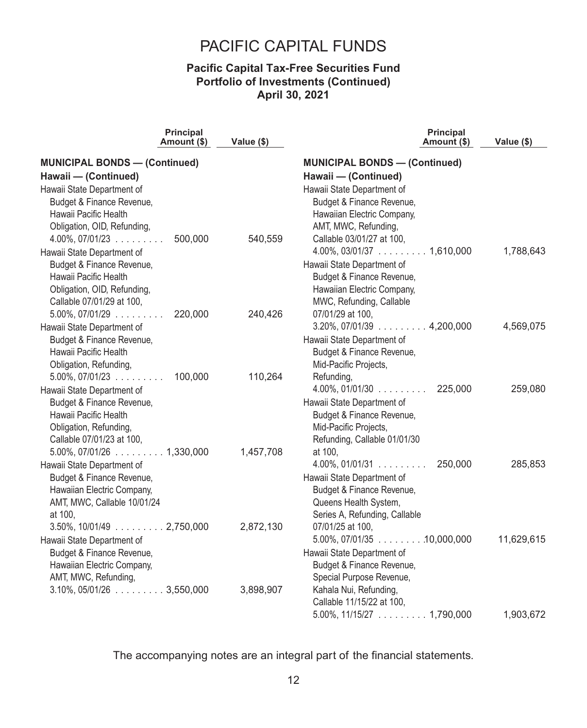### **Pacific Capital Tax-Free Securities Fund Portfolio of Investments (Continued) April 30, 2021**

|                                        | <b>Principal</b><br>Amount (\$) | Value (\$) | <b>Principal</b><br>Amount (\$)         | Value (\$) |
|----------------------------------------|---------------------------------|------------|-----------------------------------------|------------|
| <b>MUNICIPAL BONDS - (Continued)</b>   |                                 |            | <b>MUNICIPAL BONDS - (Continued)</b>    |            |
| Hawaii - (Continued)                   |                                 |            | Hawaii - (Continued)                    |            |
| Hawaii State Department of             |                                 |            | Hawaii State Department of              |            |
| Budget & Finance Revenue,              |                                 |            | Budget & Finance Revenue,               |            |
| Hawaii Pacific Health                  |                                 |            | Hawaiian Electric Company,              |            |
| Obligation, OID, Refunding,            |                                 |            | AMT, MWC, Refunding,                    |            |
| $4.00\%$ , 07/01/23                    | 500,000                         | 540,559    | Callable 03/01/27 at 100,               |            |
| Hawaii State Department of             |                                 |            | $4.00\%$ , 03/01/37 $\ldots$ 1,610,000  | 1,788,643  |
| Budget & Finance Revenue,              |                                 |            | Hawaii State Department of              |            |
| Hawaii Pacific Health                  |                                 |            | Budget & Finance Revenue,               |            |
| Obligation, OID, Refunding,            |                                 |            | Hawaiian Electric Company,              |            |
| Callable 07/01/29 at 100,              |                                 |            | MWC, Refunding, Callable                |            |
| $5.00\%$ , $07/01/29$                  | 220,000                         | 240,426    | 07/01/29 at 100,                        |            |
| Hawaii State Department of             |                                 |            | $3.20\%$ , 07/01/39 $\ldots$ 4,200,000  | 4,569,075  |
| Budget & Finance Revenue,              |                                 |            | Hawaii State Department of              |            |
| Hawaii Pacific Health                  |                                 |            | Budget & Finance Revenue,               |            |
| Obligation, Refunding,                 |                                 |            | Mid-Pacific Projects,                   |            |
| $5.00\%$ , $07/01/23$                  | 100,000                         | 110,264    | Refunding,                              |            |
| Hawaii State Department of             |                                 |            | $4.00\%$ , 01/01/30 $\ldots$ 225,000    | 259,080    |
| Budget & Finance Revenue,              |                                 |            | Hawaii State Department of              |            |
| Hawaii Pacific Health                  |                                 |            | Budget & Finance Revenue,               |            |
| Obligation, Refunding,                 |                                 |            | Mid-Pacific Projects,                   |            |
| Callable 07/01/23 at 100,              |                                 |            | Refunding, Callable 01/01/30            |            |
| $5.00\%$ , 07/01/26 $\ldots$ 1,330,000 |                                 | 1,457,708  | at 100,                                 |            |
| Hawaii State Department of             |                                 |            | $4.00\%$ , 01/01/31<br>250,000          | 285,853    |
| Budget & Finance Revenue,              |                                 |            | Hawaii State Department of              |            |
| Hawaiian Electric Company,             |                                 |            | Budget & Finance Revenue,               |            |
| AMT, MWC, Callable 10/01/24            |                                 |            | Queens Health System,                   |            |
| at 100,                                |                                 |            | Series A, Refunding, Callable           |            |
| $3.50\%$ , $10/01/49$ 2,750,000        |                                 | 2,872,130  | 07/01/25 at 100,                        |            |
| Hawaii State Department of             |                                 |            | $5.00\%$ , 07/01/35 $\ldots$ 10,000,000 | 11,629,615 |
| Budget & Finance Revenue,              |                                 |            | Hawaii State Department of              |            |
| Hawaiian Electric Company,             |                                 |            | Budget & Finance Revenue,               |            |
| AMT, MWC, Refunding,                   |                                 |            | Special Purpose Revenue,                |            |
| $3.10\%$ , $05/01/26$ 3,550,000        |                                 | 3,898,907  | Kahala Nui, Refunding,                  |            |
|                                        |                                 |            | Callable 11/15/22 at 100,               |            |
|                                        |                                 |            | $5.00\%$ , 11/15/27 $\ldots$ 1,790,000  | 1,903,672  |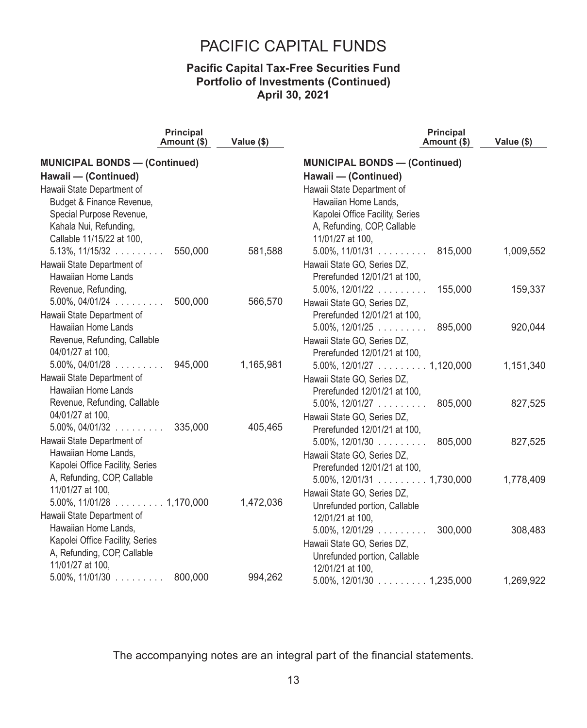### **Pacific Capital Tax-Free Securities Fund Portfolio of Investments (Continued) April 30, 2021**

|                                                    | <b>Principal</b><br>Amount (\$) | Value (\$) | <b>Principal</b><br>Amount (\$)                      | Value (\$) |
|----------------------------------------------------|---------------------------------|------------|------------------------------------------------------|------------|
| <b>MUNICIPAL BONDS - (Continued)</b>               |                                 |            | <b>MUNICIPAL BONDS - (Continued)</b>                 |            |
| Hawaii - (Continued)                               |                                 |            | Hawaii - (Continued)                                 |            |
| Hawaii State Department of                         |                                 |            | Hawaii State Department of                           |            |
| Budget & Finance Revenue,                          |                                 |            | Hawaiian Home Lands,                                 |            |
| Special Purpose Revenue,                           |                                 |            | Kapolei Office Facility, Series                      |            |
| Kahala Nui, Refunding,                             |                                 |            | A, Refunding, COP, Callable                          |            |
| Callable 11/15/22 at 100,                          |                                 |            | 11/01/27 at 100,                                     |            |
| $5.13\%$ , $11/15/32$                              | 550,000                         | 581,588    | $5.00\%$ , 11/01/31 815,000                          | 1,009,552  |
| Hawaii State Department of                         |                                 |            | Hawaii State GO, Series DZ,                          |            |
| Hawaiian Home Lands                                |                                 |            | Prerefunded 12/01/21 at 100,                         |            |
| Revenue, Refunding,                                |                                 |            | $5.00\%$ , $12/01/22$ 155,000                        | 159,337    |
| $5.00\%$ , $04/01/24$                              | 500,000                         | 566,570    | Hawaii State GO, Series DZ,                          |            |
| Hawaii State Department of                         |                                 |            | Prerefunded 12/01/21 at 100,                         |            |
| Hawaiian Home Lands                                |                                 |            | $5.00\%$ , 12/01/25 $\ldots$ 895,000                 | 920,044    |
| Revenue, Refunding, Callable                       |                                 |            | Hawaii State GO, Series DZ,                          |            |
| 04/01/27 at 100,                                   |                                 |            | Prerefunded 12/01/21 at 100,                         |            |
| $5.00\%$ , 04/01/28                                | 945,000                         | 1,165,981  | $5.00\%$ , 12/01/27 $\ldots \ldots \ldots 1,120,000$ | 1,151,340  |
| Hawaii State Department of                         |                                 |            | Hawaii State GO, Series DZ,                          |            |
| <b>Hawaiian Home Lands</b>                         |                                 |            | Prerefunded 12/01/21 at 100,                         |            |
| Revenue, Refunding, Callable                       |                                 |            | $5.00\%$ , $12/01/27$<br>805,000                     | 827,525    |
| 04/01/27 at 100,                                   |                                 |            | Hawaii State GO, Series DZ,                          |            |
| $5.00\%$ , 04/01/32                                | 335,000                         | 405,465    | Prerefunded 12/01/21 at 100,                         |            |
| Hawaii State Department of                         |                                 |            | $5.00\%$ , 12/01/30 $\ldots$<br>805,000              | 827,525    |
| Hawaiian Home Lands,                               |                                 |            | Hawaii State GO, Series DZ,                          |            |
| Kapolei Office Facility, Series                    |                                 |            | Prerefunded 12/01/21 at 100,                         |            |
| A, Refunding, COP, Callable                        |                                 |            | $5.00\%$ , 12/01/31 $\ldots \ldots \ldots 1,730,000$ | 1,778,409  |
| 11/01/27 at 100,                                   |                                 |            | Hawaii State GO, Series DZ,                          |            |
|                                                    |                                 | 1,472,036  | Unrefunded portion, Callable                         |            |
| Hawaii State Department of<br>Hawaiian Home Lands, |                                 |            | 12/01/21 at 100,                                     |            |
| Kapolei Office Facility, Series                    |                                 |            | $5.00\%$ , $12/01/29$<br>300,000                     | 308,483    |
| A, Refunding, COP, Callable                        |                                 |            | Hawaii State GO, Series DZ,                          |            |
| 11/01/27 at 100.                                   |                                 |            | Unrefunded portion, Callable                         |            |
| $5.00\%$ , 11/01/30                                | 800,000                         | 994,262    | 12/01/21 at 100,                                     |            |
|                                                    |                                 |            | $5.00\%$ , 12/01/30 $\ldots \ldots \ldots 1,235,000$ | 1,269,922  |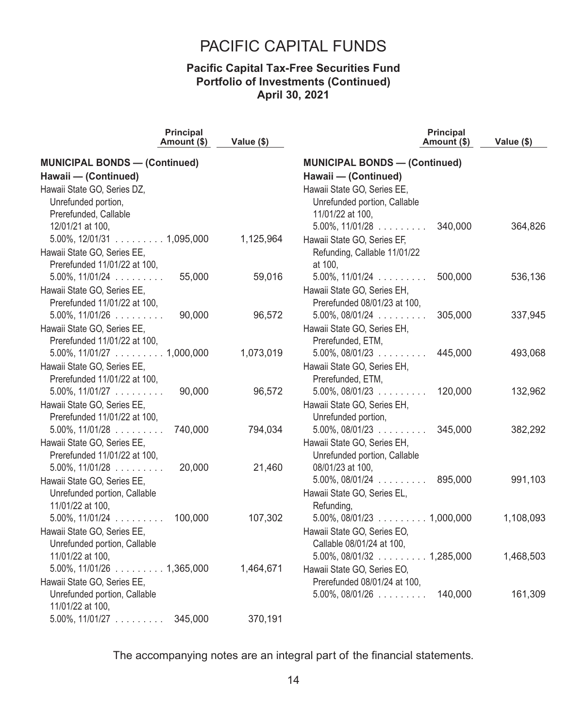### **Pacific Capital Tax-Free Securities Fund Portfolio of Investments (Continued) April 30, 2021**

| <b>Principal</b><br>Amount (\$)                      | Value (\$) | <b>Principal</b><br>Amount (\$)        | Value (\$) |
|------------------------------------------------------|------------|----------------------------------------|------------|
| <b>MUNICIPAL BONDS - (Continued)</b>                 |            | <b>MUNICIPAL BONDS - (Continued)</b>   |            |
| Hawaii - (Continued)                                 |            | Hawaii - (Continued)                   |            |
| Hawaii State GO, Series DZ,                          |            | Hawaii State GO, Series EE,            |            |
| Unrefunded portion,                                  |            | Unrefunded portion, Callable           |            |
| Prerefunded, Callable                                |            | 11/01/22 at 100,                       |            |
| 12/01/21 at 100,                                     |            | 340.000<br>$5.00\%$ , $11/01/28$       | 364,826    |
| $5.00\%$ , 12/01/31 $\ldots \ldots \ldots 1,095,000$ | 1,125,964  | Hawaii State GO, Series EF,            |            |
| Hawaii State GO, Series EE,                          |            | Refunding, Callable 11/01/22           |            |
| Prerefunded 11/01/22 at 100,                         |            | at 100.                                |            |
| $5.00\%$ , $11/01/24$<br>55,000                      | 59,016     | $5.00\%$ , $11/01/24$<br>500,000       | 536,136    |
| Hawaii State GO, Series EE,                          |            | Hawaii State GO, Series EH,            |            |
| Prerefunded 11/01/22 at 100,                         |            | Prerefunded 08/01/23 at 100,           |            |
| $5.00\%$ , $11/01/26$<br>90,000                      | 96,572     | $5.00\%$ , $08/01/24$<br>305,000       | 337,945    |
| Hawaii State GO, Series EE,                          |            | Hawaii State GO, Series EH,            |            |
| Prerefunded 11/01/22 at 100,                         |            | Prerefunded, ETM,                      |            |
| $5.00\%$ , 11/01/27 1,000,000                        | 1,073,019  | $5.00\%$ , 08/01/23<br>445,000         | 493,068    |
| Hawaii State GO, Series EE,                          |            | Hawaii State GO, Series EH,            |            |
| Prerefunded 11/01/22 at 100,                         |            | Prerefunded, ETM,                      |            |
| $5.00\%$ , 11/01/27<br>90,000                        | 96,572     | $5.00\%$ , 08/01/23<br>120,000         | 132,962    |
| Hawaii State GO, Series EE,                          |            | Hawaii State GO, Series EH,            |            |
| Prerefunded 11/01/22 at 100,                         |            | Unrefunded portion,                    |            |
| $5.00\%$ , 11/01/28<br>740,000                       | 794,034    | $5.00\%$ , 08/01/23<br>345,000         | 382,292    |
| Hawaii State GO, Series EE,                          |            | Hawaii State GO, Series EH,            |            |
| Prerefunded 11/01/22 at 100,                         |            | Unrefunded portion, Callable           |            |
| $5.00\%$ , 11/01/28<br>20,000                        | 21,460     | 08/01/23 at 100,                       |            |
| Hawaii State GO, Series EE,                          |            | $5.00\%$ , 08/01/24<br>895,000         | 991,103    |
| Unrefunded portion, Callable                         |            | Hawaii State GO, Series EL,            |            |
| 11/01/22 at 100,                                     |            | Refunding,                             |            |
| $5.00\%$ , $11/01/24$<br>100,000                     | 107,302    | $5.00\%$ , 08/01/23 $\ldots$ 1,000,000 | 1,108,093  |
| Hawaii State GO, Series EE,                          |            | Hawaii State GO, Series EO,            |            |
| Unrefunded portion, Callable                         |            | Callable 08/01/24 at 100,              |            |
| 11/01/22 at 100,                                     |            | $5.00\%$ , 08/01/32 $\ldots$ 1,285,000 | 1,468,503  |
| $5.00\%$ , $11/01/26$ 1,365,000                      | 1,464,671  | Hawaii State GO, Series EO,            |            |
| Hawaii State GO, Series EE,                          |            | Prerefunded 08/01/24 at 100,           |            |
| Unrefunded portion, Callable                         |            | $5.00\%$ , 08/01/26 $\dots$<br>140,000 | 161,309    |
| 11/01/22 at 100,                                     |            |                                        |            |
| $5.00\%$ , 11/01/27<br>345,000                       | 370,191    |                                        |            |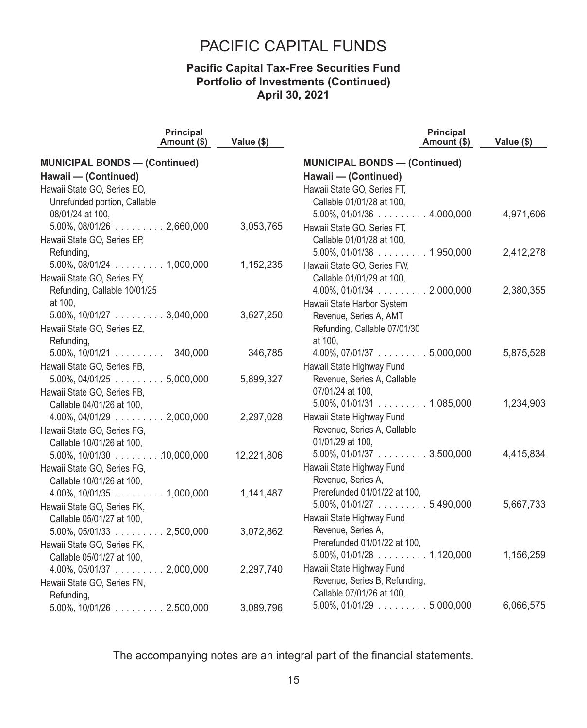### **Pacific Capital Tax-Free Securities Fund Portfolio of Investments (Continued) April 30, 2021**

|                                                       | Principal<br>Amount (\$) | Value (\$) | Principal<br>Amount (\$)                             | Value (\$) |
|-------------------------------------------------------|--------------------------|------------|------------------------------------------------------|------------|
| <b>MUNICIPAL BONDS - (Continued)</b>                  |                          |            | <b>MUNICIPAL BONDS - (Continued)</b>                 |            |
| Hawaii - (Continued)                                  |                          |            | Hawaii - (Continued)                                 |            |
| Hawaii State GO, Series EO,                           |                          |            | Hawaii State GO, Series FT,                          |            |
| Unrefunded portion, Callable                          |                          |            | Callable 01/01/28 at 100,                            |            |
| 08/01/24 at 100,                                      |                          |            | $5.00\%$ , 01/01/36 $\ldots$ 4,000,000               | 4,971,606  |
| $5.00\%$ , $08/01/26$ 2,660,000                       |                          | 3,053,765  | Hawaii State GO, Series FT,                          |            |
| Hawaii State GO, Series EP,                           |                          |            | Callable 01/01/28 at 100,                            |            |
| Refunding,                                            |                          |            | $5.00\%$ , 01/01/38 $\ldots$ 1,950,000               | 2,412,278  |
| $5.00\%$ , 08/01/24 $\ldots$ 1,000,000                |                          | 1,152,235  | Hawaii State GO, Series FW,                          |            |
| Hawaii State GO, Series EY,                           |                          |            | Callable 01/01/29 at 100,                            |            |
| Refunding, Callable 10/01/25                          |                          |            | $4.00\%$ , 01/01/34 $\ldots$ 2,000,000               | 2,380,355  |
| at 100,                                               |                          |            | Hawaii State Harbor System                           |            |
| $5.00\%$ , 10/01/27 $\ldots$ 3,040,000                |                          | 3,627,250  | Revenue, Series A, AMT,                              |            |
| Hawaii State GO, Series EZ,                           |                          |            | Refunding, Callable 07/01/30                         |            |
| Refunding,                                            |                          |            | at 100,                                              |            |
| $5.00\%$ , $10/01/21$ 340,000                         |                          | 346,785    | $4.00\%$ , 07/01/37 $\ldots \ldots \ldots 5,000,000$ | 5,875,528  |
| Hawaii State GO, Series FB,                           |                          |            | Hawaii State Highway Fund                            |            |
| $5.00\%$ , 04/01/25 $\ldots$ 5,000,000                |                          | 5,899,327  | Revenue, Series A, Callable                          |            |
| Hawaii State GO, Series FB,                           |                          |            | 07/01/24 at 100,                                     |            |
| Callable 04/01/26 at 100,                             |                          |            | $5.00\%$ , 01/01/31 $\ldots$ 1,085,000               | 1,234,903  |
| $4.00\%$ , 04/01/29 $\ldots$ 2,000,000                |                          | 2,297,028  | Hawaii State Highway Fund                            |            |
| Hawaii State GO, Series FG,                           |                          |            | Revenue, Series A, Callable                          |            |
| Callable 10/01/26 at 100,                             |                          |            | 01/01/29 at 100,                                     |            |
| $5.00\%$ , 10/01/30 $\ldots \ldots \ldots 10,000,000$ |                          | 12,221,806 | $5.00\%$ , 01/01/37 $\ldots \ldots \ldots 3,500,000$ | 4,415,834  |
| Hawaii State GO, Series FG,                           |                          |            | Hawaii State Highway Fund                            |            |
| Callable 10/01/26 at 100,                             |                          |            | Revenue, Series A,                                   |            |
| $4.00\%$ , 10/01/35 $\ldots$ 1,000,000                |                          | 1,141,487  | Prerefunded 01/01/22 at 100,                         |            |
| Hawaii State GO, Series FK,                           |                          |            | $5.00\%$ , 01/01/27 $\ldots \ldots \ldots 5,490,000$ | 5,667,733  |
| Callable 05/01/27 at 100,                             |                          |            | Hawaii State Highway Fund                            |            |
| $5.00\%$ , 05/01/33 $\ldots$ 2,500,000                |                          | 3,072,862  | Revenue, Series A,                                   |            |
| Hawaii State GO, Series FK,                           |                          |            | Prerefunded 01/01/22 at 100,                         |            |
| Callable 05/01/27 at 100,                             |                          |            | $5.00\%$ , 01/01/28 $\ldots$ 1,120,000               | 1,156,259  |
| $4.00\%$ , 05/01/37 2,000,000                         |                          | 2,297,740  | Hawaii State Highway Fund                            |            |
| Hawaii State GO, Series FN,                           |                          |            | Revenue, Series B, Refunding,                        |            |
| Refunding,                                            |                          |            | Callable 07/01/26 at 100,                            |            |
| $5.00\%$ , $10/01/26$ 2,500,000                       |                          | 3,089,796  | $5.00\%$ , 01/01/29 $\ldots \ldots \ldots 5,000,000$ | 6,066,575  |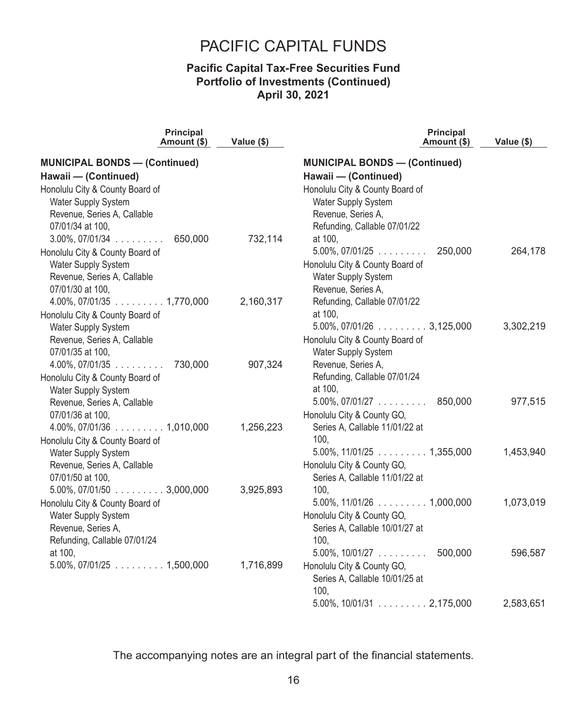### **Pacific Capital Tax-Free Securities Fund Portfolio of Investments (Continued) April 30, 2021**

| <b>Principal</b><br>Amount (\$)        | Value (\$) | <b>Principal</b><br>Amount (\$)        | Value (\$) |
|----------------------------------------|------------|----------------------------------------|------------|
| <b>MUNICIPAL BONDS - (Continued)</b>   |            | <b>MUNICIPAL BONDS - (Continued)</b>   |            |
| Hawaii - (Continued)                   |            | Hawaii - (Continued)                   |            |
| Honolulu City & County Board of        |            | Honolulu City & County Board of        |            |
| Water Supply System                    |            | Water Supply System                    |            |
| Revenue, Series A, Callable            |            | Revenue, Series A,                     |            |
| 07/01/34 at 100,                       |            | Refunding, Callable 07/01/22           |            |
| 650,000<br>$3.00\%$ , 07/01/34         | 732,114    | at 100,                                |            |
| Honolulu City & County Board of        |            | $5.00\%$ , 07/01/25<br>250,000         | 264,178    |
| Water Supply System                    |            | Honolulu City & County Board of        |            |
| Revenue, Series A, Callable            |            | Water Supply System                    |            |
| 07/01/30 at 100.                       |            | Revenue, Series A,                     |            |
|                                        | 2,160,317  | Refunding, Callable 07/01/22           |            |
| Honolulu City & County Board of        |            | at 100,                                |            |
| Water Supply System                    |            | $5.00\%$ , 07/01/26 $\ldots$ 3,125,000 | 3,302,219  |
| Revenue, Series A, Callable            |            | Honolulu City & County Board of        |            |
| 07/01/35 at 100,                       |            | Water Supply System                    |            |
| $4.00\%$ , 07/01/35<br>730,000         | 907,324    | Revenue, Series A,                     |            |
| Honolulu City & County Board of        |            | Refunding, Callable 07/01/24           |            |
| Water Supply System                    |            | at 100,                                |            |
| Revenue, Series A, Callable            |            | $5.00\%$ , 07/01/27 $\ldots$ 850,000   | 977,515    |
| 07/01/36 at 100,                       |            | Honolulu City & County GO,             |            |
|                                        | 1,256,223  | Series A, Callable 11/01/22 at         |            |
| Honolulu City & County Board of        |            | 100.                                   |            |
| Water Supply System                    |            | $5.00\%$ , 11/01/25 $\ldots$ 1,355,000 | 1,453,940  |
| Revenue, Series A, Callable            |            | Honolulu City & County GO,             |            |
| 07/01/50 at 100,                       |            | Series A, Callable 11/01/22 at         |            |
| $5.00\%$ , 07/01/50 $\ldots$ 3,000,000 | 3,925,893  | 100.                                   |            |
| Honolulu City & County Board of        |            | $5.00\%$ , 11/01/26 $\ldots$ 1,000,000 | 1,073,019  |
| Water Supply System                    |            | Honolulu City & County GO,             |            |
| Revenue, Series A,                     |            | Series A, Callable 10/01/27 at         |            |
| Refunding, Callable 07/01/24           |            | 100.                                   |            |
| at 100,                                |            | $5.00\%$ , 10/01/27 500,000            | 596,587    |
| $5.00\%$ , 07/01/25 $\ldots$ 1,500,000 | 1,716,899  | Honolulu City & County GO,             |            |
|                                        |            | Series A, Callable 10/01/25 at         |            |
|                                        |            | 100.                                   |            |
|                                        |            | $5.00\%$ , $10/01/31$ 2, 175,000       | 2,583,651  |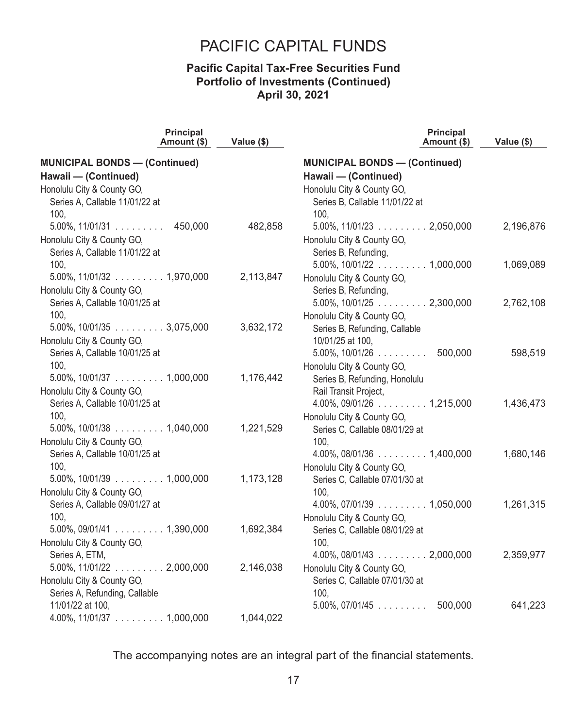### **Pacific Capital Tax-Free Securities Fund Portfolio of Investments (Continued) April 30, 2021**

|                                                                        | Principal<br>Amount (\$) | Value (\$) | Principal<br>Amount (\$)                | Value (\$) |
|------------------------------------------------------------------------|--------------------------|------------|-----------------------------------------|------------|
| <b>MUNICIPAL BONDS - (Continued)</b>                                   |                          |            | <b>MUNICIPAL BONDS - (Continued)</b>    |            |
| Hawaii - (Continued)                                                   |                          |            | Hawaii - (Continued)                    |            |
| Honolulu City & County GO,                                             |                          |            | Honolulu City & County GO,              |            |
| Series A, Callable 11/01/22 at                                         |                          |            | Series B, Callable 11/01/22 at          |            |
| 100,                                                                   |                          |            | 100,                                    |            |
| $5.00\%$ , 11/01/31                                                    | 450,000                  | 482,858    | $5.00\%$ , 11/01/23 $\ldots$ 2,050,000  | 2,196,876  |
| Honolulu City & County GO,                                             |                          |            | Honolulu City & County GO,              |            |
| Series A, Callable 11/01/22 at                                         |                          |            | Series B, Refunding,                    |            |
| 100,                                                                   |                          |            | $5.00\%$ , 10/01/22 $\ldots$ 1,000,000  | 1,069,089  |
| $5.00\%$ , $11/01/32$ 1,970,000                                        |                          | 2,113,847  | Honolulu City & County GO,              |            |
| Honolulu City & County GO,                                             |                          |            | Series B, Refunding,                    |            |
| Series A, Callable 10/01/25 at                                         |                          |            | $5.00\%$ , 10/01/25 $\ldots$ 2,300,000  | 2,762,108  |
| 100,                                                                   |                          |            | Honolulu City & County GO,              |            |
| $5.00\%$ , 10/01/35 $\ldots$ 3,075,000                                 |                          | 3,632,172  | Series B, Refunding, Callable           |            |
| Honolulu City & County GO,                                             |                          |            | 10/01/25 at 100,                        |            |
| Series A, Callable 10/01/25 at                                         |                          |            | $5.00\%$ , 10/01/26 $\ldots$ 500,000    | 598,519    |
| 100.                                                                   |                          |            | Honolulu City & County GO,              |            |
| $5.00\%$ , 10/01/37 1,000,000                                          |                          | 1,176,442  | Series B, Refunding, Honolulu           |            |
| Honolulu City & County GO,                                             |                          |            | Rail Transit Project,                   |            |
| Series A, Callable 10/01/25 at                                         |                          |            | $4.00\%$ , 09/01/26 $\ldots$ 1,215,000  | 1,436,473  |
| 100,                                                                   |                          |            | Honolulu City & County GO,              |            |
| $5.00\%$ , 10/01/38 $\ldots$ 1,040,000                                 |                          | 1,221,529  | Series C, Callable 08/01/29 at          |            |
| Honolulu City & County GO,                                             |                          |            | 100.                                    |            |
| Series A, Callable 10/01/25 at                                         |                          |            | $4.00\%$ , 08/01/36 $\ldots$ 1,400,000  | 1,680,146  |
| 100.                                                                   |                          |            | Honolulu City & County GO,              |            |
|                                                                        |                          | 1,173,128  | Series C, Callable 07/01/30 at          |            |
| Honolulu City & County GO,                                             |                          |            | 100.                                    |            |
| Series A, Callable 09/01/27 at                                         |                          |            |                                         | 1,261,315  |
| 100.<br>$5.00\%$ , 09/01/41 $\ldots \ldots \ldots 1,390,000$           |                          |            | Honolulu City & County GO,              |            |
|                                                                        |                          | 1,692,384  | Series C, Callable 08/01/29 at<br>100.  |            |
| Honolulu City & County GO,                                             |                          |            | $4.00\%$ , 08/01/43 $\ldots$ 2,000,000  |            |
| Series A, ETM,<br>$5.00\%$ , 11/01/22 $\ldots \ldots \ldots 2,000,000$ |                          | 2,146,038  |                                         | 2,359,977  |
| Honolulu City & County GO,                                             |                          |            | Honolulu City & County GO,              |            |
| Series A, Refunding, Callable                                          |                          |            | Series C, Callable 07/01/30 at<br>100.  |            |
| 11/01/22 at 100,                                                       |                          |            | $5.00\%$ , 07/01/45 $\ldots$<br>500,000 | 641,223    |
| $4.00\%$ , 11/01/37 $\ldots \ldots \ldots 1,000,000$                   |                          | 1,044,022  |                                         |            |
|                                                                        |                          |            |                                         |            |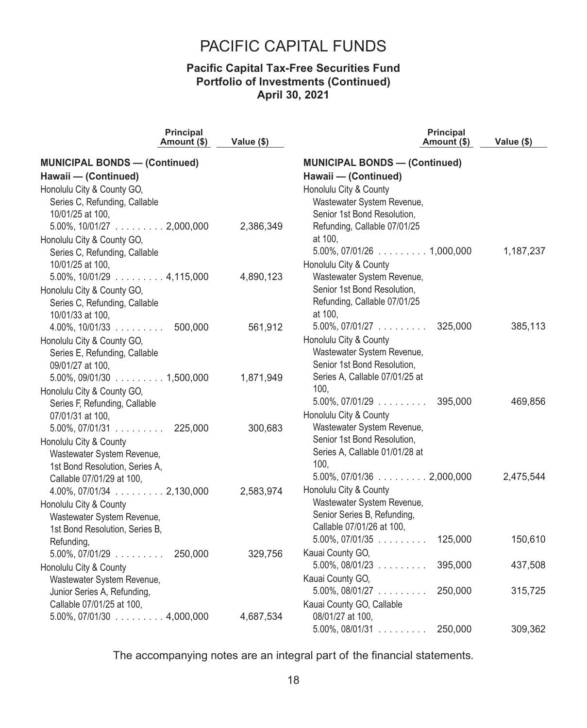### **Pacific Capital Tax-Free Securities Fund Portfolio of Investments (Continued) April 30, 2021**

|                                                             | <b>Principal</b><br>Amount (\$) | Value (\$) | <b>Principal</b><br>Amount (\$)                               | Value (\$) |
|-------------------------------------------------------------|---------------------------------|------------|---------------------------------------------------------------|------------|
| <b>MUNICIPAL BONDS - (Continued)</b>                        |                                 |            | <b>MUNICIPAL BONDS - (Continued)</b>                          |            |
| Hawaii - (Continued)                                        |                                 |            | Hawaii - (Continued)                                          |            |
| Honolulu City & County GO,                                  |                                 |            | Honolulu City & County                                        |            |
| Series C, Refunding, Callable                               |                                 |            | Wastewater System Revenue,                                    |            |
| 10/01/25 at 100,                                            |                                 |            | Senior 1st Bond Resolution,                                   |            |
| $5.00\%$ , 10/01/27 2,000,000                               |                                 | 2,386,349  | Refunding, Callable 07/01/25                                  |            |
| Honolulu City & County GO,                                  |                                 |            | at 100,                                                       |            |
| Series C, Refunding, Callable                               |                                 |            |                                                               | 1,187,237  |
| 10/01/25 at 100,                                            |                                 |            | Honolulu City & County                                        |            |
| $5.00\%$ , 10/01/29 $\ldots \ldots \ldots 4,115,000$        |                                 | 4,890,123  | Wastewater System Revenue,                                    |            |
| Honolulu City & County GO,                                  |                                 |            | Senior 1st Bond Resolution,                                   |            |
| Series C, Refunding, Callable                               |                                 |            | Refunding, Callable 07/01/25                                  |            |
| 10/01/33 at 100,                                            |                                 |            | at 100,                                                       |            |
| $4.00\%$ , 10/01/33                                         | 500,000                         | 561,912    | $5.00\%$ , 07/01/27 325,000                                   | 385,113    |
| Honolulu City & County GO,                                  |                                 |            | Honolulu City & County                                        |            |
| Series E, Refunding, Callable                               |                                 |            | Wastewater System Revenue,                                    |            |
| 09/01/27 at 100,                                            |                                 |            | Senior 1st Bond Resolution,                                   |            |
| $5.00\%$ , 09/01/30 $\ldots$ 1,500,000                      |                                 | 1,871,949  | Series A, Callable 07/01/25 at                                |            |
| Honolulu City & County GO,                                  |                                 |            | 100.                                                          |            |
| Series F, Refunding, Callable                               |                                 |            | $5.00\%$ , 07/01/29 $\ldots$ 395,000                          | 469,856    |
| 07/01/31 at 100,                                            |                                 |            | Honolulu City & County                                        |            |
| $5.00\%$ , 07/01/31 225,000                                 |                                 | 300,683    | Wastewater System Revenue,                                    |            |
| Honolulu City & County                                      |                                 |            | Senior 1st Bond Resolution,<br>Series A, Callable 01/01/28 at |            |
| Wastewater System Revenue,                                  |                                 |            | 100.                                                          |            |
| 1st Bond Resolution, Series A,<br>Callable 07/01/29 at 100, |                                 |            | $5.00\%$ , 07/01/36 $\ldots$ 2,000,000                        | 2,475,544  |
| $4.00\%$ , 07/01/34 $\ldots$ 2,130,000                      |                                 | 2,583,974  | Honolulu City & County                                        |            |
| Honolulu City & County                                      |                                 |            | Wastewater System Revenue,                                    |            |
| Wastewater System Revenue,                                  |                                 |            | Senior Series B, Refunding,                                   |            |
| 1st Bond Resolution, Series B,                              |                                 |            | Callable 07/01/26 at 100,                                     |            |
| Refunding,                                                  |                                 |            | $5.00\%$ , 07/01/35<br>125,000                                | 150,610    |
| $5.00\%$ , $07/01/29$                                       | 250,000                         | 329,756    | Kauai County GO,                                              |            |
| Honolulu City & County                                      |                                 |            | $5.00\%$ , 08/01/23<br>395,000                                | 437,508    |
| Wastewater System Revenue,                                  |                                 |            | Kauai County GO,                                              |            |
| Junior Series A, Refunding,                                 |                                 |            | $5.00\%$ , $08/01/27$<br>250,000                              | 315,725    |
| Callable 07/01/25 at 100,                                   |                                 |            | Kauai County GO, Callable                                     |            |
| $5.00\%$ , 07/01/30 $\ldots \ldots \ldots 4,000,000$        |                                 | 4,687,534  | 08/01/27 at 100,                                              |            |
|                                                             |                                 |            | $5.00\%$ , 08/01/31<br>250,000                                | 309,362    |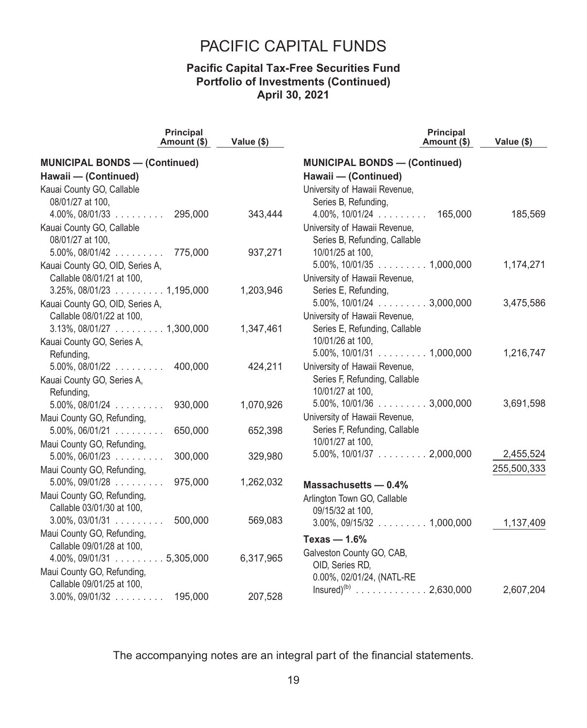### **Pacific Capital Tax-Free Securities Fund Portfolio of Investments (Continued) April 30, 2021**

| <b>Principal</b><br>Amount (\$)                   | Value (\$) | <b>Principal</b><br>Amount (\$)                      | Value (\$)  |
|---------------------------------------------------|------------|------------------------------------------------------|-------------|
| <b>MUNICIPAL BONDS - (Continued)</b>              |            | <b>MUNICIPAL BONDS - (Continued)</b>                 |             |
| Hawaii - (Continued)                              |            | Hawaii - (Continued)                                 |             |
| Kauai County GO, Callable                         |            | University of Hawaii Revenue,                        |             |
| 08/01/27 at 100,                                  |            | Series B, Refunding,                                 |             |
| $4.00\%$ , 08/01/33<br>295,000                    | 343,444    | $4.00\%$ , $10/01/24$ 165,000                        | 185,569     |
| Kauai County GO, Callable                         |            | University of Hawaii Revenue,                        |             |
| 08/01/27 at 100,                                  |            | Series B, Refunding, Callable                        |             |
| $5.00\%$ , $08/01/42$ 775,000                     | 937,271    | 10/01/25 at 100,                                     |             |
| Kauai County GO, OID, Series A,                   |            | $5.00\%$ , 10/01/35 $\ldots$ 1,000,000               | 1,174,271   |
| Callable 08/01/21 at 100,                         |            | University of Hawaii Revenue,                        |             |
| $3.25\%$ , 08/01/23 1,195,000                     | 1,203,946  | Series E, Refunding,                                 |             |
| Kauai County GO, OID, Series A,                   |            | $5.00\%$ , $10/01/24$ 3,000,000                      | 3,475,586   |
| Callable 08/01/22 at 100,                         |            | University of Hawaii Revenue,                        |             |
| $3.13\%$ , 08/01/27 $\ldots$ 1,300,000            | 1,347,461  | Series E, Refunding, Callable                        |             |
| Kauai County GO, Series A,                        |            | 10/01/26 at 100,                                     |             |
| Refunding,                                        |            | $5.00\%$ , 10/01/31 $\ldots \ldots \ldots 1,000,000$ | 1,216,747   |
| $5.00\%$ , $08/01/22$<br>400,000                  | 424,211    | University of Hawaii Revenue,                        |             |
| Kauai County GO, Series A,                        |            | Series F, Refunding, Callable                        |             |
| Refunding,                                        |            | 10/01/27 at 100,                                     |             |
| $5.00\%$ , $08/01/24$<br>930,000                  | 1,070,926  | $5.00\%$ , 10/01/36 $\ldots$ 3,000,000               | 3,691,598   |
| Maui County GO, Refunding,                        |            | University of Hawaii Revenue,                        |             |
| $5.00\%$ , $06/01/21$<br>650,000                  | 652,398    | Series F, Refunding, Callable                        |             |
| Maui County GO, Refunding,                        |            | 10/01/27 at 100,                                     |             |
| 300,000<br>$5.00\%$ , $06/01/23$                  | 329,980    | $5.00\%$ , 10/01/37 2,000,000                        | 2,455,524   |
| Maui County GO, Refunding,                        |            |                                                      | 255,500,333 |
| $5.00\%$ , 09/01/28<br>975,000                    | 1,262,032  | Massachusetts $-0.4%$                                |             |
| Maui County GO, Refunding,                        |            | Arlington Town GO, Callable                          |             |
| Callable 03/01/30 at 100.                         |            | 09/15/32 at 100,                                     |             |
| 500,000<br>$3.00\%$ , 03/01/31                    | 569,083    | $3.00\%$ , 09/15/32 $\ldots$ 1,000,000               | 1,137,409   |
| Maui County GO, Refunding,                        |            | Texas $-1.6%$                                        |             |
| Callable 09/01/28 at 100,                         |            | Galveston County GO, CAB,                            |             |
| $4.00\%$ , 09/01/31 $\ldots$ $\ldots$ . 5,305,000 | 6,317,965  | OID, Series RD,                                      |             |
| Maui County GO, Refunding,                        |            | 0.00%, 02/01/24, (NATL-RE                            |             |
| Callable 09/01/25 at 100,                         |            | Insured) <sup>(b)</sup> 2,630,000                    | 2,607,204   |
| $3.00\%$ , 09/01/32 195,000                       | 207,528    |                                                      |             |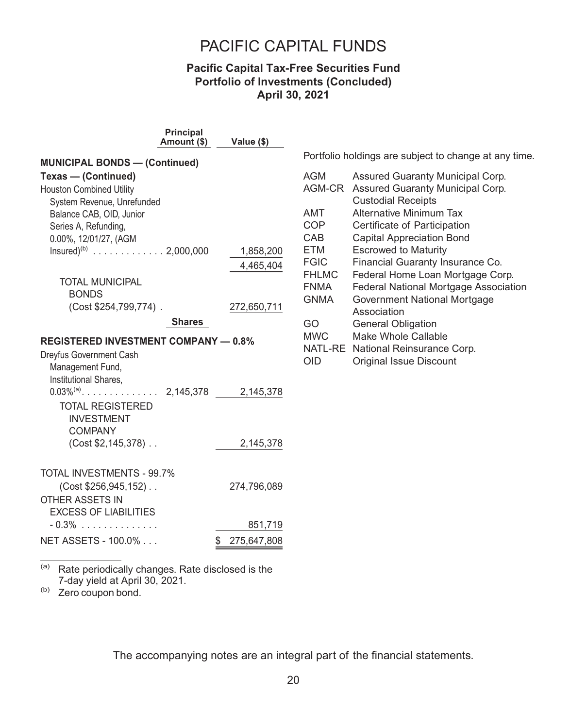### **Pacific Capital Tax-Free Securities Fund Portfolio of Investments (Concluded) April 30, 2021**

|                                             | <b>Principal</b><br>Amount (\$) | Value (\$)        |  |  |  |  |
|---------------------------------------------|---------------------------------|-------------------|--|--|--|--|
| <b>MUNICIPAL BONDS - (Continued)</b>        |                                 |                   |  |  |  |  |
| Texas - (Continued)                         |                                 |                   |  |  |  |  |
| <b>Houston Combined Utility</b>             |                                 |                   |  |  |  |  |
| System Revenue, Unrefunded                  |                                 |                   |  |  |  |  |
| Balance CAB, OID, Junior                    |                                 |                   |  |  |  |  |
| Series A, Refunding,                        |                                 |                   |  |  |  |  |
| 0.00%, 12/01/27, (AGM                       |                                 |                   |  |  |  |  |
| Insured) <sup>(b)</sup> 2,000,000           |                                 | 1,858,200         |  |  |  |  |
|                                             |                                 | 4,465,404         |  |  |  |  |
| <b>TOTAL MUNICIPAL</b>                      |                                 |                   |  |  |  |  |
| <b>BONDS</b>                                |                                 |                   |  |  |  |  |
| (Cost \$254,799,774).                       |                                 | 272,650,711       |  |  |  |  |
|                                             | <b>Shares</b>                   |                   |  |  |  |  |
| <b>REGISTERED INVESTMENT COMPANY - 0.8%</b> |                                 |                   |  |  |  |  |
| Dreyfus Government Cash                     |                                 |                   |  |  |  |  |
| Management Fund,                            |                                 |                   |  |  |  |  |
| Institutional Shares,                       |                                 |                   |  |  |  |  |
|                                             |                                 | 2,145,378         |  |  |  |  |
| <b>TOTAL REGISTERED</b>                     |                                 |                   |  |  |  |  |
| <b>INVESTMENT</b>                           |                                 |                   |  |  |  |  |
| <b>COMPANY</b>                              |                                 |                   |  |  |  |  |
| (Cost \$2,145,378)                          |                                 | 2,145,378         |  |  |  |  |
|                                             |                                 |                   |  |  |  |  |
| TOTAL INVESTMENTS - 99.7%                   |                                 |                   |  |  |  |  |
| (Cost \$256,945,152)                        |                                 | 274,796,089       |  |  |  |  |
| <b>OTHER ASSETS IN</b>                      |                                 |                   |  |  |  |  |
| <b>EXCESS OF LIABILITIES</b>                |                                 |                   |  |  |  |  |
| $-0.3\%$                                    |                                 | 851,719           |  |  |  |  |
| NET ASSETS - 100.0%                         |                                 | 275,647,808<br>\$ |  |  |  |  |

(a) Rate periodically changes. Rate disclosed is the 7-day yield at April 30, 2021.

(b) Zero coupon bond.

Portfolio holdings are subject to change at any time.

| <b>Federal National Mortgage Association</b> |
|----------------------------------------------|
|                                              |
|                                              |
|                                              |
|                                              |
|                                              |
|                                              |
|                                              |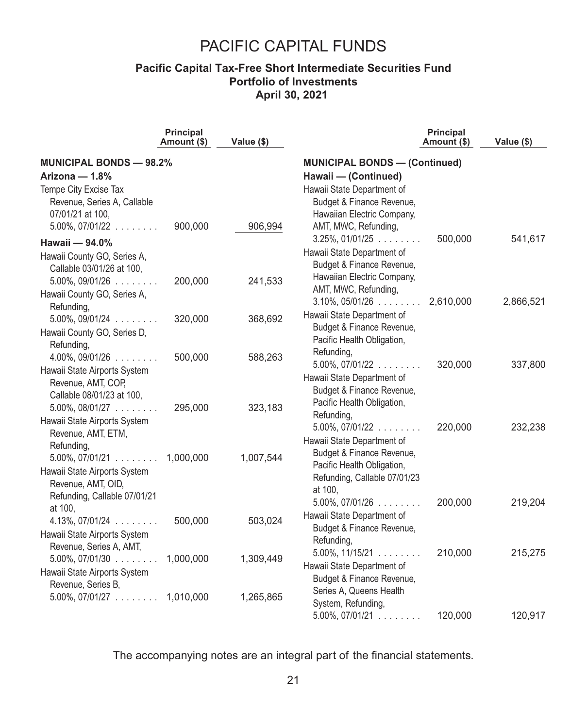### **Pacific Capital Tax-Free Short Intermediate Securities Fund Portfolio of Investments April 30, 2021**

|                                                    | <b>Principal</b><br>Amount (\$) | Value (\$) |                                                      | Principal<br>Amount (\$) | Value (\$) |
|----------------------------------------------------|---------------------------------|------------|------------------------------------------------------|--------------------------|------------|
| <b>MUNICIPAL BONDS - 98.2%</b>                     |                                 |            | <b>MUNICIPAL BONDS - (Continued)</b>                 |                          |            |
| Arizona - 1.8%                                     |                                 |            | Hawaii - (Continued)                                 |                          |            |
| Tempe City Excise Tax                              |                                 |            | Hawaii State Department of                           |                          |            |
| Revenue, Series A, Callable                        |                                 |            | Budget & Finance Revenue,                            |                          |            |
| 07/01/21 at 100,                                   |                                 |            | Hawaiian Electric Company,                           |                          |            |
| $5.00\%$ , $07/01/22$                              | 900,000                         | 906,994    | AMT, MWC, Refunding,                                 |                          |            |
| Hawaii - 94.0%                                     |                                 |            | $3.25\%$ , 01/01/25 $\dots$                          | 500,000                  | 541,617    |
| Hawaii County GO, Series A,                        |                                 |            | Hawaii State Department of                           |                          |            |
| Callable 03/01/26 at 100,                          |                                 |            | Budget & Finance Revenue,                            |                          |            |
| $5.00\%$ , 09/01/26 $\dots$                        | 200,000                         | 241,533    | Hawaiian Electric Company,                           |                          |            |
| Hawaii County GO, Series A,                        |                                 |            | AMT, MWC, Refunding,                                 |                          |            |
| Refunding,                                         |                                 |            | $3.10\%$ , $05/01/26$                                | 2,610,000                | 2,866,521  |
| $5.00\%$ , 09/01/24                                | 320,000                         | 368,692    | Hawaii State Department of                           |                          |            |
| Hawaii County GO, Series D,                        |                                 |            | Budget & Finance Revenue,                            |                          |            |
| Refunding,                                         |                                 |            | Pacific Health Obligation,                           |                          |            |
| $4.00\%$ , 09/01/26 $\dots$                        | 500,000                         | 588,263    | Refunding,<br>$5.00\%$ , $07/01/22$                  | 320,000                  | 337,800    |
| Hawaii State Airports System                       |                                 |            | Hawaii State Department of                           |                          |            |
| Revenue, AMT, COP,                                 |                                 |            | Budget & Finance Revenue,                            |                          |            |
| Callable 08/01/23 at 100,                          |                                 |            | Pacific Health Obligation,                           |                          |            |
| $5.00\%$ , $08/01/27$                              | 295,000                         | 323,183    | Refunding,                                           |                          |            |
| Hawaii State Airports System                       |                                 |            | $5.00\%$ , $07/01/22$                                | 220,000                  | 232,238    |
| Revenue, AMT, ETM,                                 |                                 |            | Hawaii State Department of                           |                          |            |
| Refunding,                                         |                                 |            | Budget & Finance Revenue,                            |                          |            |
| $5.00\%$ , 07/01/21 1,000,000                      |                                 | 1,007,544  | Pacific Health Obligation,                           |                          |            |
| Hawaii State Airports System<br>Revenue, AMT, OID, |                                 |            | Refunding, Callable 07/01/23                         |                          |            |
| Refunding, Callable 07/01/21                       |                                 |            | at 100,                                              |                          |            |
| at 100,                                            |                                 |            | $5.00\%$ , 07/01/26 $\dots$                          | 200,000                  | 219,204    |
| $4.13\%$ , 07/01/24                                | 500,000                         | 503,024    | Hawaii State Department of                           |                          |            |
| Hawaii State Airports System                       |                                 |            | Budget & Finance Revenue,                            |                          |            |
| Revenue, Series A, AMT,                            |                                 |            | Refunding,                                           |                          |            |
| $5.00\%$ , 07/01/30 $\ldots$                       | 1,000,000                       | 1,309,449  | $5.00\%$ , $11/15/21$                                | 210,000                  | 215,275    |
| Hawaii State Airports System                       |                                 |            | Hawaii State Department of                           |                          |            |
| Revenue, Series B,                                 |                                 |            | Budget & Finance Revenue,<br>Series A, Queens Health |                          |            |
| $5.00\%$ , $07/01/27$                              | 1,010,000                       | 1,265,865  | System, Refunding,                                   |                          |            |
|                                                    |                                 |            | $5.00\%$ , 07/01/21                                  | 120,000                  | 120,917    |
|                                                    |                                 |            |                                                      |                          |            |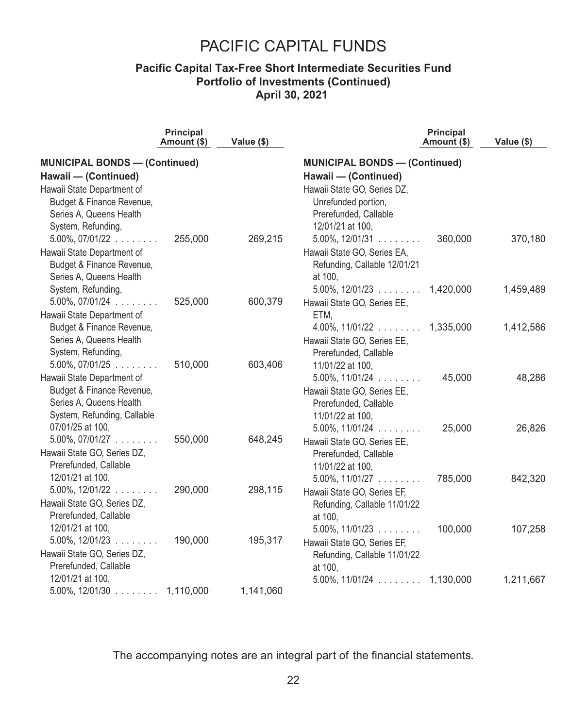### **Pacific Capital Tax-Free Short Intermediate Securities Fund Portfolio of Investments (Continued) April 30, 2021**

|                                                      | <b>Principal</b><br>Amount (\$) | Value (\$) |                                         | <b>Principal</b><br>Amount (\$) | Value (\$) |
|------------------------------------------------------|---------------------------------|------------|-----------------------------------------|---------------------------------|------------|
| <b>MUNICIPAL BONDS - (Continued)</b>                 |                                 |            | <b>MUNICIPAL BONDS - (Continued)</b>    |                                 |            |
| Hawaii - (Continued)                                 |                                 |            | Hawaii - (Continued)                    |                                 |            |
| Hawaii State Department of                           |                                 |            | Hawaii State GO, Series DZ,             |                                 |            |
| Budget & Finance Revenue,                            |                                 |            | Unrefunded portion,                     |                                 |            |
| Series A, Queens Health                              |                                 |            | Prerefunded, Callable                   |                                 |            |
| System, Refunding,                                   |                                 |            | 12/01/21 at 100.                        |                                 |            |
| $5.00\%$ , $07/01/22$                                | 255,000                         | 269,215    | $5.00\%$ , $12/01/31$                   | 360,000                         | 370,180    |
| Hawaii State Department of                           |                                 |            | Hawaii State GO, Series EA,             |                                 |            |
| Budget & Finance Revenue,                            |                                 |            | Refunding, Callable 12/01/21            |                                 |            |
| Series A, Queens Health                              |                                 |            | at 100,                                 |                                 |            |
| System, Refunding,                                   |                                 |            | $5.00\%$ , 12/01/23 1,420,000           |                                 | 1,459,489  |
| $5.00\%$ , $07/01/24$                                | 525,000                         | 600,379    | Hawaii State GO, Series EE,             |                                 |            |
| Hawaii State Department of                           |                                 |            | ETM,                                    |                                 |            |
| Budget & Finance Revenue,                            |                                 |            | $4.00\%$ , 11/01/22 1,335,000           |                                 | 1,412,586  |
| Series A, Queens Health                              |                                 |            | Hawaii State GO, Series EE,             |                                 |            |
| System, Refunding,                                   |                                 |            | Prerefunded, Callable                   |                                 |            |
| $5.00\%$ , $07/01/25$                                | 510,000                         | 603,406    | 11/01/22 at 100,                        |                                 |            |
| Hawaii State Department of                           |                                 |            | $5.00\%$ , 11/01/24 $\dots$             | 45,000                          | 48,286     |
| Budget & Finance Revenue,                            |                                 |            | Hawaii State GO, Series EE,             |                                 |            |
| Series A, Queens Health                              |                                 |            | Prerefunded, Callable                   |                                 |            |
| System, Refunding, Callable                          |                                 |            | 11/01/22 at 100.                        |                                 |            |
| 07/01/25 at 100,                                     | 550,000                         |            | $5.00\%$ , $11/01/24$                   | 25,000                          | 26,826     |
| $5.00\%$ , $07/01/27$                                |                                 | 648,245    | Hawaii State GO, Series EE,             |                                 |            |
| Hawaii State GO, Series DZ,<br>Prerefunded, Callable |                                 |            | Prerefunded, Callable                   |                                 |            |
| 12/01/21 at 100,                                     |                                 |            | 11/01/22 at 100,                        |                                 |            |
| $5.00\%$ , $12/01/22$                                | 290,000                         | 298,115    | $5.00\%$ , $11/01/27$                   | 785,000                         | 842,320    |
| Hawaii State GO, Series DZ,                          |                                 |            | Hawaii State GO, Series EF,             |                                 |            |
| Prerefunded, Callable                                |                                 |            | Refunding, Callable 11/01/22<br>at 100, |                                 |            |
| 12/01/21 at 100.                                     |                                 |            | $5.00\%$ , 11/01/23                     | 100,000                         | 107,258    |
| $5.00\%$ , 12/01/23 $\dots$                          | 190,000                         | 195,317    | Hawaii State GO, Series EF,             |                                 |            |
| Hawaii State GO, Series DZ,                          |                                 |            | Refunding, Callable 11/01/22            |                                 |            |
| Prerefunded, Callable                                |                                 |            | at 100.                                 |                                 |            |
| 12/01/21 at 100,                                     |                                 |            | $5.00\%$ , $11/01/24$                   | 1,130,000                       | 1,211,667  |
| $5.00\%$ , 12/01/30 $\ldots$ 1,110,000               |                                 | 1,141,060  |                                         |                                 |            |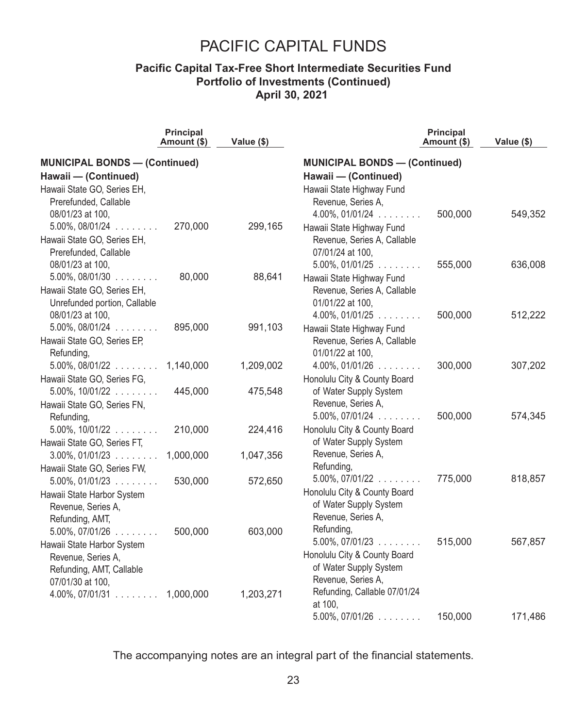### **Pacific Capital Tax-Free Short Intermediate Securities Fund Portfolio of Investments (Continued) April 30, 2021**

| <b>MUNICIPAL BONDS - (Continued)</b><br><b>MUNICIPAL BONDS - (Continued)</b><br>Hawaii - (Continued)<br>Hawaii - (Continued)<br>Hawaii State GO, Series EH,<br>Hawaii State Highway Fund<br>Revenue, Series A,<br>Prerefunded, Callable<br>08/01/23 at 100,<br>$4.00\%$ , 01/01/24<br>500,000<br>549,352<br>$5.00\%$ , $08/01/24$<br>270,000<br>299,165<br>Hawaii State Highway Fund<br>Hawaii State GO, Series EH,<br>Revenue, Series A, Callable<br>Prerefunded, Callable<br>07/01/24 at 100,<br>08/01/23 at 100,<br>$5.00\%$ , 01/01/25 $\dots$<br>555,000<br>636,008<br>$5.00\%$ , 08/01/30 $\ldots$<br>80,000<br>88,641<br>Hawaii State Highway Fund<br>Hawaii State GO, Series EH,<br>Revenue, Series A, Callable<br>Unrefunded portion, Callable<br>01/01/22 at 100,<br>08/01/23 at 100,<br>500,000<br>$4.00\%$ , 01/01/25 $\dots$<br>512,222<br>$5.00\%$ , $08/01/24$<br>895,000<br>991,103<br>Hawaii State Highway Fund<br>Hawaii State GO, Series EP,<br>Revenue, Series A, Callable<br>01/01/22 at 100,<br>Refunding,<br>300,000<br>$5.00\%$ , $08/01/22$ 1,140,000<br>1,209,002<br>$4.00\%$ , 01/01/26 $\dots$<br>307,202<br>Hawaii State GO, Series FG,<br>Honolulu City & County Board<br>of Water Supply System<br>445,000<br>475,548<br>$5.00\%$ , $10/01/22$<br>Revenue, Series A,<br>Hawaii State GO, Series FN,<br>500,000<br>574,345<br>$5.00\%$ , $07/01/24$<br>Refunding,<br>Honolulu City & County Board<br>$5.00\%$ , $10/01/22$<br>210,000<br>224,416<br>of Water Supply System<br>Hawaii State GO, Series FT,<br>Revenue, Series A,<br>1,000,000<br>1,047,356<br>$3.00\%$ , 01/01/23<br>Refunding,<br>Hawaii State GO, Series FW,<br>$5.00\%$ , $07/01/22$<br>818,857<br>775,000<br>$5.00\%$ , 01/01/23<br>530,000<br>572,650<br>Honolulu City & County Board<br>Hawaii State Harbor System<br>of Water Supply System<br>Revenue, Series A,<br>Revenue, Series A,<br>Refunding, AMT, |  | <b>Principal</b><br>Amount (\$) | Value (\$) |  | <b>Principal</b><br>Amount (\$) | Value (\$) |  |
|----------------------------------------------------------------------------------------------------------------------------------------------------------------------------------------------------------------------------------------------------------------------------------------------------------------------------------------------------------------------------------------------------------------------------------------------------------------------------------------------------------------------------------------------------------------------------------------------------------------------------------------------------------------------------------------------------------------------------------------------------------------------------------------------------------------------------------------------------------------------------------------------------------------------------------------------------------------------------------------------------------------------------------------------------------------------------------------------------------------------------------------------------------------------------------------------------------------------------------------------------------------------------------------------------------------------------------------------------------------------------------------------------------------------------------------------------------------------------------------------------------------------------------------------------------------------------------------------------------------------------------------------------------------------------------------------------------------------------------------------------------------------------------------------------------------------------------------------------------------------------------------------------------------|--|---------------------------------|------------|--|---------------------------------|------------|--|
|                                                                                                                                                                                                                                                                                                                                                                                                                                                                                                                                                                                                                                                                                                                                                                                                                                                                                                                                                                                                                                                                                                                                                                                                                                                                                                                                                                                                                                                                                                                                                                                                                                                                                                                                                                                                                                                                                                                |  |                                 |            |  |                                 |            |  |
|                                                                                                                                                                                                                                                                                                                                                                                                                                                                                                                                                                                                                                                                                                                                                                                                                                                                                                                                                                                                                                                                                                                                                                                                                                                                                                                                                                                                                                                                                                                                                                                                                                                                                                                                                                                                                                                                                                                |  |                                 |            |  |                                 |            |  |
|                                                                                                                                                                                                                                                                                                                                                                                                                                                                                                                                                                                                                                                                                                                                                                                                                                                                                                                                                                                                                                                                                                                                                                                                                                                                                                                                                                                                                                                                                                                                                                                                                                                                                                                                                                                                                                                                                                                |  |                                 |            |  |                                 |            |  |
|                                                                                                                                                                                                                                                                                                                                                                                                                                                                                                                                                                                                                                                                                                                                                                                                                                                                                                                                                                                                                                                                                                                                                                                                                                                                                                                                                                                                                                                                                                                                                                                                                                                                                                                                                                                                                                                                                                                |  |                                 |            |  |                                 |            |  |
|                                                                                                                                                                                                                                                                                                                                                                                                                                                                                                                                                                                                                                                                                                                                                                                                                                                                                                                                                                                                                                                                                                                                                                                                                                                                                                                                                                                                                                                                                                                                                                                                                                                                                                                                                                                                                                                                                                                |  |                                 |            |  |                                 |            |  |
|                                                                                                                                                                                                                                                                                                                                                                                                                                                                                                                                                                                                                                                                                                                                                                                                                                                                                                                                                                                                                                                                                                                                                                                                                                                                                                                                                                                                                                                                                                                                                                                                                                                                                                                                                                                                                                                                                                                |  |                                 |            |  |                                 |            |  |
|                                                                                                                                                                                                                                                                                                                                                                                                                                                                                                                                                                                                                                                                                                                                                                                                                                                                                                                                                                                                                                                                                                                                                                                                                                                                                                                                                                                                                                                                                                                                                                                                                                                                                                                                                                                                                                                                                                                |  |                                 |            |  |                                 |            |  |
|                                                                                                                                                                                                                                                                                                                                                                                                                                                                                                                                                                                                                                                                                                                                                                                                                                                                                                                                                                                                                                                                                                                                                                                                                                                                                                                                                                                                                                                                                                                                                                                                                                                                                                                                                                                                                                                                                                                |  |                                 |            |  |                                 |            |  |
|                                                                                                                                                                                                                                                                                                                                                                                                                                                                                                                                                                                                                                                                                                                                                                                                                                                                                                                                                                                                                                                                                                                                                                                                                                                                                                                                                                                                                                                                                                                                                                                                                                                                                                                                                                                                                                                                                                                |  |                                 |            |  |                                 |            |  |
|                                                                                                                                                                                                                                                                                                                                                                                                                                                                                                                                                                                                                                                                                                                                                                                                                                                                                                                                                                                                                                                                                                                                                                                                                                                                                                                                                                                                                                                                                                                                                                                                                                                                                                                                                                                                                                                                                                                |  |                                 |            |  |                                 |            |  |
|                                                                                                                                                                                                                                                                                                                                                                                                                                                                                                                                                                                                                                                                                                                                                                                                                                                                                                                                                                                                                                                                                                                                                                                                                                                                                                                                                                                                                                                                                                                                                                                                                                                                                                                                                                                                                                                                                                                |  |                                 |            |  |                                 |            |  |
|                                                                                                                                                                                                                                                                                                                                                                                                                                                                                                                                                                                                                                                                                                                                                                                                                                                                                                                                                                                                                                                                                                                                                                                                                                                                                                                                                                                                                                                                                                                                                                                                                                                                                                                                                                                                                                                                                                                |  |                                 |            |  |                                 |            |  |
|                                                                                                                                                                                                                                                                                                                                                                                                                                                                                                                                                                                                                                                                                                                                                                                                                                                                                                                                                                                                                                                                                                                                                                                                                                                                                                                                                                                                                                                                                                                                                                                                                                                                                                                                                                                                                                                                                                                |  |                                 |            |  |                                 |            |  |
|                                                                                                                                                                                                                                                                                                                                                                                                                                                                                                                                                                                                                                                                                                                                                                                                                                                                                                                                                                                                                                                                                                                                                                                                                                                                                                                                                                                                                                                                                                                                                                                                                                                                                                                                                                                                                                                                                                                |  |                                 |            |  |                                 |            |  |
|                                                                                                                                                                                                                                                                                                                                                                                                                                                                                                                                                                                                                                                                                                                                                                                                                                                                                                                                                                                                                                                                                                                                                                                                                                                                                                                                                                                                                                                                                                                                                                                                                                                                                                                                                                                                                                                                                                                |  |                                 |            |  |                                 |            |  |
|                                                                                                                                                                                                                                                                                                                                                                                                                                                                                                                                                                                                                                                                                                                                                                                                                                                                                                                                                                                                                                                                                                                                                                                                                                                                                                                                                                                                                                                                                                                                                                                                                                                                                                                                                                                                                                                                                                                |  |                                 |            |  |                                 |            |  |
|                                                                                                                                                                                                                                                                                                                                                                                                                                                                                                                                                                                                                                                                                                                                                                                                                                                                                                                                                                                                                                                                                                                                                                                                                                                                                                                                                                                                                                                                                                                                                                                                                                                                                                                                                                                                                                                                                                                |  |                                 |            |  |                                 |            |  |
|                                                                                                                                                                                                                                                                                                                                                                                                                                                                                                                                                                                                                                                                                                                                                                                                                                                                                                                                                                                                                                                                                                                                                                                                                                                                                                                                                                                                                                                                                                                                                                                                                                                                                                                                                                                                                                                                                                                |  |                                 |            |  |                                 |            |  |
|                                                                                                                                                                                                                                                                                                                                                                                                                                                                                                                                                                                                                                                                                                                                                                                                                                                                                                                                                                                                                                                                                                                                                                                                                                                                                                                                                                                                                                                                                                                                                                                                                                                                                                                                                                                                                                                                                                                |  |                                 |            |  |                                 |            |  |
|                                                                                                                                                                                                                                                                                                                                                                                                                                                                                                                                                                                                                                                                                                                                                                                                                                                                                                                                                                                                                                                                                                                                                                                                                                                                                                                                                                                                                                                                                                                                                                                                                                                                                                                                                                                                                                                                                                                |  |                                 |            |  |                                 |            |  |
|                                                                                                                                                                                                                                                                                                                                                                                                                                                                                                                                                                                                                                                                                                                                                                                                                                                                                                                                                                                                                                                                                                                                                                                                                                                                                                                                                                                                                                                                                                                                                                                                                                                                                                                                                                                                                                                                                                                |  |                                 |            |  |                                 |            |  |
|                                                                                                                                                                                                                                                                                                                                                                                                                                                                                                                                                                                                                                                                                                                                                                                                                                                                                                                                                                                                                                                                                                                                                                                                                                                                                                                                                                                                                                                                                                                                                                                                                                                                                                                                                                                                                                                                                                                |  |                                 |            |  |                                 |            |  |
|                                                                                                                                                                                                                                                                                                                                                                                                                                                                                                                                                                                                                                                                                                                                                                                                                                                                                                                                                                                                                                                                                                                                                                                                                                                                                                                                                                                                                                                                                                                                                                                                                                                                                                                                                                                                                                                                                                                |  |                                 |            |  |                                 |            |  |
|                                                                                                                                                                                                                                                                                                                                                                                                                                                                                                                                                                                                                                                                                                                                                                                                                                                                                                                                                                                                                                                                                                                                                                                                                                                                                                                                                                                                                                                                                                                                                                                                                                                                                                                                                                                                                                                                                                                |  |                                 |            |  |                                 |            |  |
|                                                                                                                                                                                                                                                                                                                                                                                                                                                                                                                                                                                                                                                                                                                                                                                                                                                                                                                                                                                                                                                                                                                                                                                                                                                                                                                                                                                                                                                                                                                                                                                                                                                                                                                                                                                                                                                                                                                |  |                                 |            |  |                                 |            |  |
|                                                                                                                                                                                                                                                                                                                                                                                                                                                                                                                                                                                                                                                                                                                                                                                                                                                                                                                                                                                                                                                                                                                                                                                                                                                                                                                                                                                                                                                                                                                                                                                                                                                                                                                                                                                                                                                                                                                |  |                                 |            |  |                                 |            |  |
|                                                                                                                                                                                                                                                                                                                                                                                                                                                                                                                                                                                                                                                                                                                                                                                                                                                                                                                                                                                                                                                                                                                                                                                                                                                                                                                                                                                                                                                                                                                                                                                                                                                                                                                                                                                                                                                                                                                |  |                                 |            |  |                                 |            |  |
|                                                                                                                                                                                                                                                                                                                                                                                                                                                                                                                                                                                                                                                                                                                                                                                                                                                                                                                                                                                                                                                                                                                                                                                                                                                                                                                                                                                                                                                                                                                                                                                                                                                                                                                                                                                                                                                                                                                |  |                                 |            |  |                                 |            |  |
|                                                                                                                                                                                                                                                                                                                                                                                                                                                                                                                                                                                                                                                                                                                                                                                                                                                                                                                                                                                                                                                                                                                                                                                                                                                                                                                                                                                                                                                                                                                                                                                                                                                                                                                                                                                                                                                                                                                |  |                                 |            |  |                                 |            |  |
| Refunding,<br>500,000<br>603,000<br>$5.00\%$ , $07/01/26$                                                                                                                                                                                                                                                                                                                                                                                                                                                                                                                                                                                                                                                                                                                                                                                                                                                                                                                                                                                                                                                                                                                                                                                                                                                                                                                                                                                                                                                                                                                                                                                                                                                                                                                                                                                                                                                      |  |                                 |            |  |                                 |            |  |
| 567,857<br>$5.00\%$ , $07/01/23$<br>515,000<br>Hawaii State Harbor System                                                                                                                                                                                                                                                                                                                                                                                                                                                                                                                                                                                                                                                                                                                                                                                                                                                                                                                                                                                                                                                                                                                                                                                                                                                                                                                                                                                                                                                                                                                                                                                                                                                                                                                                                                                                                                      |  |                                 |            |  |                                 |            |  |
| Honolulu City & County Board<br>Revenue, Series A,                                                                                                                                                                                                                                                                                                                                                                                                                                                                                                                                                                                                                                                                                                                                                                                                                                                                                                                                                                                                                                                                                                                                                                                                                                                                                                                                                                                                                                                                                                                                                                                                                                                                                                                                                                                                                                                             |  |                                 |            |  |                                 |            |  |
| of Water Supply System<br>Refunding, AMT, Callable                                                                                                                                                                                                                                                                                                                                                                                                                                                                                                                                                                                                                                                                                                                                                                                                                                                                                                                                                                                                                                                                                                                                                                                                                                                                                                                                                                                                                                                                                                                                                                                                                                                                                                                                                                                                                                                             |  |                                 |            |  |                                 |            |  |
| Revenue, Series A,<br>07/01/30 at 100,                                                                                                                                                                                                                                                                                                                                                                                                                                                                                                                                                                                                                                                                                                                                                                                                                                                                                                                                                                                                                                                                                                                                                                                                                                                                                                                                                                                                                                                                                                                                                                                                                                                                                                                                                                                                                                                                         |  |                                 |            |  |                                 |            |  |
| Refunding, Callable 07/01/24<br>$4.00\%$ , 07/01/31<br>1,000,000<br>1,203,271<br>at 100,                                                                                                                                                                                                                                                                                                                                                                                                                                                                                                                                                                                                                                                                                                                                                                                                                                                                                                                                                                                                                                                                                                                                                                                                                                                                                                                                                                                                                                                                                                                                                                                                                                                                                                                                                                                                                       |  |                                 |            |  |                                 |            |  |
| $5.00\%$ , 07/01/26 $\ldots$<br>150,000<br>171,486                                                                                                                                                                                                                                                                                                                                                                                                                                                                                                                                                                                                                                                                                                                                                                                                                                                                                                                                                                                                                                                                                                                                                                                                                                                                                                                                                                                                                                                                                                                                                                                                                                                                                                                                                                                                                                                             |  |                                 |            |  |                                 |            |  |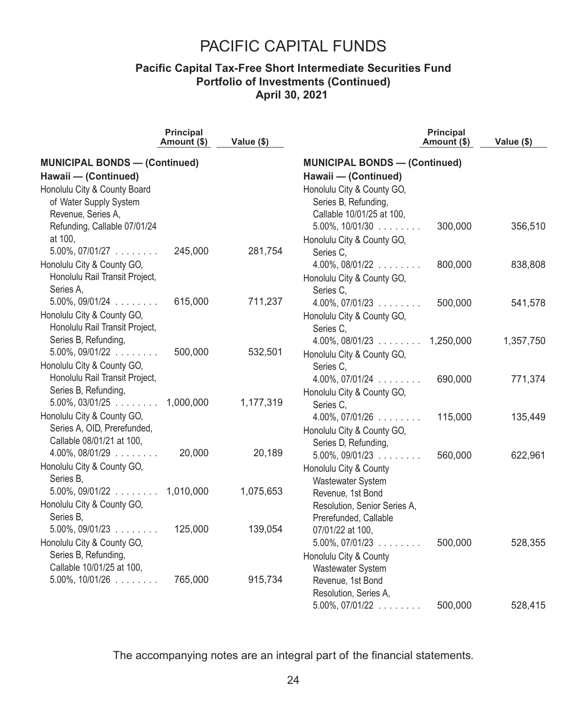### **Pacific Capital Tax-Free Short Intermediate Securities Fund Portfolio of Investments (Continued) April 30, 2021**

|                                      | <b>Principal</b><br>Amount (\$) | Value (\$) |                                      | <b>Principal</b><br>Amount (\$) | Value (\$) |
|--------------------------------------|---------------------------------|------------|--------------------------------------|---------------------------------|------------|
| <b>MUNICIPAL BONDS - (Continued)</b> |                                 |            | <b>MUNICIPAL BONDS - (Continued)</b> |                                 |            |
| Hawaii - (Continued)                 |                                 |            | Hawaii - (Continued)                 |                                 |            |
| Honolulu City & County Board         |                                 |            | Honolulu City & County GO,           |                                 |            |
| of Water Supply System               |                                 |            | Series B, Refunding,                 |                                 |            |
| Revenue, Series A,                   |                                 |            | Callable 10/01/25 at 100,            |                                 |            |
| Refunding, Callable 07/01/24         |                                 |            | $5.00\%$ , $10/01/30$                | 300,000                         | 356,510    |
| at 100,                              |                                 |            | Honolulu City & County GO,           |                                 |            |
| $5.00\%$ , $07/01/27$                | 245,000                         | 281,754    | Series C,                            |                                 |            |
| Honolulu City & County GO,           |                                 |            | $4.00\%$ , $08/01/22$                | 800,000                         | 838,808    |
| Honolulu Rail Transit Project,       |                                 |            | Honolulu City & County GO,           |                                 |            |
| Series A,                            |                                 |            | Series C,                            |                                 |            |
| $5.00\%$ , 09/01/24                  | 615,000                         | 711,237    | $4.00\%$ , 07/01/23                  | 500,000                         | 541,578    |
| Honolulu City & County GO,           |                                 |            | Honolulu City & County GO,           |                                 |            |
| Honolulu Rail Transit Project,       |                                 |            | Series C.                            |                                 |            |
| Series B, Refunding,                 |                                 |            | $4.00\%$ , 08/01/23 1,250,000        |                                 | 1,357,750  |
| $5.00\%$ , $09/01/22$                | 500,000                         | 532,501    | Honolulu City & County GO,           |                                 |            |
| Honolulu City & County GO,           |                                 |            | Series C.                            |                                 |            |
| Honolulu Rail Transit Project,       |                                 |            | $4.00\%$ , $07/01/24$                | 690,000                         | 771,374    |
| Series B, Refunding,                 |                                 |            | Honolulu City & County GO,           |                                 |            |
| $5.00\%$ , 03/01/25                  | 1,000,000                       | 1,177,319  | Series C.                            |                                 |            |
| Honolulu City & County GO,           |                                 |            | $4.00\%$ , 07/01/26 $\dots$          | 115,000                         | 135,449    |
| Series A, OID, Prerefunded,          |                                 |            | Honolulu City & County GO,           |                                 |            |
| Callable 08/01/21 at 100,            |                                 |            | Series D, Refunding,                 |                                 |            |
| $4.00\%$ , $08/01/29$                | 20,000                          | 20,189     | $5.00\%$ , 09/01/23                  | 560,000                         | 622,961    |
| Honolulu City & County GO,           |                                 |            | Honolulu City & County               |                                 |            |
| Series B.                            |                                 |            | Wastewater System                    |                                 |            |
| $5.00\%$ , $09/01/22$ 1,010,000      |                                 | 1,075,653  | Revenue, 1st Bond                    |                                 |            |
| Honolulu City & County GO,           |                                 |            | Resolution, Senior Series A,         |                                 |            |
| Series B.                            |                                 |            | Prerefunded, Callable                |                                 |            |
| $5.00\%$ , $09/01/23$                | 125,000                         | 139,054    | 07/01/22 at 100,                     |                                 |            |
| Honolulu City & County GO,           |                                 |            | $5.00\%$ , $07/01/23$                | 500,000                         | 528,355    |
| Series B, Refunding,                 |                                 |            | Honolulu City & County               |                                 |            |
| Callable 10/01/25 at 100,            |                                 |            | Wastewater System                    |                                 |            |
| $5.00\%$ , 10/01/26 $\dots$          | 765,000                         | 915,734    | Revenue, 1st Bond                    |                                 |            |
|                                      |                                 |            | Resolution, Series A,                |                                 |            |
|                                      |                                 |            | $5.00\%$ , 07/01/22                  | 500,000                         | 528,415    |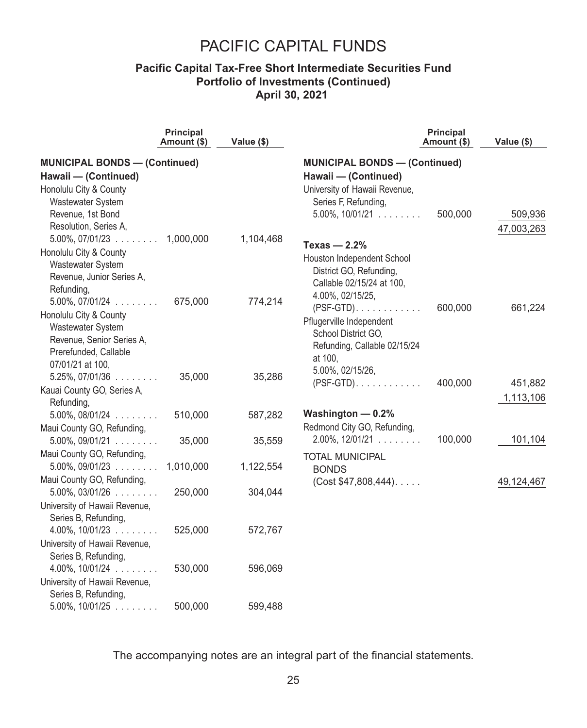### **Pacific Capital Tax-Free Short Intermediate Securities Fund Portfolio of Investments (Continued) April 30, 2021**

|                                        | <b>Principal</b><br>Amount (\$) | Value (\$) |                                         | <b>Principal</b><br>Amount (\$) | Value (\$) |  |  |
|----------------------------------------|---------------------------------|------------|-----------------------------------------|---------------------------------|------------|--|--|
| <b>MUNICIPAL BONDS - (Continued)</b>   |                                 |            | <b>MUNICIPAL BONDS - (Continued)</b>    |                                 |            |  |  |
| Hawaii - (Continued)                   |                                 |            | Hawaii - (Continued)                    |                                 |            |  |  |
| Honolulu City & County                 |                                 |            | University of Hawaii Revenue,           |                                 |            |  |  |
| Wastewater System                      |                                 |            | Series F, Refunding,                    |                                 |            |  |  |
| Revenue, 1st Bond                      |                                 |            | $5.00\%$ , $10/01/21$                   | 500,000                         | 509,936    |  |  |
| Resolution, Series A,                  |                                 |            |                                         |                                 | 47,003,263 |  |  |
| $5.00\%$ , 07/01/23 $\ldots$ 1,000,000 |                                 | 1,104,468  |                                         |                                 |            |  |  |
| Honolulu City & County                 |                                 |            | Texas $-2.2%$                           |                                 |            |  |  |
| <b>Wastewater System</b>               |                                 |            | Houston Independent School              |                                 |            |  |  |
| Revenue, Junior Series A,              |                                 |            | District GO, Refunding,                 |                                 |            |  |  |
| Refunding,                             |                                 |            | Callable 02/15/24 at 100,               |                                 |            |  |  |
| $5.00\%$ , $07/01/24$                  | 675,000                         | 774,214    | 4.00%, 02/15/25,                        |                                 |            |  |  |
| Honolulu City & County                 |                                 |            | $(PSF-GTD)$                             | 600,000                         | 661,224    |  |  |
| Wastewater System                      |                                 |            | Pflugerville Independent                |                                 |            |  |  |
| Revenue, Senior Series A,              |                                 |            | School District GO,                     |                                 |            |  |  |
| Prerefunded, Callable                  |                                 |            | Refunding, Callable 02/15/24<br>at 100, |                                 |            |  |  |
| 07/01/21 at 100,                       |                                 |            | 5.00%, 02/15/26,                        |                                 |            |  |  |
| $5.25\%$ , 07/01/36 $\ldots$           | 35,000                          | 35,286     | $(PSF-GTD)$                             | 400,000                         | 451,882    |  |  |
| Kauai County GO, Series A,             |                                 |            |                                         |                                 |            |  |  |
| Refunding,                             |                                 |            |                                         |                                 | 1,113,106  |  |  |
| $5.00\%$ , $08/01/24$                  | 510,000                         | 587,282    | Washington $-$ 0.2%                     |                                 |            |  |  |
| Maui County GO, Refunding,             |                                 |            | Redmond City GO, Refunding,             |                                 |            |  |  |
| $5.00\%$ , 09/01/21                    | 35,000                          | 35,559     | $2.00\%$ , 12/01/21                     | 100,000                         | 101,104    |  |  |
| Maui County GO, Refunding,             |                                 |            | <b>TOTAL MUNICIPAL</b>                  |                                 |            |  |  |
| $5.00\%$ , 09/01/23                    | 1,010,000                       | 1,122,554  | <b>BONDS</b>                            |                                 |            |  |  |
| Maui County GO, Refunding,             |                                 |            | (Cost \$47,808,444).                    |                                 | 49,124,467 |  |  |
| $5.00\%$ , 03/01/26 $\ldots$           | 250,000                         | 304,044    |                                         |                                 |            |  |  |
| University of Hawaii Revenue,          |                                 |            |                                         |                                 |            |  |  |
| Series B, Refunding,                   |                                 |            |                                         |                                 |            |  |  |
| $4.00\%$ , 10/01/23                    | 525,000                         | 572,767    |                                         |                                 |            |  |  |
| University of Hawaii Revenue,          |                                 |            |                                         |                                 |            |  |  |
| Series B, Refunding,                   |                                 |            |                                         |                                 |            |  |  |
| $4.00\%$ , $10/01/24$                  | 530,000                         | 596,069    |                                         |                                 |            |  |  |
| University of Hawaii Revenue,          |                                 |            |                                         |                                 |            |  |  |
| Series B, Refunding,                   |                                 |            |                                         |                                 |            |  |  |
| $5.00\%$ , $10/01/25$                  | 500,000                         | 599,488    |                                         |                                 |            |  |  |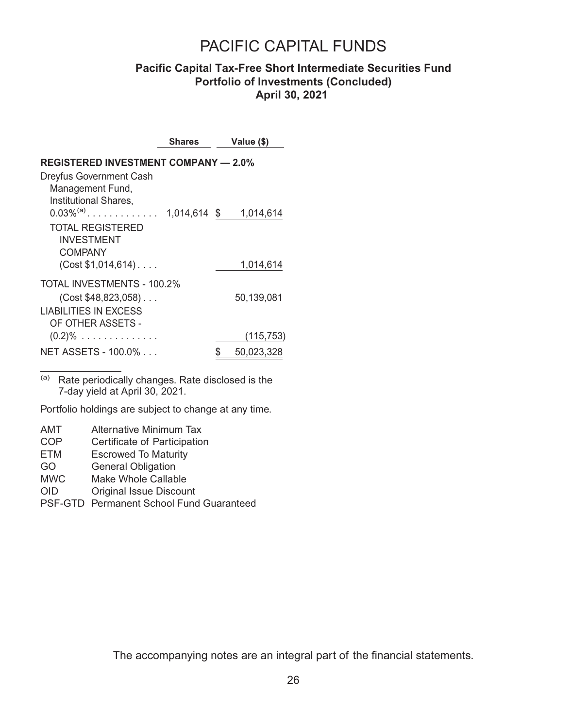### **Pacific Capital Tax-Free Short Intermediate Securities Fund Portfolio of Investments (Concluded) April 30, 2021**

|                                                                                | Shares       | Value (\$)              |
|--------------------------------------------------------------------------------|--------------|-------------------------|
| <b>REGISTERED INVESTMENT COMPANY - 2.0%</b><br>Dreyfus Government Cash         |              |                         |
| Management Fund,<br>Institutional Shares,<br>$0.03\%^{(a)}$                    | 1,014,614 \$ | 1,014,614               |
| TOTAL REGISTERED<br><b>INVESTMENT</b><br>COMPANY<br>$(Cost $1,014,614) \ldots$ |              | 1,014,614               |
| TOTAL INVESTMENTS - 100.2%<br>$(Cost $48,823,058)$<br>LIABILITIES IN EXCESS    |              | 50.139.081              |
| OF OTHER ASSETS -<br>$(0.2)\%$<br>NET ASSETS - 100.0%                          |              | (115,753)<br>50,023,328 |

(a) Rate periodically changes. Rate disclosed is the 7-day yield at April 30, 2021.

Portfolio holdings are subject to change at any time.

AMT Alternative Minimum Tax

- COP Certificate of Participation<br>FTM Escrowed To Maturity
- Escrowed To Maturity
- GO General Obligation
- MWC Make Whole Callable
- OID Original Issue Discount
- PSF-GTD Permanent School Fund Guaranteed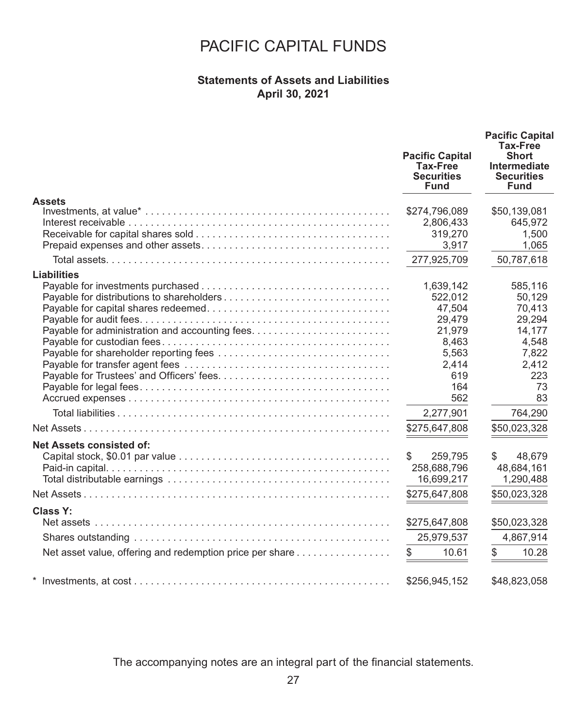### **Statements of Assets and Liabilities April 30, 2021**

|                                                          | <b>Pacific Capital</b><br><b>Tax-Free</b><br><b>Securities</b><br><b>Fund</b> | <b>Pacific Capital</b><br>Tax-Free<br><b>Short</b><br>Intermediate<br><b>Securities</b><br><b>Fund</b> |  |  |
|----------------------------------------------------------|-------------------------------------------------------------------------------|--------------------------------------------------------------------------------------------------------|--|--|
| <b>Assets</b>                                            |                                                                               |                                                                                                        |  |  |
|                                                          | \$274,796,089                                                                 | \$50,139,081                                                                                           |  |  |
|                                                          | 2,806,433                                                                     | 645,972                                                                                                |  |  |
|                                                          | 319,270                                                                       | 1,500                                                                                                  |  |  |
|                                                          | 3,917                                                                         | 1,065                                                                                                  |  |  |
|                                                          | 277,925,709                                                                   | 50,787,618                                                                                             |  |  |
| <b>Liabilities</b>                                       |                                                                               |                                                                                                        |  |  |
|                                                          | 1,639,142                                                                     | 585,116                                                                                                |  |  |
| Payable for distributions to shareholders                | 522,012                                                                       | 50,129                                                                                                 |  |  |
|                                                          | 47,504                                                                        | 70,413                                                                                                 |  |  |
|                                                          | 29,479                                                                        | 29,294                                                                                                 |  |  |
|                                                          | 21,979                                                                        | 14,177                                                                                                 |  |  |
|                                                          | 8,463                                                                         | 4,548                                                                                                  |  |  |
|                                                          | 5.563                                                                         | 7,822                                                                                                  |  |  |
|                                                          | 2,414                                                                         | 2,412                                                                                                  |  |  |
|                                                          | 619                                                                           | 223                                                                                                    |  |  |
|                                                          | 164                                                                           | 73                                                                                                     |  |  |
|                                                          | 562                                                                           | 83                                                                                                     |  |  |
|                                                          | 2,277,901                                                                     | 764,290                                                                                                |  |  |
|                                                          | \$275,647,808                                                                 | \$50,023,328                                                                                           |  |  |
| Net Assets consisted of:                                 |                                                                               |                                                                                                        |  |  |
|                                                          | \$<br>259,795                                                                 | 48,679<br>\$                                                                                           |  |  |
|                                                          | 258,688,796                                                                   | 48,684,161                                                                                             |  |  |
|                                                          | 16,699,217                                                                    | 1,290,488                                                                                              |  |  |
|                                                          | \$275,647,808                                                                 | \$50,023,328                                                                                           |  |  |
| Class Y:                                                 | \$275,647,808                                                                 | \$50,023,328                                                                                           |  |  |
|                                                          | 25,979,537                                                                    | 4,867,914                                                                                              |  |  |
|                                                          |                                                                               |                                                                                                        |  |  |
| Net asset value, offering and redemption price per share | \$<br>10.61                                                                   | \$<br>10.28                                                                                            |  |  |
|                                                          | \$256,945,152                                                                 | \$48,823,058                                                                                           |  |  |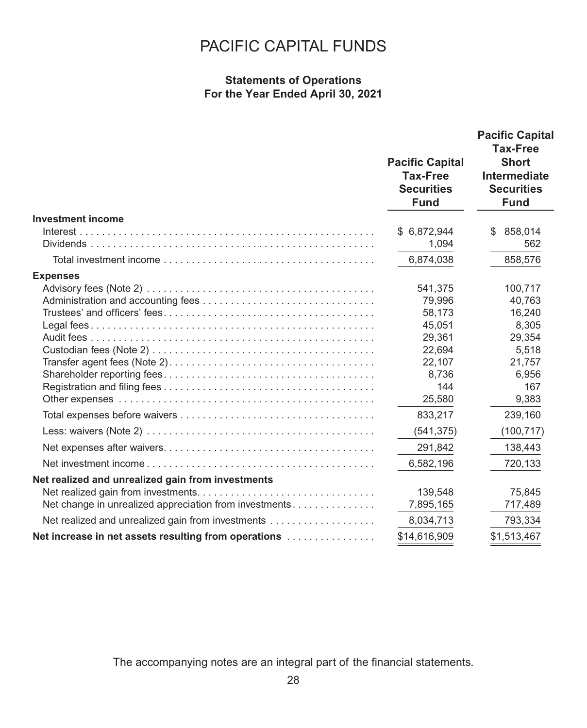### **Statements of Operations For the Year Ended April 30, 2021**

|                                                        | <b>Pacific Capital</b><br><b>Tax-Free</b><br><b>Securities</b><br><b>Fund</b> | <b>Pacific Capital</b><br>Tax-Free<br><b>Short</b><br>Intermediate<br><b>Securities</b><br><b>Fund</b> |
|--------------------------------------------------------|-------------------------------------------------------------------------------|--------------------------------------------------------------------------------------------------------|
| <b>Investment income</b>                               |                                                                               |                                                                                                        |
|                                                        | \$6,872,944<br>1,094                                                          | 858,014<br>S<br>562                                                                                    |
|                                                        | 6,874,038                                                                     | 858,576                                                                                                |
| <b>Expenses</b>                                        |                                                                               |                                                                                                        |
|                                                        | 541,375                                                                       | 100,717                                                                                                |
|                                                        | 79,996                                                                        | 40.763                                                                                                 |
|                                                        | 58,173                                                                        | 16,240                                                                                                 |
|                                                        | 45,051                                                                        | 8.305                                                                                                  |
|                                                        | 29,361                                                                        | 29,354                                                                                                 |
|                                                        | 22,694                                                                        | 5,518                                                                                                  |
|                                                        | 22,107                                                                        | 21,757                                                                                                 |
|                                                        | 8.736                                                                         | 6,956                                                                                                  |
|                                                        | 144                                                                           | 167                                                                                                    |
|                                                        | 25,580                                                                        | 9,383                                                                                                  |
|                                                        | 833,217                                                                       | 239,160                                                                                                |
|                                                        | (541, 375)                                                                    | (100, 717)                                                                                             |
|                                                        | 291,842                                                                       | 138,443                                                                                                |
|                                                        | 6,582,196                                                                     | 720,133                                                                                                |
| Net realized and unrealized gain from investments      |                                                                               |                                                                                                        |
|                                                        | 139,548                                                                       | 75,845                                                                                                 |
| Net change in unrealized appreciation from investments | 7,895,165                                                                     | 717,489                                                                                                |
|                                                        | 8,034,713                                                                     | 793,334                                                                                                |
| Net increase in net assets resulting from operations   | \$14,616,909                                                                  | \$1,513,467                                                                                            |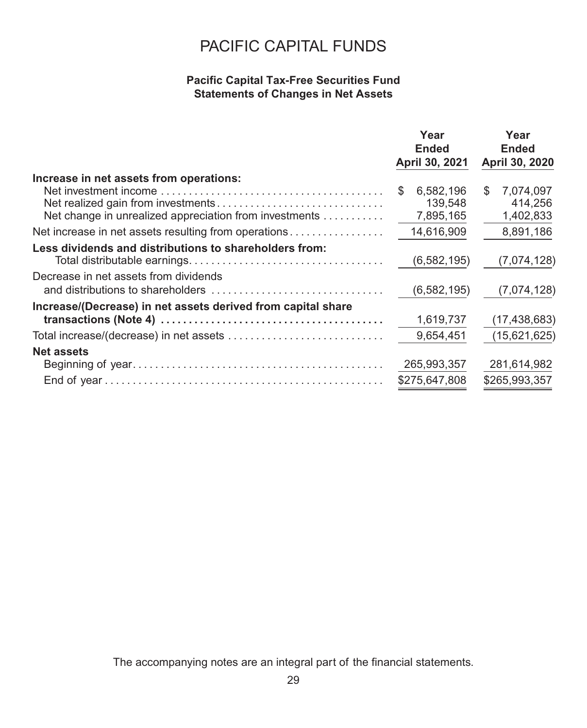### **Pacific Capital Tax-Free Securities Fund Statements of Changes in Net Assets**

|                                                              | Year<br>Ended<br>April 30, 2021 | Year<br>Ended<br>April 30, 2020 |
|--------------------------------------------------------------|---------------------------------|---------------------------------|
| Increase in net assets from operations:                      | 6,582,196<br>S                  | \$<br>7,074,097                 |
| Net change in unrealized appreciation from investments       | 139,548<br>7,895,165            | 414,256<br>1,402,833            |
| Net increase in net assets resulting from operations         | 14,616,909                      | 8,891,186                       |
| Less dividends and distributions to shareholders from:       | (6, 582, 195)                   | (7,074,128)                     |
| Decrease in net assets from dividends                        | (6, 582, 195)                   | (7,074,128)                     |
| Increase/(Decrease) in net assets derived from capital share |                                 |                                 |
|                                                              | 1,619,737                       | (17, 438, 683)                  |
|                                                              | 9,654,451                       | (15,621,625)                    |
| <b>Net assets</b>                                            | 265,993,357                     | 281,614,982                     |
|                                                              | \$275,647,808                   | \$265,993,357                   |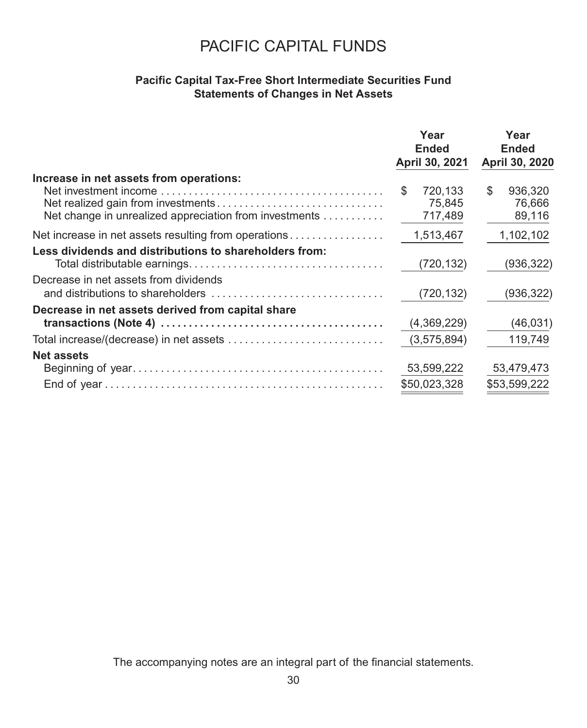### **Pacific Capital Tax-Free Short Intermediate Securities Fund Statements of Changes in Net Assets**

|                                                                                                   | Year<br><b>Ended</b><br>April 30, 2021 | Year<br><b>Ended</b><br>April 30, 2020 |
|---------------------------------------------------------------------------------------------------|----------------------------------------|----------------------------------------|
| Increase in net assets from operations:<br>Net change in unrealized appreciation from investments | 720,133<br>\$<br>75,845<br>717,489     | \$<br>936.320<br>76,666<br>89,116      |
| Net increase in net assets resulting from operations                                              | 1,513,467                              | 1,102,102                              |
| Less dividends and distributions to shareholders from:                                            | (720,132)                              | (936, 322)                             |
| Decrease in net assets from dividends                                                             | (720,132)                              | (936, 322)                             |
| Decrease in net assets derived from capital share                                                 |                                        |                                        |
|                                                                                                   | (4,369,229)                            | (46, 031)                              |
|                                                                                                   | (3,575,894)                            | 119,749                                |
| <b>Net assets</b>                                                                                 | 53,599,222<br>\$50,023,328             | 53,479,473<br>\$53,599,222             |
|                                                                                                   |                                        |                                        |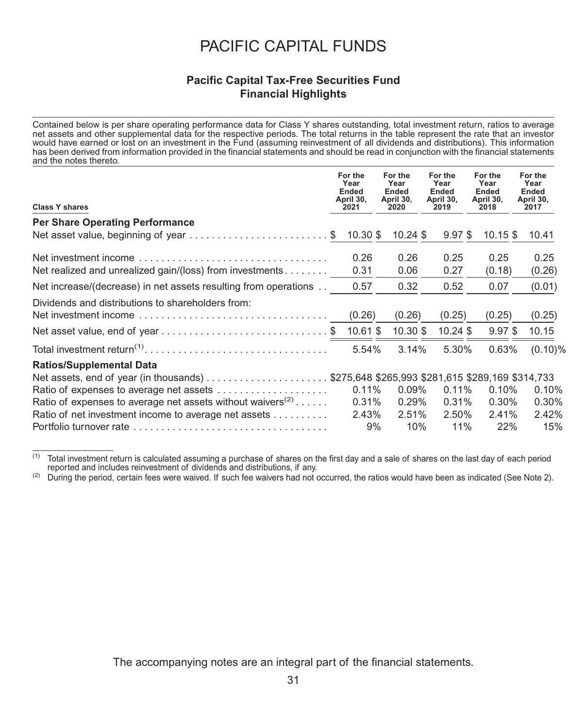### **Pacific Capital Tax-Free Securities Fund Financial Highlights**

Contained below is per share operating performance data for Class Y shares outstanding, total investment return, ratios to average net assets and other supplemental data for the respective periods. The total returns in the table represent the rate that an investor<br>would have earned or lost on an investment in the Fund (assuming reinvestment of all div has been derived from information provided in the financial statements and should be read in conjunction with the financial statements and the notes thereto.

| <b>Class Y shares</b>                                                  | For the<br>Year<br>Ended<br>April 30,<br>2021 |          | For the<br>Year<br>Ended<br>April 30,<br>2020 | For the<br>Year<br><b>Ended</b><br>April 30,<br>2019 | For the<br>Year<br><b>Ended</b><br>April 30,<br>2018 | For the<br>Year<br>Ended<br>April 30,<br>2017 |
|------------------------------------------------------------------------|-----------------------------------------------|----------|-----------------------------------------------|------------------------------------------------------|------------------------------------------------------|-----------------------------------------------|
| <b>Per Share Operating Performance</b>                                 |                                               |          |                                               |                                                      |                                                      |                                               |
| Net asset value, beginning of year \$                                  | 10.30 \$                                      |          | $10.24$ \$                                    | $9.97$ \$                                            | $10.15$ \$                                           | 10.41                                         |
| Net investment income                                                  | 0.26                                          |          | 0.26                                          | 0.25                                                 | 0.25                                                 | 0.25                                          |
| Net realized and unrealized gain/(loss) from investments               | 0.31                                          |          | 0.06                                          | 0.27                                                 | (0.18)                                               | (0.26)                                        |
| Net increase/(decrease) in net assets resulting from operations        | 0.57                                          |          | 0.32                                          | 0.52                                                 | 0.07                                                 | (0.01)                                        |
| Dividends and distributions to shareholders from:                      |                                               |          |                                               |                                                      |                                                      |                                               |
|                                                                        | (0.26)                                        |          | (0.26)                                        | (0.25)                                               | (0.25)                                               | (0.25)                                        |
|                                                                        | $10.61$ \$                                    |          | 10.30 \$                                      | $10.24$ \$                                           | $9.97$ \$                                            | 10.15                                         |
|                                                                        |                                               | 5.54%    | 3.14%                                         | 5.30%                                                | 0.63%                                                | $(0.10)\%$                                    |
| <b>Ratios/Supplemental Data</b>                                        |                                               |          |                                               |                                                      |                                                      |                                               |
|                                                                        |                                               |          |                                               |                                                      |                                                      |                                               |
| Ratio of expenses to average net assets                                |                                               | $0.11\%$ | $0.09\%$                                      | $0.11\%$                                             | $0.10\%$                                             | 0.10%                                         |
| Ratio of expenses to average net assets without waivers <sup>(2)</sup> |                                               | 0.31%    | 0.29%                                         | 0.31%                                                | $0.30\%$                                             | 0.30%                                         |
| Ratio of net investment income to average net assets                   |                                               | 2.43%    | 2.51%                                         | 2.50%                                                | 2.41%                                                | 2.42%                                         |
|                                                                        |                                               | 9%       | 10%                                           | 11%                                                  | 22%                                                  | 15%                                           |

<sup>&</sup>lt;sup>(1)</sup> Total investment return is calculated assuming a purchase of shares on the first day and a sale of shares on the last day of each period reported and includes reinvestment of dividends and distributions, if any.

 $(2)$  During the period, certain fees were waived. If such fee waivers had not occurred, the ratios would have been as indicated (See Note 2).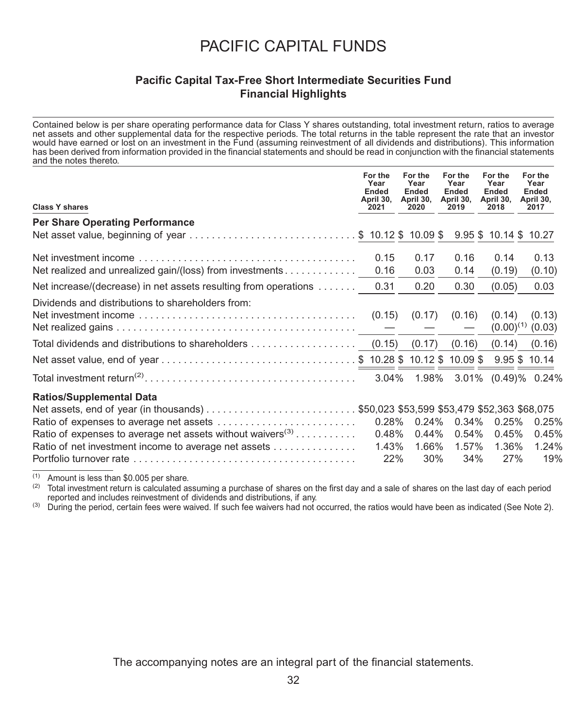#### **Pacific Capital Tax-Free Short Intermediate Securities Fund Financial Highlights**

Contained below is per share operating performance data for Class Y shares outstanding, total investment return, ratios to average net assets and other supplemental data for the respective periods. The total returns in the table represent the rate that an investor<br>would have earned or lost on an investment in the Fund (assuming reinvestment of all div has been derived from information provided in the financial statements and should be read in conjunction with the financial statements and the notes thereto.

| <b>Class Y shares</b>                                                                                                                                            | For the<br>Year<br>Ended<br>April 30,<br>2021 |          | For the<br>Year<br>Ended<br>April 30,<br>2020 | For the<br>Year<br>Ended<br>April 30,<br>2019 | For the<br>Year<br><b>Ended</b><br>April 30,<br>2018 | For the<br>Year<br>Ended<br>April 30,<br>2017 |        |
|------------------------------------------------------------------------------------------------------------------------------------------------------------------|-----------------------------------------------|----------|-----------------------------------------------|-----------------------------------------------|------------------------------------------------------|-----------------------------------------------|--------|
| <b>Per Share Operating Performance</b>                                                                                                                           |                                               |          |                                               |                                               |                                                      |                                               |        |
| Net asset value, beginning of year \$ 10.12 \$ 10.09 \$                                                                                                          |                                               |          |                                               |                                               | 9.95 \$10.14 \$10.27                                 |                                               |        |
|                                                                                                                                                                  | 0.15                                          |          | 0.17                                          | 0.16                                          | 0.14                                                 |                                               | 0.13   |
| Net realized and unrealized gain/(loss) from investments                                                                                                         | 0.16                                          |          | 0.03                                          | 0.14                                          | (0.19)                                               |                                               | (0.10) |
| Net increase/(decrease) in net assets resulting from operations                                                                                                  | 0.31                                          |          | 0.20                                          | 0.30                                          | (0.05)                                               |                                               | 0.03   |
| Dividends and distributions to shareholders from:<br>Net investment income $\ldots \ldots \ldots \ldots \ldots \ldots \ldots \ldots \ldots \ldots$ (0.15) (0.17) |                                               |          |                                               | (0.16)<br>$\hspace{0.1mm}-\hspace{0.1mm}$     | (0.14)                                               | $(0.00)^{(1)}$ (0.03)                         | (0.13) |
|                                                                                                                                                                  |                                               |          |                                               | $(0.17)$ $(0.16)$                             | (0.14)                                               |                                               | (0.16) |
|                                                                                                                                                                  |                                               |          |                                               |                                               |                                                      |                                               |        |
|                                                                                                                                                                  |                                               |          |                                               |                                               |                                                      |                                               |        |
| <b>Ratios/Supplemental Data</b>                                                                                                                                  |                                               |          |                                               |                                               |                                                      |                                               |        |
|                                                                                                                                                                  |                                               | $0.28\%$ | $0.24\%$                                      | 0.34%                                         | 0.25%                                                |                                               | 0.25%  |
| Ratio of expenses to average net assets without waivers <sup>(3)</sup>                                                                                           |                                               | 0.48%    | $0.44\%$                                      | $0.54\%$                                      | 0.45%                                                |                                               | 0.45%  |
| Ratio of net investment income to average net assets                                                                                                             |                                               | 1.43%    | 1.66%                                         | 1.57%                                         | 1.36%                                                |                                               | 1.24%  |
|                                                                                                                                                                  |                                               | 22%      | $30\%$                                        | 34%                                           |                                                      | 27%                                           | 19%    |

(1) Amount is less than \$0.005 per share.<br>(2) Total investment return is calculated as

Total investment return is calculated assuming a purchase of shares on the first day and a sale of shares on the last day of each period reported and includes reinvestment of dividends and distributions, if any.

<sup>(3)</sup> During the period, certain fees were waived. If such fee waivers had not occurred, the ratios would have been as indicated (See Note 2).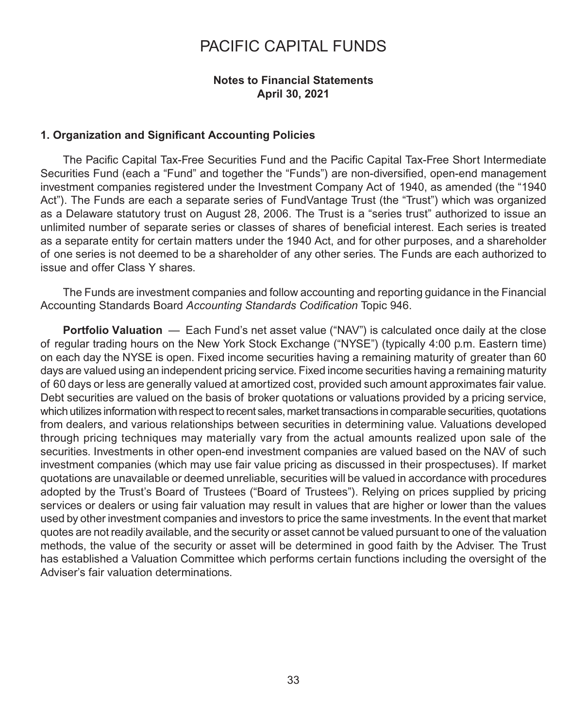#### **Notes to Financial Statements April 30, 2021**

#### **1. Organization and Significant Accounting Policies**

The Pacific Capital Tax-Free Securities Fund and the Pacific Capital Tax-Free Short Intermediate Securities Fund (each a "Fund" and together the "Funds") are non-diversified, open-end management investment companies registered under the Investment Company Act of 1940, as amended (the "1940 Act"). The Funds are each a separate series of FundVantage Trust (the "Trust") which was organized as a Delaware statutory trust on August 28, 2006. The Trust is a "series trust" authorized to issue an unlimited number of separate series or classes of shares of beneficial interest. Each series is treated as a separate entity for certain matters under the 1940 Act, and for other purposes, and a shareholder of one series is not deemed to be a shareholder of any other series. The Funds are each authorized to issue and offer Class Y shares.

The Funds are investment companies and follow accounting and reporting guidance in the Financial Accounting Standards Board *Accounting Standards Codification* Topic 946.

**Portfolio Valuation** — Each Fund's net asset value ("NAV") is calculated once daily at the close of regular trading hours on the New York Stock Exchange ("NYSE") (typically 4:00 p.m. Eastern time) on each day the NYSE is open. Fixed income securities having a remaining maturity of greater than 60 days are valued using an independent pricing service. Fixed income securities having a remaining maturity of 60 days or less are generally valued at amortized cost, provided such amount approximates fair value. Debt securities are valued on the basis of broker quotations or valuations provided by a pricing service, which utilizes information with respect to recent sales, market transactions in comparable securities, quotations from dealers, and various relationships between securities in determining value. Valuations developed through pricing techniques may materially vary from the actual amounts realized upon sale of the securities. Investments in other open-end investment companies are valued based on the NAV of such investment companies (which may use fair value pricing as discussed in their prospectuses). If market quotations are unavailable or deemed unreliable, securities will be valued in accordance with procedures adopted by the Trust's Board of Trustees ("Board of Trustees"). Relying on prices supplied by pricing services or dealers or using fair valuation may result in values that are higher or lower than the values used by other investment companies and investors to price the same investments. In the event that market quotes are not readily available, and the security or asset cannot be valued pursuant to one of the valuation methods, the value of the security or asset will be determined in good faith by the Adviser. The Trust has established a Valuation Committee which performs certain functions including the oversight of the Adviser's fair valuation determinations.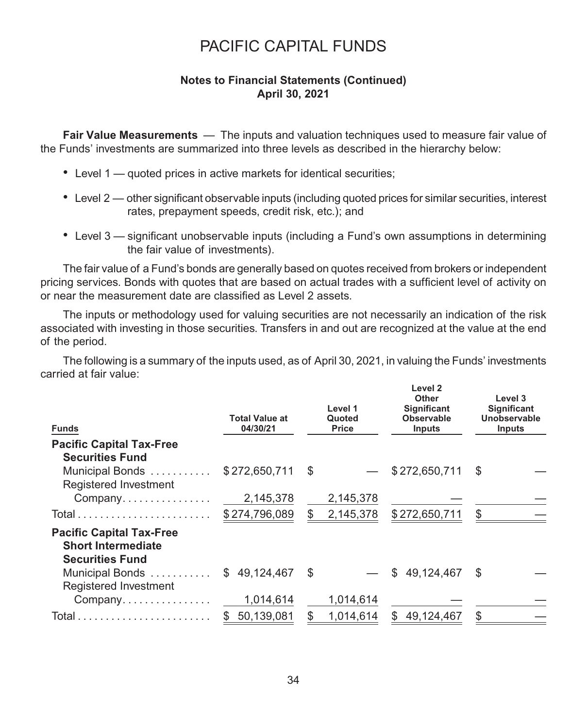### **Notes to Financial Statements (Continued) April 30, 2021**

**Fair Value Measurements** — The inputs and valuation techniques used to measure fair value of the Funds' investments are summarized into three levels as described in the hierarchy below:

- Level 1 quoted prices in active markets for identical securities;
- Level 2 other significant observable inputs (including quoted prices for similar securities, interest rates, prepayment speeds, credit risk, etc.); and
- Level 3 significant unobservable inputs (including a Fund's own assumptions in determining the fair value of investments).

The fair value of a Fund's bonds are generally based on quotes received from brokers or independent pricing services. Bonds with quotes that are based on actual trades with a sufficient level of activity on or near the measurement date are classified as Level 2 assets.

The inputs or methodology used for valuing securities are not necessarily an indication of the risk associated with investing in those securities. Transfers in and out are recognized at the value at the end of the period.

The following is a summary of the inputs used, as of April 30, 2021, in valuing the Funds' investments carried at fair value:

| <b>Funds</b>                                                                           | <b>Total Value at</b><br>04/30/21 |      | Level 1<br>Quoted<br><b>Price</b> | Level 2<br><b>Other</b><br>Significant<br>Observable<br><b>Inputs</b> | Level 3<br><b>Significant</b><br>Unobservable<br><b>Inputs</b> |
|----------------------------------------------------------------------------------------|-----------------------------------|------|-----------------------------------|-----------------------------------------------------------------------|----------------------------------------------------------------|
| <b>Pacific Capital Tax-Free</b>                                                        |                                   |      |                                   |                                                                       |                                                                |
| <b>Securities Fund</b>                                                                 |                                   |      |                                   |                                                                       |                                                                |
| Municipal Bonds                                                                        | \$272,650,711                     | - \$ |                                   | \$272,650,711                                                         | \$                                                             |
| Registered Investment                                                                  |                                   |      |                                   |                                                                       |                                                                |
| Company                                                                                | 2,145,378                         |      | 2,145,378                         |                                                                       |                                                                |
|                                                                                        | \$274,796,089                     |      | 2,145,378                         | \$272,650,711                                                         | S                                                              |
| <b>Pacific Capital Tax-Free</b><br><b>Short Intermediate</b><br><b>Securities Fund</b> |                                   |      |                                   |                                                                       |                                                                |
| Municipal Bonds<br>Registered Investment                                               | 49,124,467<br>SS.                 | - \$ |                                   | 49,124,467<br>\$                                                      | - \$                                                           |
| Company                                                                                | 1,014,614                         |      | 1,014,614                         |                                                                       |                                                                |
|                                                                                        | 50,139,081<br>\$.                 |      | 1,014,614                         | 49,124,467<br>\$.                                                     | \$                                                             |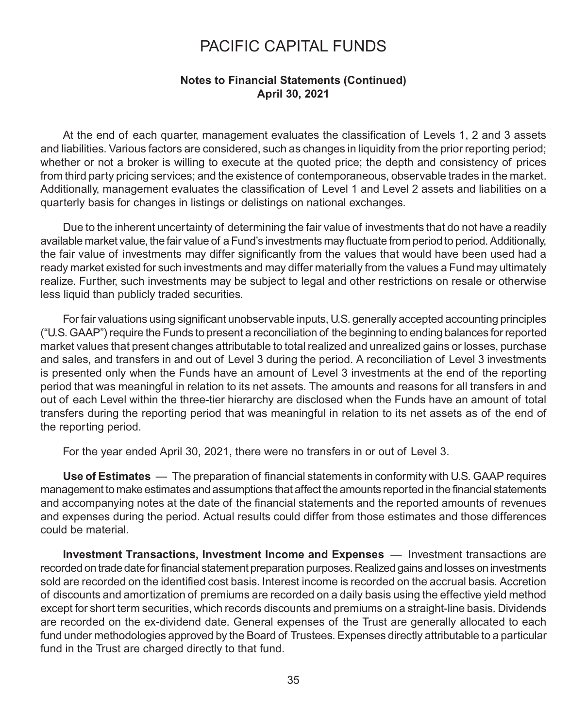#### **Notes to Financial Statements (Continued) April 30, 2021**

At the end of each quarter, management evaluates the classification of Levels 1, 2 and 3 assets and liabilities. Various factors are considered, such as changes in liquidity from the prior reporting period; whether or not a broker is willing to execute at the quoted price; the depth and consistency of prices from third party pricing services; and the existence of contemporaneous, observable trades in the market. Additionally, management evaluates the classification of Level 1 and Level 2 assets and liabilities on a quarterly basis for changes in listings or delistings on national exchanges.

Due to the inherent uncertainty of determining the fair value of investments that do not have a readily available market value, the fair value of a Fund's investments may fluctuate from period to period. Additionally, the fair value of investments may differ significantly from the values that would have been used had a ready market existed for such investments and may differ materially from the values a Fund may ultimately realize. Further, such investments may be subject to legal and other restrictions on resale or otherwise less liquid than publicly traded securities.

For fair valuations using significant unobservable inputs, U.S. generally accepted accounting principles ("U.S. GAAP") require the Funds to present a reconciliation of the beginning to ending balances for reported market values that present changes attributable to total realized and unrealized gains or losses, purchase and sales, and transfers in and out of Level 3 during the period. A reconciliation of Level 3 investments is presented only when the Funds have an amount of Level 3 investments at the end of the reporting period that was meaningful in relation to its net assets. The amounts and reasons for all transfers in and out of each Level within the three-tier hierarchy are disclosed when the Funds have an amount of total transfers during the reporting period that was meaningful in relation to its net assets as of the end of the reporting period.

For the year ended April 30, 2021, there were no transfers in or out of Level 3.

**Use of Estimates** — The preparation of financial statements in conformity with U.S. GAAP requires management to make estimates and assumptions that affect the amounts reported in the financial statements and accompanying notes at the date of the financial statements and the reported amounts of revenues and expenses during the period. Actual results could differ from those estimates and those differences could be material.

**Investment Transactions, Investment Income and Expenses** — Investment transactions are recorded on trade date for financial statement preparation purposes. Realized gains and losses on investments sold are recorded on the identified cost basis. Interest income is recorded on the accrual basis. Accretion of discounts and amortization of premiums are recorded on a daily basis using the effective yield method except for short term securities, which records discounts and premiums on a straight-line basis. Dividends are recorded on the ex-dividend date. General expenses of the Trust are generally allocated to each fund under methodologies approved by the Board of Trustees. Expenses directly attributable to a particular fund in the Trust are charged directly to that fund.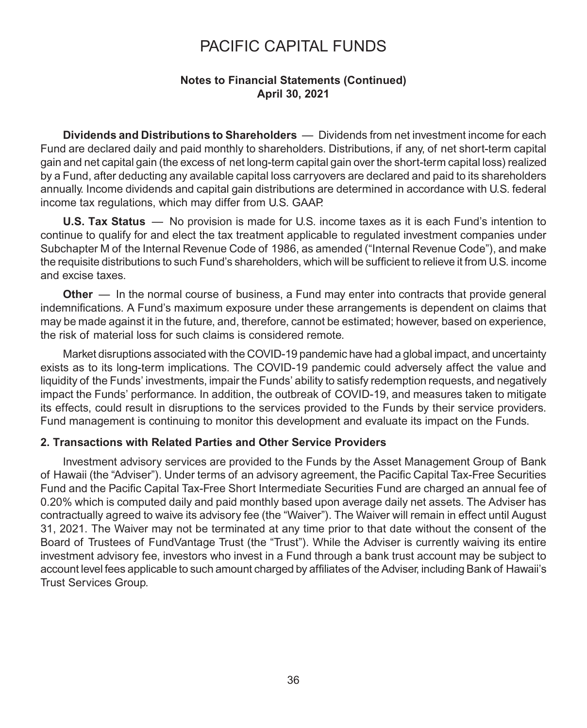### **Notes to Financial Statements (Continued) April 30, 2021**

**Dividends and Distributions to Shareholders** — Dividends from net investment income for each Fund are declared daily and paid monthly to shareholders. Distributions, if any, of net short-term capital gain and net capital gain (the excess of net long-term capital gain over the short-term capital loss) realized by a Fund, after deducting any available capital loss carryovers are declared and paid to its shareholders annually. Income dividends and capital gain distributions are determined in accordance with U.S. federal income tax regulations, which may differ from U.S. GAAP.

**U.S. Tax Status** — No provision is made for U.S. income taxes as it is each Fund's intention to continue to qualify for and elect the tax treatment applicable to regulated investment companies under Subchapter M of the Internal Revenue Code of 1986, as amended ("Internal Revenue Code"), and make the requisite distributions to such Fund's shareholders, which will be sufficient to relieve it from U.S. income and excise taxes.

**Other** — In the normal course of business, a Fund may enter into contracts that provide general indemnifications. A Fund's maximum exposure under these arrangements is dependent on claims that may be made against it in the future, and, therefore, cannot be estimated; however, based on experience, the risk of material loss for such claims is considered remote.

Market disruptions associated with the COVID-19 pandemic have had a global impact, and uncertainty exists as to its long-term implications. The COVID-19 pandemic could adversely affect the value and liquidity of the Funds' investments, impair the Funds' ability to satisfy redemption requests, and negatively impact the Funds' performance. In addition, the outbreak of COVID-19, and measures taken to mitigate its effects, could result in disruptions to the services provided to the Funds by their service providers. Fund management is continuing to monitor this development and evaluate its impact on the Funds.

#### **2. Transactions with Related Parties and Other Service Providers**

Investment advisory services are provided to the Funds by the Asset Management Group of Bank of Hawaii (the "Adviser"). Under terms of an advisory agreement, the Pacific Capital Tax-Free Securities Fund and the Pacific Capital Tax-Free Short Intermediate Securities Fund are charged an annual fee of 0.20% which is computed daily and paid monthly based upon average daily net assets. The Adviser has contractually agreed to waive its advisory fee (the "Waiver"). The Waiver will remain in effect until August 31, 2021. The Waiver may not be terminated at any time prior to that date without the consent of the Board of Trustees of FundVantage Trust (the "Trust"). While the Adviser is currently waiving its entire investment advisory fee, investors who invest in a Fund through a bank trust account may be subject to account level fees applicable to such amount charged by affiliates of the Adviser, including Bank of Hawaii's Trust Services Group.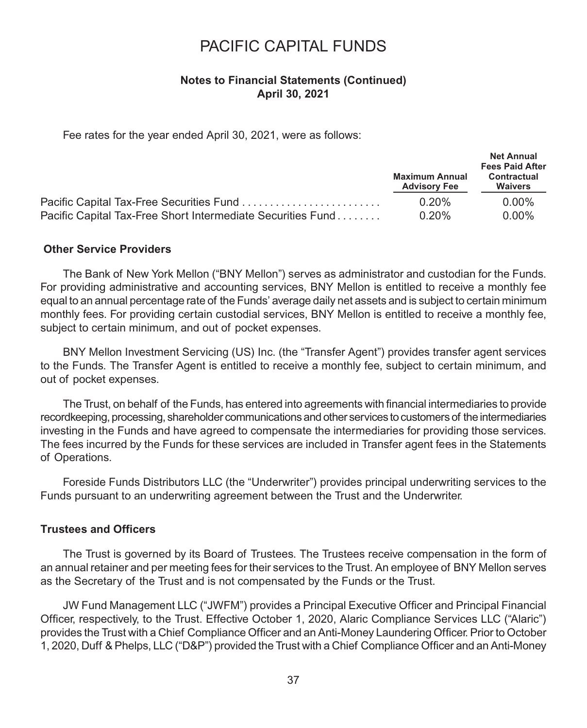### **Notes to Financial Statements (Continued) April 30, 2021**

Fee rates for the year ended April 30, 2021, were as follows:

|                                                             |                                              | <b>Net Annual</b><br><b>Fees Paid After</b> |
|-------------------------------------------------------------|----------------------------------------------|---------------------------------------------|
|                                                             | <b>Maximum Annual</b><br><b>Advisory Fee</b> | Contractual<br><b>Waivers</b>               |
|                                                             | 0.20%                                        | 0.00%                                       |
| Pacific Capital Tax-Free Short Intermediate Securities Fund | 0.20%                                        | $0.00\%$                                    |

#### **Other Service Providers**

The Bank of New York Mellon ("BNY Mellon") serves as administrator and custodian for the Funds. For providing administrative and accounting services, BNY Mellon is entitled to receive a monthly fee equal to an annual percentage rate of the Funds' average daily net assets and is subject to certain minimum monthly fees. For providing certain custodial services, BNY Mellon is entitled to receive a monthly fee, subject to certain minimum, and out of pocket expenses.

BNY Mellon Investment Servicing (US) Inc. (the "Transfer Agent") provides transfer agent services to the Funds. The Transfer Agent is entitled to receive a monthly fee, subject to certain minimum, and out of pocket expenses.

The Trust, on behalf of the Funds, has entered into agreements with financial intermediaries to provide recordkeeping, processing, shareholder communications and other services to customers of the intermediaries investing in the Funds and have agreed to compensate the intermediaries for providing those services. The fees incurred by the Funds for these services are included in Transfer agent fees in the Statements of Operations.

Foreside Funds Distributors LLC (the "Underwriter") provides principal underwriting services to the Funds pursuant to an underwriting agreement between the Trust and the Underwriter.

#### **Trustees and Officers**

The Trust is governed by its Board of Trustees. The Trustees receive compensation in the form of an annual retainer and per meeting fees for their services to the Trust. An employee of BNY Mellon serves as the Secretary of the Trust and is not compensated by the Funds or the Trust.

JW Fund Management LLC ("JWFM") provides a Principal Executive Officer and Principal Financial Officer, respectively, to the Trust. Effective October 1, 2020, Alaric Compliance Services LLC ("Alaric") provides the Trust with a Chief Compliance Officer and an Anti-Money Laundering Officer. Prior to October 1, 2020, Duff & Phelps, LLC ("D&P") provided the Trust with a Chief Compliance Officer and an Anti-Money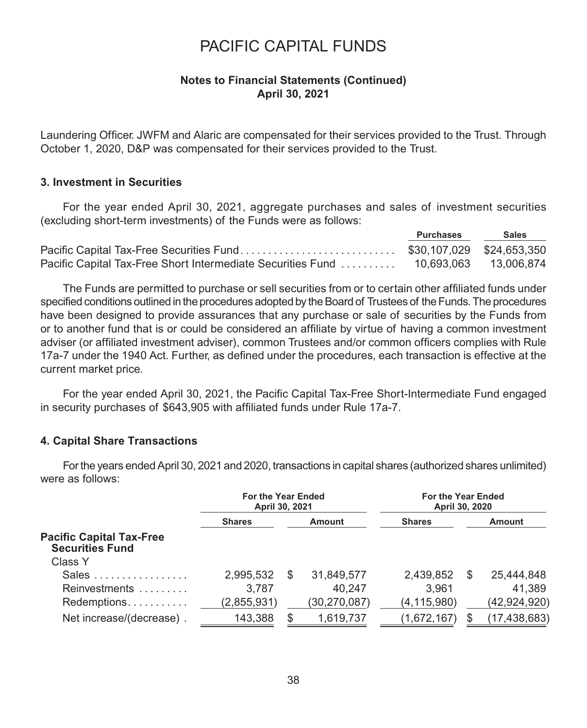#### **Notes to Financial Statements (Continued) April 30, 2021**

Laundering Officer. JWFM and Alaric are compensated for their services provided to the Trust. Through October 1, 2020, D&P was compensated for their services provided to the Trust.

#### **3. Investment in Securities**

For the year ended April 30, 2021, aggregate purchases and sales of investment securities (excluding short-term investments) of the Funds were as follows:

| Purchases | <b>Sales</b> |
|-----------|--------------|
|           |              |
|           |              |

The Funds are permitted to purchase or sell securities from or to certain other affiliated funds under specified conditions outlined in the procedures adopted by the Board of Trustees of the Funds. The procedures have been designed to provide assurances that any purchase or sale of securities by the Funds from or to another fund that is or could be considered an affiliate by virtue of having a common investment adviser (or affiliated investment adviser), common Trustees and/or common officers complies with Rule 17a-7 under the 1940 Act. Further, as defined under the procedures, each transaction is effective at the current market price.

For the year ended April 30, 2021, the Pacific Capital Tax-Free Short-Intermediate Fund engaged in security purchases of \$643,905 with affiliated funds under Rule 17a-7.

#### **4. Capital Share Transactions**

For the years ended April 30, 2021 and 2020, transactions in capital shares (authorized shares unlimited) were as follows:

|                                                           | For the Year Ended<br>April 30, 2021 |               | For the Year Ended<br>April 30, 2020 |               |   |                |
|-----------------------------------------------------------|--------------------------------------|---------------|--------------------------------------|---------------|---|----------------|
|                                                           | <b>Shares</b><br><b>Amount</b>       |               | <b>Shares</b>                        | Amount        |   |                |
| <b>Pacific Capital Tax-Free</b><br><b>Securities Fund</b> |                                      |               |                                      |               |   |                |
| Class Y                                                   |                                      |               |                                      |               |   |                |
| Sales                                                     | 2,995,532                            | <sup>\$</sup> | 31,849,577                           | 2,439,852     | S | 25,444,848     |
| Reinvestments                                             | 3.787                                |               | 40.247                               | 3.961         |   | 41,389         |
| Redemptions                                               | (2,855,931)                          |               | (30,270,087)                         | (4, 115, 980) |   | (42, 924, 920) |
| Net increase/(decrease).                                  | 143,388                              |               | 1,619,737                            | (1,672,167)   |   | (17, 438, 683) |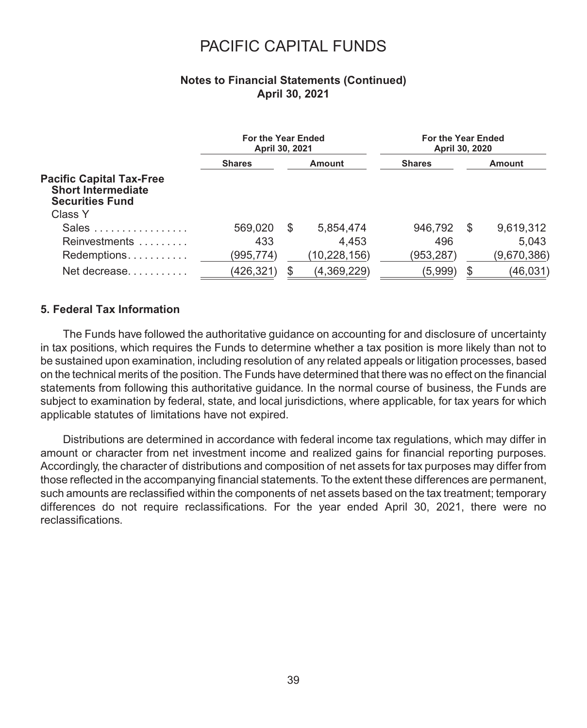### **Notes to Financial Statements (Continued) April 30, 2021**

|                                                                                        | For the Year Ended<br>April 30, 2021 |     | For the Year Ended<br>April 30, 2020 |               |  |             |
|----------------------------------------------------------------------------------------|--------------------------------------|-----|--------------------------------------|---------------|--|-------------|
|                                                                                        | <b>Shares</b>                        |     | Amount                               | <b>Shares</b> |  | Amount      |
| <b>Pacific Capital Tax-Free</b><br><b>Short Intermediate</b><br><b>Securities Fund</b> |                                      |     |                                      |               |  |             |
| Class Y                                                                                |                                      |     |                                      |               |  |             |
| Sales                                                                                  | 569.020                              | \$. | 5,854,474                            | 946.792       |  | 9,619,312   |
| Reinvestments                                                                          | 433                                  |     | 4.453                                | 496           |  | 5.043       |
| Redemptions                                                                            | (995,774)                            |     | (10,228,156)                         | (953,287)     |  | (9,670,386) |
| Net decrease                                                                           | (426,321)                            |     | (4,369,229)                          | (5,999)       |  | (46, 031)   |

#### **5. Federal Tax Information**

The Funds have followed the authoritative guidance on accounting for and disclosure of uncertainty in tax positions, which requires the Funds to determine whether a tax position is more likely than not to be sustained upon examination, including resolution of any related appeals or litigation processes, based on the technical merits of the position. The Funds have determined that there was no effect on the financial statements from following this authoritative guidance. In the normal course of business, the Funds are subject to examination by federal, state, and local jurisdictions, where applicable, for tax years for which applicable statutes of limitations have not expired.

Distributions are determined in accordance with federal income tax regulations, which may differ in amount or character from net investment income and realized gains for financial reporting purposes. Accordingly, the character of distributions and composition of net assets for tax purposes may differ from those reflected in the accompanying financial statements. To the extent these differences are permanent, such amounts are reclassified within the components of net assets based on the tax treatment; temporary differences do not require reclassifications. For the year ended April 30, 2021, there were no reclassifications.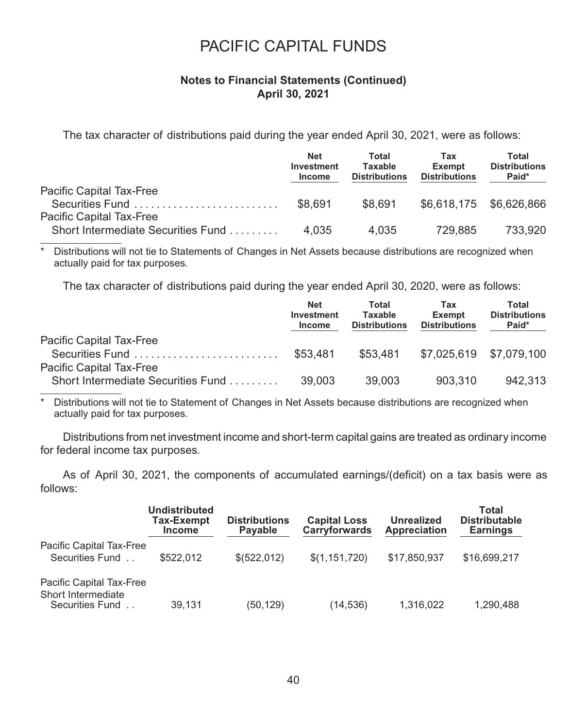#### **Notes to Financial Statements (Continued) April 30, 2021**

The tax character of distributions paid during the year ended April 30, 2021, were as follows:

|                                    | <b>Net</b><br>Investment<br><b>Income</b> | Total<br>Taxable<br><b>Distributions</b> | Tax<br>Exempt<br><b>Distributions</b> | Total<br><b>Distributions</b><br>Paid* |
|------------------------------------|-------------------------------------------|------------------------------------------|---------------------------------------|----------------------------------------|
| Pacific Capital Tax-Free           |                                           |                                          |                                       |                                        |
| Securities Fund                    | \$8,691                                   | \$8,691                                  |                                       | \$6,618,175 \$6,626,866                |
| Pacific Capital Tax-Free           |                                           |                                          |                                       |                                        |
| Short Intermediate Securities Fund | 4.035                                     | 4.035                                    | 729.885                               | 733.920                                |

Distributions will not tie to Statements of Changes in Net Assets because distributions are recognized when actually paid for tax purposes.

The tax character of distributions paid during the year ended April 30, 2020, were as follows:

|                                                                | <b>Net</b><br>Investment<br>Income | Total<br>Taxable<br><b>Distributions</b> | Tax<br><b>Exempt</b><br><b>Distributions</b> | Total<br><b>Distributions</b><br>Paid* |
|----------------------------------------------------------------|------------------------------------|------------------------------------------|----------------------------------------------|----------------------------------------|
| Pacific Capital Tax-Free<br>Securities Fund                    | \$53.481                           | \$53.481                                 | \$7,025,619 \$7,079,100                      |                                        |
| Pacific Capital Tax-Free<br>Short Intermediate Securities Fund | 39.003                             | 39.003                                   | 903.310                                      | 942.313                                |

\* Distributions will not tie to Statement of Changes in Net Assets because distributions are recognized when actually paid for tax purposes.

Distributions from net investment income and short-term capital gains are treated as ordinary income for federal income tax purposes.

As of April 30, 2021, the components of accumulated earnings/(deficit) on a tax basis were as follows:

|                                                                   | Undistributed<br>Tax-Exempt<br><b>Income</b> | <b>Distributions</b><br>Payable | <b>Capital Loss</b><br>Carryforwards | <b>Unrealized</b><br>Appreciation | Total<br><b>Distributable</b><br><b>Earnings</b> |
|-------------------------------------------------------------------|----------------------------------------------|---------------------------------|--------------------------------------|-----------------------------------|--------------------------------------------------|
| Pacific Capital Tax-Free<br>Securities Fund                       | \$522,012                                    | \$ (522, 012)                   | \$(1,151,720)                        | \$17,850,937                      | \$16,699,217                                     |
| Pacific Capital Tax-Free<br>Short Intermediate<br>Securities Fund | 39.131                                       | (50,129)                        | (14, 536)                            | 1,316,022                         | 1.290.488                                        |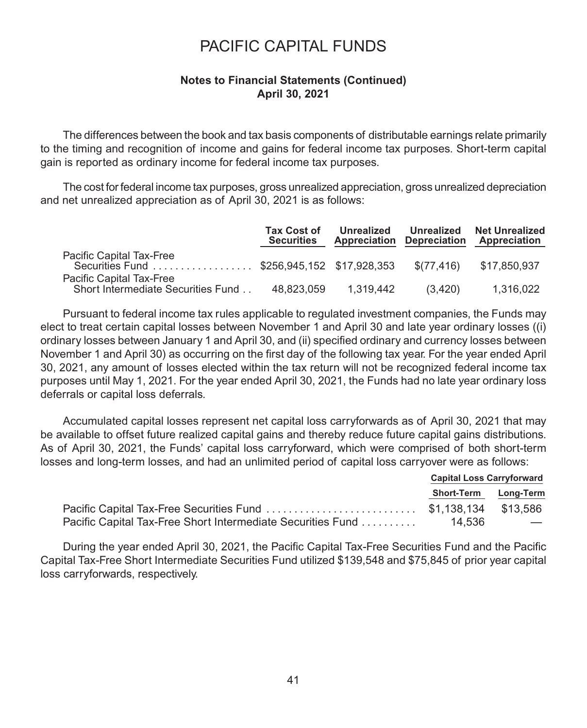### **Notes to Financial Statements (Continued) April 30, 2021**

The differences between the book and tax basis components of distributable earnings relate primarily to the timing and recognition of income and gains for federal income tax purposes. Short-term capital gain is reported as ordinary income for federal income tax purposes.

The cost for federal income tax purposes, gross unrealized appreciation, gross unrealized depreciation and net unrealized appreciation as of April 30, 2021 is as follows:

|                                                                        | <b>Tax Cost of</b><br><b>Securities</b> | Unrealized<br><b>Appreciation Depreciation</b> | Unrealized | <b>Net Unrealized</b><br>Appreciation |
|------------------------------------------------------------------------|-----------------------------------------|------------------------------------------------|------------|---------------------------------------|
| Pacific Capital Tax-Free<br>Securities Fund \$256.945.152 \$17.928.353 |                                         |                                                | \$(77.416) | \$17.850.937                          |
| Pacific Capital Tax-Free<br>Short Intermediate Securities Fund         | 48.823.059                              | 1.319.442                                      | (3.420)    | 1.316.022                             |

Pursuant to federal income tax rules applicable to regulated investment companies, the Funds may elect to treat certain capital losses between November 1 and April 30 and late year ordinary losses ((i) ordinary losses between January 1 and April 30, and (ii) specified ordinary and currency losses between November 1 and April 30) as occurring on the first day of the following tax year. For the year ended April 30, 2021, any amount of losses elected within the tax return will not be recognized federal income tax purposes until May 1, 2021. For the year ended April 30, 2021, the Funds had no late year ordinary loss deferrals or capital loss deferrals.

Accumulated capital losses represent net capital loss carryforwards as of April 30, 2021 that may be available to offset future realized capital gains and thereby reduce future capital gains distributions. As of April 30, 2021, the Funds' capital loss carryforward, which were comprised of both short-term losses and long-term losses, and had an unlimited period of capital loss carryover were as follows:

| <b>Capital Loss Carryforward</b> |                                 |
|----------------------------------|---------------------------------|
| Short-Term Long-Term             |                                 |
|                                  |                                 |
|                                  | <b>Service Contract Service</b> |

During the year ended April 30, 2021, the Pacific Capital Tax-Free Securities Fund and the Pacific Capital Tax-Free Short Intermediate Securities Fund utilized \$139,548 and \$75,845 of prior year capital loss carryforwards, respectively.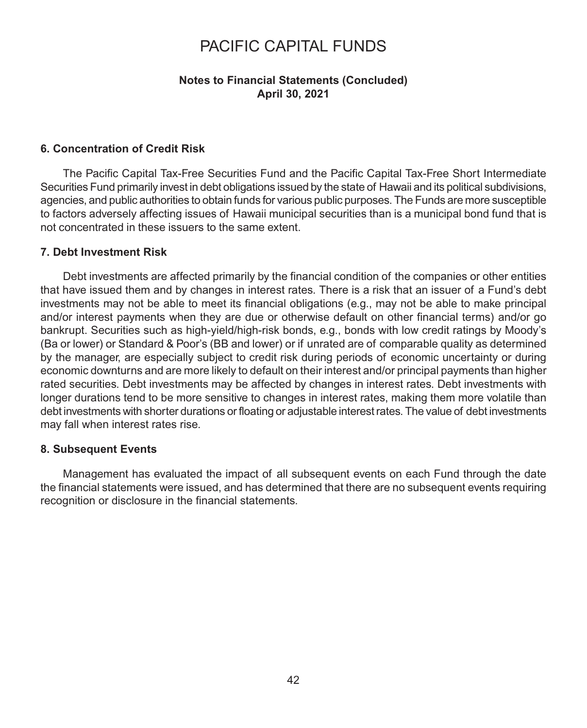#### **Notes to Financial Statements (Concluded) April 30, 2021**

#### **6. Concentration of Credit Risk**

The Pacific Capital Tax-Free Securities Fund and the Pacific Capital Tax-Free Short Intermediate Securities Fund primarily invest in debt obligations issued by the state of Hawaii and its political subdivisions, agencies, and public authorities to obtain funds for various public purposes. The Funds are more susceptible to factors adversely affecting issues of Hawaii municipal securities than is a municipal bond fund that is not concentrated in these issuers to the same extent.

#### **7. Debt Investment Risk**

Debt investments are affected primarily by the financial condition of the companies or other entities that have issued them and by changes in interest rates. There is a risk that an issuer of a Fund's debt investments may not be able to meet its financial obligations (e.g., may not be able to make principal and/or interest payments when they are due or otherwise default on other financial terms) and/or go bankrupt. Securities such as high-yield/high-risk bonds, e.g., bonds with low credit ratings by Moody's (Ba or lower) or Standard & Poor's (BB and lower) or if unrated are of comparable quality as determined by the manager, are especially subject to credit risk during periods of economic uncertainty or during economic downturns and are more likely to default on their interest and/or principal payments than higher rated securities. Debt investments may be affected by changes in interest rates. Debt investments with longer durations tend to be more sensitive to changes in interest rates, making them more volatile than debt investments with shorter durations or floating or adjustable interest rates. The value of debt investments may fall when interest rates rise.

#### **8. Subsequent Events**

Management has evaluated the impact of all subsequent events on each Fund through the date the financial statements were issued, and has determined that there are no subsequent events requiring recognition or disclosure in the financial statements.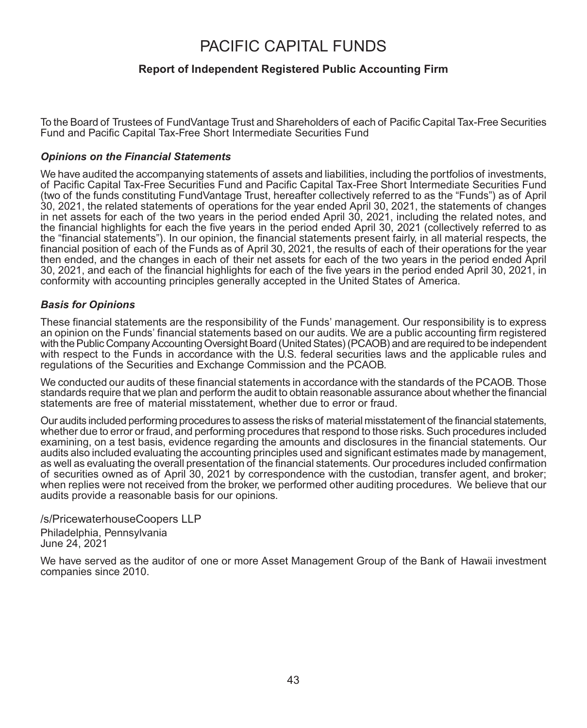#### **Report of Independent Registered Public Accounting Firm**

To the Board of Trustees of FundVantage Trust and Shareholders of each of Pacific Capital Tax-Free Securities Fund and Pacific Capital Tax-Free Short Intermediate Securities Fund

#### *Opinions on the Financial Statements*

We have audited the accompanying statements of assets and liabilities, including the portfolios of investments, of Pacific Capital Tax-Free Securities Fund and Pacific Capital Tax-Free Short Intermediate Securities Fund (two of the funds constituting FundVantage Trust, hereafter collectively referred to as the "Funds") as of April 30, 2021, the related statements of operations for the year ended April 30, 2021, the statements of changes in net assets for each of the two years in the period ended April 30, 2021, including the related notes, and the financial highlights for each the five years in the period ended April 30, 2021 (collectively referred to as the "financial statements"). In our opinion, the financial statements present fairly, in all material respects, the financial position of each of the Funds as of April 30, 2021, the results of each of their operations for the year then ended, and the changes in each of their net assets for each of the two years in the period ended April 30, 2021, and each of the financial highlights for each of the five years in the period ended April 30, 2021, in conformity with accounting principles generally accepted in the United States of America.

#### *Basis for Opinions*

These financial statements are the responsibility of the Funds' management. Our responsibility is to express an opinion on the Funds' financial statements based on our audits. We are a public accounting firm registered with the Public Company Accounting Oversight Board (United States) (PCAOB) and are required to be independent with respect to the Funds in accordance with the U.S. federal securities laws and the applicable rules and regulations of the Securities and Exchange Commission and the PCAOB.

We conducted our audits of these financial statements in accordance with the standards of the PCAOB. Those standards require that we plan and perform the audit to obtain reasonable assurance about whether the financial statements are free of material misstatement, whether due to error or fraud.

Our audits included performing procedures to assess the risks of material misstatement of the financial statements, whether due to error or fraud, and performing procedures that respond to those risks. Such procedures included examining, on a test basis, evidence regarding the amounts and disclosures in the financial statements. Our audits also included evaluating the accounting principles used and significant estimates made by management, as well as evaluating the overall presentation of the financial statements. Our procedures included confirmation of securities owned as of April 30, 2021 by correspondence with the custodian, transfer agent, and broker; when replies were not received from the broker, we performed other auditing procedures. We believe that our audits provide a reasonable basis for our opinions.

/s/PricewaterhouseCoopers LLP Philadelphia, Pennsylvania June 24, 2021

We have served as the auditor of one or more Asset Management Group of the Bank of Hawaii investment companies since 2010.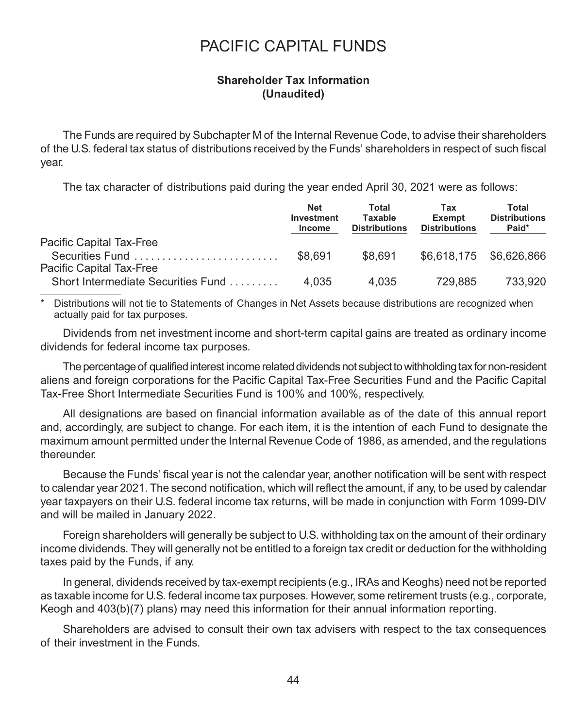### **Shareholder Tax Information (Unaudited)**

The Funds are required by Subchapter M of the Internal Revenue Code, to advise their shareholders of the U.S. federal tax status of distributions received by the Funds' shareholders in respect of such fiscal year.

The tax character of distributions paid during the year ended April 30, 2021 were as follows:

|                                    | <b>Net</b><br>Investment<br><b>Income</b> | Total<br>Taxable<br><b>Distributions</b> | Tax<br><b>Exempt</b><br><b>Distributions</b> | Total<br><b>Distributions</b><br>Paid* |
|------------------------------------|-------------------------------------------|------------------------------------------|----------------------------------------------|----------------------------------------|
| Pacific Capital Tax-Free           |                                           |                                          |                                              |                                        |
| Securities Fund                    | \$8,691                                   | \$8.691                                  | \$6,618,175 \$6,626,866                      |                                        |
| Pacific Capital Tax-Free           |                                           |                                          |                                              |                                        |
| Short Intermediate Securities Fund | 4.035                                     | 4.035                                    | 729.885                                      | 733.920                                |

Distributions will not tie to Statements of Changes in Net Assets because distributions are recognized when actually paid for tax purposes.

Dividends from net investment income and short-term capital gains are treated as ordinary income dividends for federal income tax purposes.

The percentage of qualified interest income related dividends not subject to withholding tax for non-resident aliens and foreign corporations for the Pacific Capital Tax-Free Securities Fund and the Pacific Capital Tax-Free Short Intermediate Securities Fund is 100% and 100%, respectively.

All designations are based on financial information available as of the date of this annual report and, accordingly, are subject to change. For each item, it is the intention of each Fund to designate the maximum amount permitted under the Internal Revenue Code of 1986, as amended, and the regulations thereunder.

Because the Funds' fiscal year is not the calendar year, another notification will be sent with respect to calendar year 2021. The second notification, which will reflect the amount, if any, to be used by calendar year taxpayers on their U.S. federal income tax returns, will be made in conjunction with Form 1099-DIV and will be mailed in January 2022.

Foreign shareholders will generally be subject to U.S. withholding tax on the amount of their ordinary income dividends. They will generally not be entitled to a foreign tax credit or deduction for the withholding taxes paid by the Funds, if any.

In general, dividends received by tax-exempt recipients (e.g., IRAs and Keoghs) need not be reported as taxable income for U.S. federal income tax purposes. However, some retirement trusts (e.g., corporate, Keogh and 403(b)(7) plans) may need this information for their annual information reporting.

Shareholders are advised to consult their own tax advisers with respect to the tax consequences of their investment in the Funds.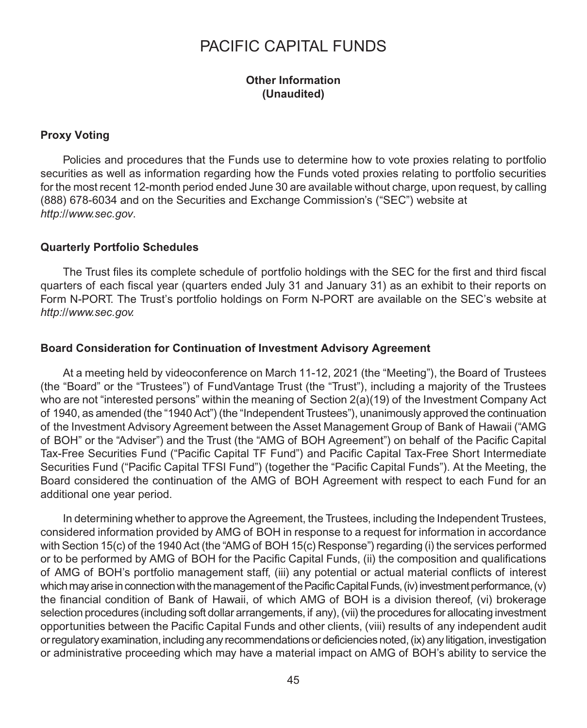### **Other Information (Unaudited)**

### **Proxy Voting**

Policies and procedures that the Funds use to determine how to vote proxies relating to portfolio securities as well as information regarding how the Funds voted proxies relating to portfolio securities for the most recent 12-month period ended June 30 are available without charge, upon request, by calling (888) 678-6034 and on the Securities and Exchange Commission's ("SEC") website at *http://www.sec.gov*.

#### **Quarterly Portfolio Schedules**

The Trust files its complete schedule of portfolio holdings with the SEC for the first and third fiscal quarters of each fiscal year (quarters ended July 31 and January 31) as an exhibit to their reports on Form N-PORT. The Trust's portfolio holdings on Form N-PORT are available on the SEC's website at *http://www.sec.gov.*

### **Board Consideration for Continuation of Investment Advisory Agreement**

At a meeting held by videoconference on March 11-12, 2021 (the "Meeting"), the Board of Trustees (the "Board" or the "Trustees") of FundVantage Trust (the "Trust"), including a majority of the Trustees who are not "interested persons" within the meaning of Section 2(a)(19) of the Investment Company Act of 1940, as amended (the "1940 Act") (the "Independent Trustees"), unanimously approved the continuation of the Investment Advisory Agreement between the Asset Management Group of Bank of Hawaii ("AMG of BOH" or the "Adviser") and the Trust (the "AMG of BOH Agreement") on behalf of the Pacific Capital Tax-Free Securities Fund ("Pacific Capital TF Fund") and Pacific Capital Tax-Free Short Intermediate Securities Fund ("Pacific Capital TFSI Fund") (together the "Pacific Capital Funds"). At the Meeting, the Board considered the continuation of the AMG of BOH Agreement with respect to each Fund for an additional one year period.

In determining whether to approve the Agreement, the Trustees, including the Independent Trustees, considered information provided by AMG of BOH in response to a request for information in accordance with Section 15(c) of the 1940 Act (the "AMG of BOH 15(c) Response") regarding (i) the services performed or to be performed by AMG of BOH for the Pacific Capital Funds, (ii) the composition and qualifications of AMG of BOH's portfolio management staff, (iii) any potential or actual material conflicts of interest which may arise in connection with the management of the Pacific Capital Funds, (iv) investment performance, (v) the financial condition of Bank of Hawaii, of which AMG of BOH is a division thereof, (vi) brokerage selection procedures (including soft dollar arrangements, if any), (vii) the procedures for allocating investment opportunities between the Pacific Capital Funds and other clients, (viii) results of any independent audit or regulatory examination, including any recommendations or deficiencies noted, (ix) any litigation, investigation or administrative proceeding which may have a material impact on AMG of BOH's ability to service the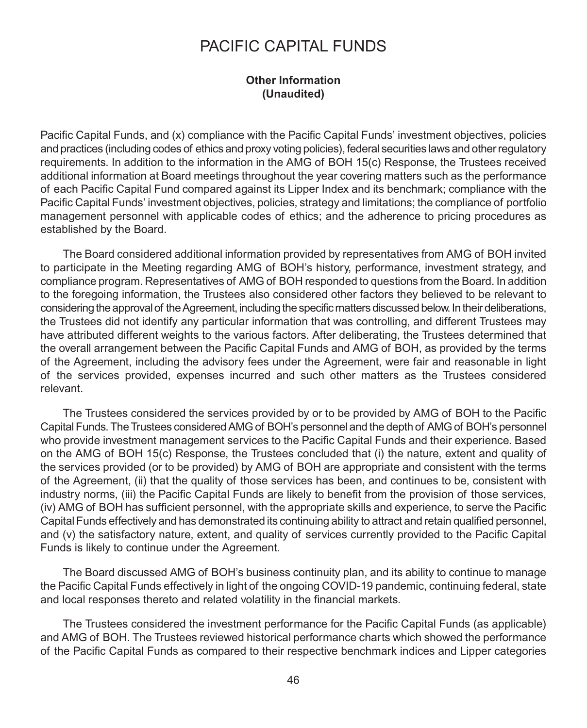### **Other Information (Unaudited)**

Pacific Capital Funds, and (x) compliance with the Pacific Capital Funds' investment objectives, policies and practices (including codes of ethics and proxy voting policies), federal securities laws and other regulatory requirements. In addition to the information in the AMG of BOH 15(c) Response, the Trustees received additional information at Board meetings throughout the year covering matters such as the performance of each Pacific Capital Fund compared against its Lipper Index and its benchmark; compliance with the Pacific Capital Funds' investment objectives, policies, strategy and limitations; the compliance of portfolio management personnel with applicable codes of ethics; and the adherence to pricing procedures as established by the Board.

The Board considered additional information provided by representatives from AMG of BOH invited to participate in the Meeting regarding AMG of BOH's history, performance, investment strategy, and compliance program. Representatives of AMG of BOH responded to questions from the Board. In addition to the foregoing information, the Trustees also considered other factors they believed to be relevant to considering the approval of the Agreement, including the specific matters discussed below. In their deliberations, the Trustees did not identify any particular information that was controlling, and different Trustees may have attributed different weights to the various factors. After deliberating, the Trustees determined that the overall arrangement between the Pacific Capital Funds and AMG of BOH, as provided by the terms of the Agreement, including the advisory fees under the Agreement, were fair and reasonable in light of the services provided, expenses incurred and such other matters as the Trustees considered relevant.

The Trustees considered the services provided by or to be provided by AMG of BOH to the Pacific Capital Funds. The Trustees considered AMG of BOH's personnel and the depth of AMG of BOH's personnel who provide investment management services to the Pacific Capital Funds and their experience. Based on the AMG of BOH 15(c) Response, the Trustees concluded that (i) the nature, extent and quality of the services provided (or to be provided) by AMG of BOH are appropriate and consistent with the terms of the Agreement, (ii) that the quality of those services has been, and continues to be, consistent with industry norms, (iii) the Pacific Capital Funds are likely to benefit from the provision of those services, (iv) AMG of BOH has sufficient personnel, with the appropriate skills and experience, to serve the Pacific Capital Funds effectively and has demonstrated its continuing ability to attract and retain qualified personnel, and (v) the satisfactory nature, extent, and quality of services currently provided to the Pacific Capital Funds is likely to continue under the Agreement.

The Board discussed AMG of BOH's business continuity plan, and its ability to continue to manage the Pacific Capital Funds effectively in light of the ongoing COVID-19 pandemic, continuing federal, state and local responses thereto and related volatility in the financial markets.

The Trustees considered the investment performance for the Pacific Capital Funds (as applicable) and AMG of BOH. The Trustees reviewed historical performance charts which showed the performance of the Pacific Capital Funds as compared to their respective benchmark indices and Lipper categories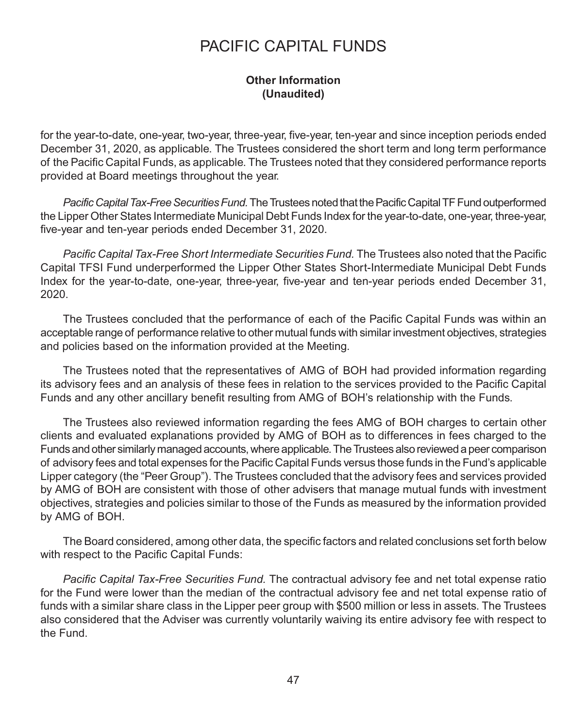### **Other Information (Unaudited)**

for the year-to-date, one-year, two-year, three-year, five-year, ten-year and since inception periods ended December 31, 2020, as applicable. The Trustees considered the short term and long term performance of the Pacific Capital Funds, as applicable. The Trustees noted that they considered performance reports provided at Board meetings throughout the year.

Pacific Capital Tax-Free Securities Fund. The Trustees noted that the Pacific Capital TF Fund outperformed the Lipper Other States Intermediate Municipal Debt Funds Index for the year-to-date, one-year, three-year, five-year and ten-year periods ended December 31, 2020.

*Pacific Capital Tax-Free Short Intermediate Securities Fund.* The Trustees also noted that the Pacific Capital TFSI Fund underperformed the Lipper Other States Short-Intermediate Municipal Debt Funds Index for the year-to-date, one-year, three-year, five-year and ten-year periods ended December 31, 2020.

The Trustees concluded that the performance of each of the Pacific Capital Funds was within an acceptable range of performance relative to other mutual funds with similar investment objectives, strategies and policies based on the information provided at the Meeting.

The Trustees noted that the representatives of AMG of BOH had provided information regarding its advisory fees and an analysis of these fees in relation to the services provided to the Pacific Capital Funds and any other ancillary benefit resulting from AMG of BOH's relationship with the Funds.

The Trustees also reviewed information regarding the fees AMG of BOH charges to certain other clients and evaluated explanations provided by AMG of BOH as to differences in fees charged to the Funds and other similarlymanaged accounts, where applicable. The Trustees also reviewed a peer comparison of advisory fees and total expenses for the Pacific Capital Funds versus those funds in the Fund's applicable Lipper category (the "Peer Group"). The Trustees concluded that the advisory fees and services provided by AMG of BOH are consistent with those of other advisers that manage mutual funds with investment objectives, strategies and policies similar to those of the Funds as measured by the information provided by AMG of BOH.

The Board considered, among other data, the specific factors and related conclusions set forth below with respect to the Pacific Capital Funds:

*Pacific Capital Tax-Free Securities Fund.* The contractual advisory fee and net total expense ratio for the Fund were lower than the median of the contractual advisory fee and net total expense ratio of funds with a similar share class in the Lipper peer group with \$500 million or less in assets. The Trustees also considered that the Adviser was currently voluntarily waiving its entire advisory fee with respect to the Fund.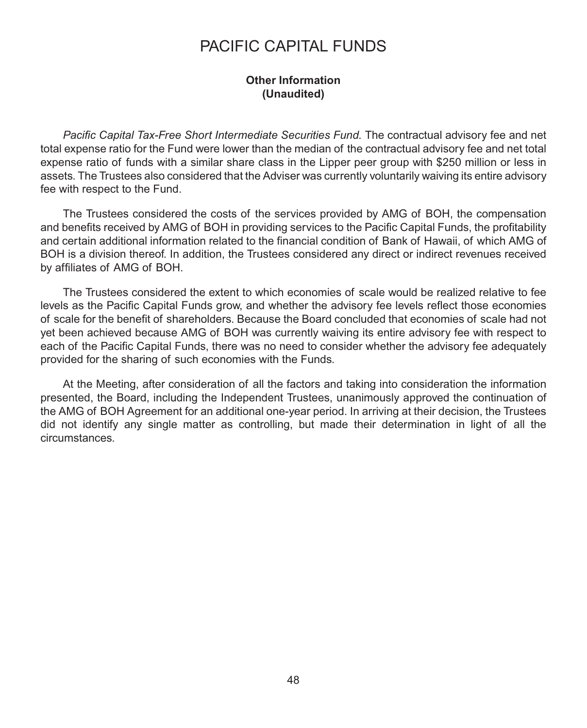### **Other Information (Unaudited)**

*Pacific Capital Tax-Free Short Intermediate Securities Fund.* The contractual advisory fee and net total expense ratio for the Fund were lower than the median of the contractual advisory fee and net total expense ratio of funds with a similar share class in the Lipper peer group with \$250 million or less in assets. The Trustees also considered that the Adviser was currently voluntarily waiving its entire advisory fee with respect to the Fund.

The Trustees considered the costs of the services provided by AMG of BOH, the compensation and benefits received by AMG of BOH in providing services to the Pacific Capital Funds, the profitability and certain additional information related to the financial condition of Bank of Hawaii, of which AMG of BOH is a division thereof. In addition, the Trustees considered any direct or indirect revenues received by affiliates of AMG of BOH.

The Trustees considered the extent to which economies of scale would be realized relative to fee levels as the Pacific Capital Funds grow, and whether the advisory fee levels reflect those economies of scale for the benefit of shareholders. Because the Board concluded that economies of scale had not yet been achieved because AMG of BOH was currently waiving its entire advisory fee with respect to each of the Pacific Capital Funds, there was no need to consider whether the advisory fee adequately provided for the sharing of such economies with the Funds.

At the Meeting, after consideration of all the factors and taking into consideration the information presented, the Board, including the Independent Trustees, unanimously approved the continuation of the AMG of BOH Agreement for an additional one-year period. In arriving at their decision, the Trustees did not identify any single matter as controlling, but made their determination in light of all the circumstances.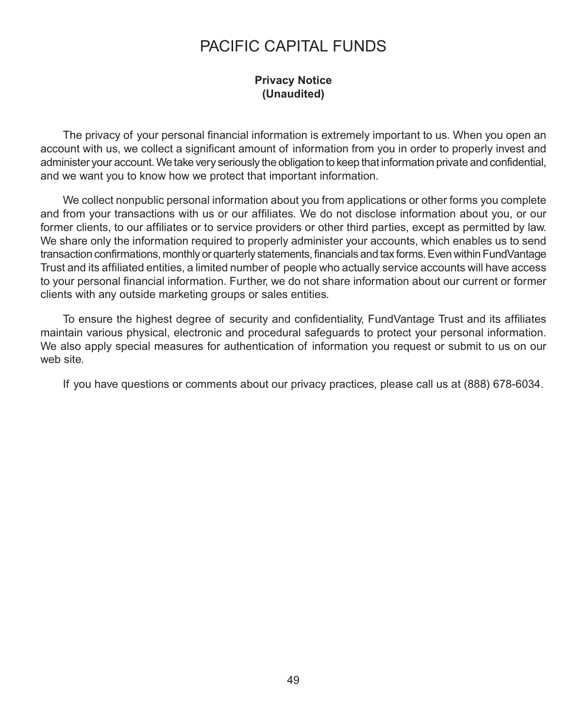### **Privacy Notice (Unaudited)**

The privacy of your personal financial information is extremely important to us. When you open an account with us, we collect a significant amount of information from you in order to properly invest and administer your account.We take very seriously the obligation to keep that information private and confidential, and we want you to know how we protect that important information.

We collect nonpublic personal information about you from applications or other forms you complete and from your transactions with us or our affiliates. We do not disclose information about you, or our former clients, to our affiliates or to service providers or other third parties, except as permitted by law. We share only the information required to properly administer your accounts, which enables us to send transaction confirmations, monthly or quarterly statements, financials and tax forms. Even within FundVantage Trust and its affiliated entities, a limited number of people who actually service accounts will have access to your personal financial information. Further, we do not share information about our current or former clients with any outside marketing groups or sales entities.

To ensure the highest degree of security and confidentiality, FundVantage Trust and its affiliates maintain various physical, electronic and procedural safeguards to protect your personal information. We also apply special measures for authentication of information you request or submit to us on our web site.

If you have questions or comments about our privacy practices, please call us at (888) 678-6034.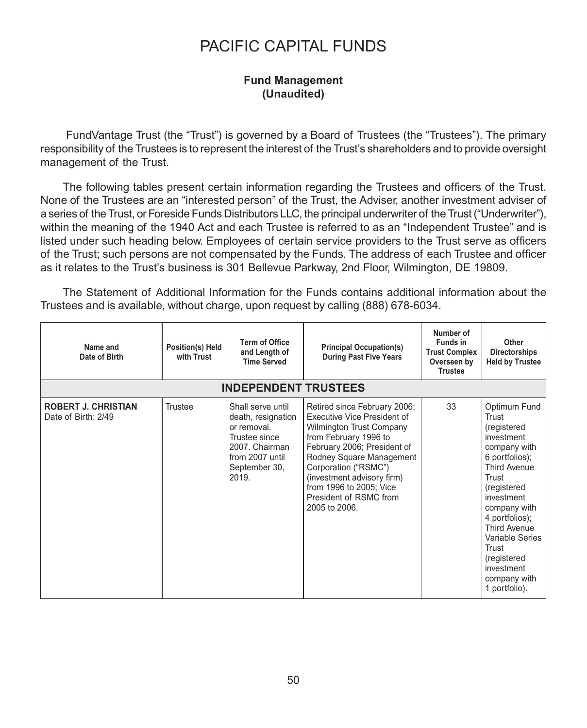### **Fund Management (Unaudited)**

FundVantage Trust (the "Trust") is governed by a Board of Trustees (the "Trustees"). The primary responsibility of the Trustees is to represent the interest of the Trust's shareholders and to provide oversight management of the Trust.

The following tables present certain information regarding the Trustees and officers of the Trust. None of the Trustees are an "interested person" of the Trust, the Adviser, another investment adviser of a series of the Trust, or Foreside Funds Distributors LLC, the principal underwriter of the Trust ("Underwriter"), within the meaning of the 1940 Act and each Trustee is referred to as an "Independent Trustee" and is listed under such heading below. Employees of certain service providers to the Trust serve as officers of the Trust; such persons are not compensated by the Funds. The address of each Trustee and officer as it relates to the Trust's business is 301 Bellevue Parkway, 2nd Floor, Wilmington, DE 19809.

The Statement of Additional Information for the Funds contains additional information about the Trustees and is available, without charge, upon request by calling (888) 678-6034.

| Name and<br>Date of Birth                         | Position(s) Held<br>with Trust | <b>Term of Office</b><br>and Length of<br><b>Time Served</b>                                                                           | <b>Principal Occupation(s)</b><br><b>During Past Five Years</b>                                                                                                                                                                                                                                                | Number of<br>Funds in<br><b>Trust Complex</b><br>Overseen by<br><b>Trustee</b> | Other<br><b>Directorships</b><br><b>Held by Trustee</b>                                                                                                                                                                                                                                                     |
|---------------------------------------------------|--------------------------------|----------------------------------------------------------------------------------------------------------------------------------------|----------------------------------------------------------------------------------------------------------------------------------------------------------------------------------------------------------------------------------------------------------------------------------------------------------------|--------------------------------------------------------------------------------|-------------------------------------------------------------------------------------------------------------------------------------------------------------------------------------------------------------------------------------------------------------------------------------------------------------|
|                                                   |                                | <b>INDEPENDENT TRUSTEES</b>                                                                                                            |                                                                                                                                                                                                                                                                                                                |                                                                                |                                                                                                                                                                                                                                                                                                             |
| <b>ROBERT J. CHRISTIAN</b><br>Date of Birth: 2/49 | <b>Trustee</b>                 | Shall serve until<br>death, resignation<br>or removal.<br>Trustee since<br>2007. Chairman<br>from 2007 until<br>September 30,<br>2019. | Retired since February 2006;<br>Executive Vice President of<br><b>Wilmington Trust Company</b><br>from February 1996 to<br>February 2006; President of<br>Rodney Square Management<br>Corporation ("RSMC")<br>(investment advisory firm)<br>from 1996 to 2005; Vice<br>President of RSMC from<br>2005 to 2006. | 33                                                                             | Optimum Fund<br>Trust<br>(registered<br>investment<br>company with<br>6 portfolios);<br><b>Third Avenue</b><br>Trust<br>(registered<br>investment<br>company with<br>4 portfolios);<br><b>Third Avenue</b><br><b>Variable Series</b><br>Trust<br>(registered<br>investment<br>company with<br>1 portfolio). |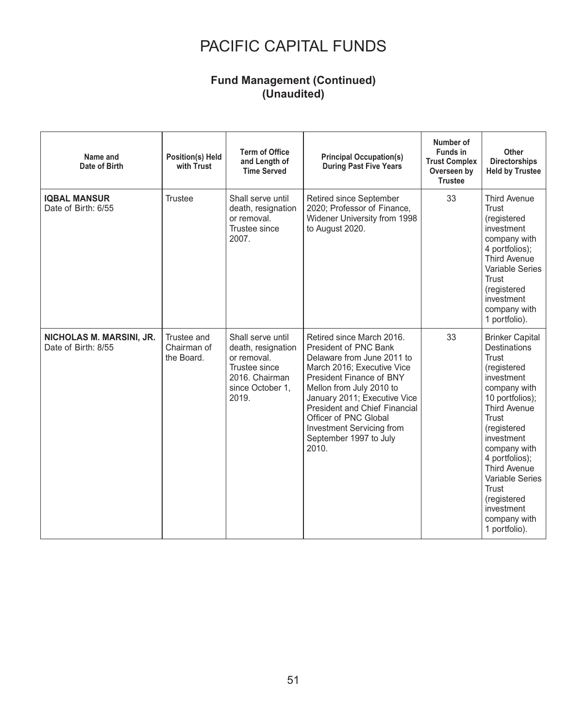### **Fund Management (Continued) (Unaudited)**

| Name and<br>Date of Birth                       | Position(s) Held<br>with Trust           | <b>Term of Office</b><br>and Length of<br><b>Time Served</b>                                                           | <b>Principal Occupation(s)</b><br><b>During Past Five Years</b>                                                                                                                                                                                                                                                                                | Number of<br><b>Funds in</b><br><b>Trust Complex</b><br>Overseen by<br><b>Trustee</b> | Other<br><b>Directorships</b><br><b>Held by Trustee</b>                                                                                                                                                                                                                                                                                |
|-------------------------------------------------|------------------------------------------|------------------------------------------------------------------------------------------------------------------------|------------------------------------------------------------------------------------------------------------------------------------------------------------------------------------------------------------------------------------------------------------------------------------------------------------------------------------------------|---------------------------------------------------------------------------------------|----------------------------------------------------------------------------------------------------------------------------------------------------------------------------------------------------------------------------------------------------------------------------------------------------------------------------------------|
| <b>IQBAL MANSUR</b><br>Date of Birth: 6/55      | Trustee                                  | Shall serve until<br>death, resignation<br>or removal.<br>Trustee since<br>2007.                                       | <b>Retired since September</b><br>2020; Professor of Finance,<br>Widener University from 1998<br>to August 2020.                                                                                                                                                                                                                               | 33                                                                                    | <b>Third Avenue</b><br>Trust<br>(registered<br>investment<br>company with<br>4 portfolios);<br><b>Third Avenue</b><br><b>Variable Series</b><br>Trust<br>(registered<br>investment<br>company with<br>1 portfolio).                                                                                                                    |
| NICHOLAS M. MARSINI, JR.<br>Date of Birth: 8/55 | Trustee and<br>Chairman of<br>the Board. | Shall serve until<br>death, resignation<br>or removal.<br>Trustee since<br>2016. Chairman<br>since October 1,<br>2019. | Retired since March 2016.<br><b>President of PNC Bank</b><br>Delaware from June 2011 to<br>March 2016; Executive Vice<br>President Finance of BNY<br>Mellon from July 2010 to<br>January 2011; Executive Vice<br><b>President and Chief Financial</b><br>Officer of PNC Global<br>Investment Servicing from<br>September 1997 to July<br>2010. | 33                                                                                    | <b>Brinker Capital</b><br><b>Destinations</b><br>Trust<br>(registered<br>investment<br>company with<br>10 portfolios);<br><b>Third Avenue</b><br>Trust<br>(registered<br>investment<br>company with<br>4 portfolios);<br><b>Third Avenue</b><br>Variable Series<br>Trust<br>(registered<br>investment<br>company with<br>1 portfolio). |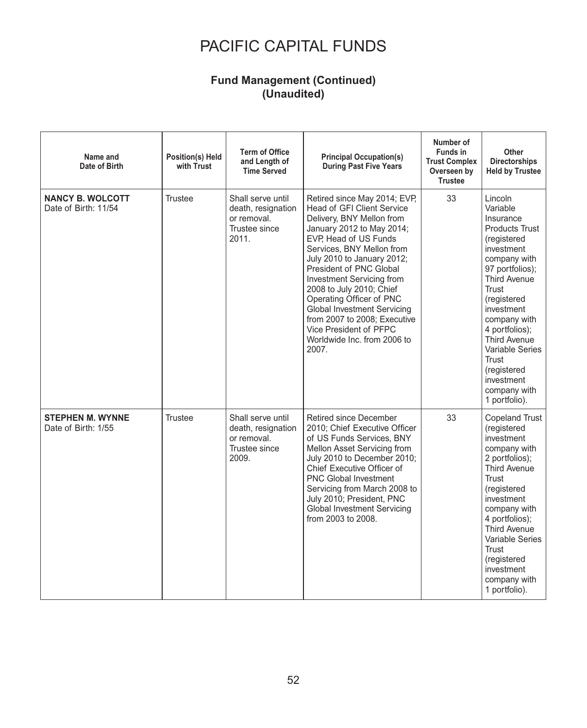### **Fund Management (Continued) (Unaudited)**

| Name and<br>Date of Birth                       | Position(s) Held<br>with Trust | <b>Term of Office</b><br>and Length of<br><b>Time Served</b>                     | <b>Principal Occupation(s)</b><br><b>During Past Five Years</b>                                                                                                                                                                                                                                                                                                                                                                                           | Number of<br><b>Funds in</b><br><b>Trust Complex</b><br>Overseen by<br><b>Trustee</b> | Other<br>Directorships<br><b>Held by Trustee</b>                                                                                                                                                                                                                                                                                          |
|-------------------------------------------------|--------------------------------|----------------------------------------------------------------------------------|-----------------------------------------------------------------------------------------------------------------------------------------------------------------------------------------------------------------------------------------------------------------------------------------------------------------------------------------------------------------------------------------------------------------------------------------------------------|---------------------------------------------------------------------------------------|-------------------------------------------------------------------------------------------------------------------------------------------------------------------------------------------------------------------------------------------------------------------------------------------------------------------------------------------|
| <b>NANCY B. WOLCOTT</b><br>Date of Birth: 11/54 | Trustee                        | Shall serve until<br>death, resignation<br>or removal.<br>Trustee since<br>2011. | Retired since May 2014; EVP.<br>Head of GFI Client Service<br>Delivery, BNY Mellon from<br>January 2012 to May 2014;<br>EVP. Head of US Funds<br>Services, BNY Mellon from<br>July 2010 to January 2012;<br>President of PNC Global<br>Investment Servicing from<br>2008 to July 2010; Chief<br>Operating Officer of PNC<br>Global Investment Servicing<br>from 2007 to 2008: Executive<br>Vice President of PFPC<br>Worldwide Inc. from 2006 to<br>2007. | 33                                                                                    | Lincoln<br>Variable<br>Insurance<br><b>Products Trust</b><br>(registered<br>investment<br>company with<br>97 portfolios);<br><b>Third Avenue</b><br>Trust<br>(registered<br>investment<br>company with<br>4 portfolios);<br><b>Third Avenue</b><br>Variable Series<br>Trust<br>(registered<br>investment<br>company with<br>1 portfolio). |
| <b>STEPHEN M. WYNNE</b><br>Date of Birth: 1/55  | <b>Trustee</b>                 | Shall serve until<br>death, resignation<br>or removal.<br>Trustee since<br>2009. | <b>Retired since December</b><br>2010; Chief Executive Officer<br>of US Funds Services, BNY<br>Mellon Asset Servicing from<br>July 2010 to December 2010;<br>Chief Executive Officer of<br><b>PNC Global Investment</b><br>Servicing from March 2008 to<br>July 2010; President, PNC<br>Global Investment Servicing<br>from 2003 to 2008.                                                                                                                 | 33                                                                                    | <b>Copeland Trust</b><br>(registered<br>investment<br>company with<br>2 portfolios);<br><b>Third Avenue</b><br>Trust<br>(registered<br>investment<br>company with<br>4 portfolios);<br><b>Third Avenue</b><br><b>Variable Series</b><br>Trust<br>(registered<br>investment<br>company with<br>1 portfolio).                               |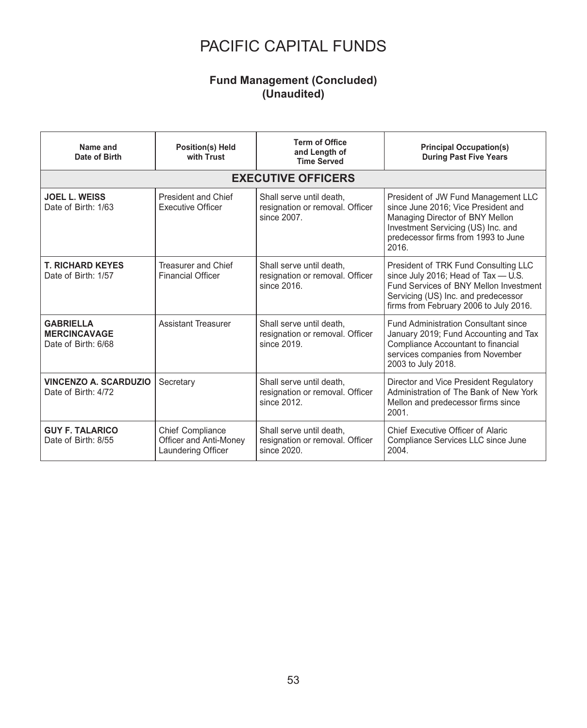### **Fund Management (Concluded) (Unaudited)**

| Name and<br>Date of Birth                                      | Position(s) Held<br>with Trust                                          | <b>Term of Office</b><br>and Length of<br><b>Time Served</b>               | <b>Principal Occupation(s)</b><br><b>During Past Five Years</b>                                                                                                                                        |  |  |  |  |  |
|----------------------------------------------------------------|-------------------------------------------------------------------------|----------------------------------------------------------------------------|--------------------------------------------------------------------------------------------------------------------------------------------------------------------------------------------------------|--|--|--|--|--|
| <b>EXECUTIVE OFFICERS</b>                                      |                                                                         |                                                                            |                                                                                                                                                                                                        |  |  |  |  |  |
| <b>JOEL L. WEISS</b><br>Date of Birth: 1/63                    | President and Chief<br><b>Executive Officer</b>                         | Shall serve until death,<br>resignation or removal. Officer<br>since 2007. | President of JW Fund Management LLC<br>since June 2016; Vice President and<br>Managing Director of BNY Mellon<br>Investment Servicing (US) Inc. and<br>predecessor firms from 1993 to June<br>2016.    |  |  |  |  |  |
| <b>T. RICHARD KEYES</b><br>Date of Birth: 1/57                 | Treasurer and Chief<br><b>Financial Officer</b>                         | Shall serve until death,<br>resignation or removal. Officer<br>since 2016. | President of TRK Fund Consulting LLC<br>since July 2016; Head of Tax - U.S.<br>Fund Services of BNY Mellon Investment<br>Servicing (US) Inc. and predecessor<br>firms from February 2006 to July 2016. |  |  |  |  |  |
| <b>GABRIELLA</b><br><b>MERCINCAVAGE</b><br>Date of Birth: 6/68 | <b>Assistant Treasurer</b>                                              | Shall serve until death,<br>resignation or removal. Officer<br>since 2019. | <b>Fund Administration Consultant since</b><br>January 2019; Fund Accounting and Tax<br>Compliance Accountant to financial<br>services companies from November<br>2003 to July 2018.                   |  |  |  |  |  |
| <b>VINCENZO A. SCARDUZIO</b><br>Date of Birth: 4/72            | Secretary                                                               | Shall serve until death,<br>resignation or removal. Officer<br>since 2012. | Director and Vice President Regulatory<br>Administration of The Bank of New York<br>Mellon and predecessor firms since<br>2001.                                                                        |  |  |  |  |  |
| <b>GUY F. TALARICO</b><br>Date of Birth: 8/55                  | <b>Chief Compliance</b><br>Officer and Anti-Money<br>Laundering Officer | Shall serve until death,<br>resignation or removal. Officer<br>since 2020. | Chief Executive Officer of Alaric<br>Compliance Services LLC since June<br>2004.                                                                                                                       |  |  |  |  |  |